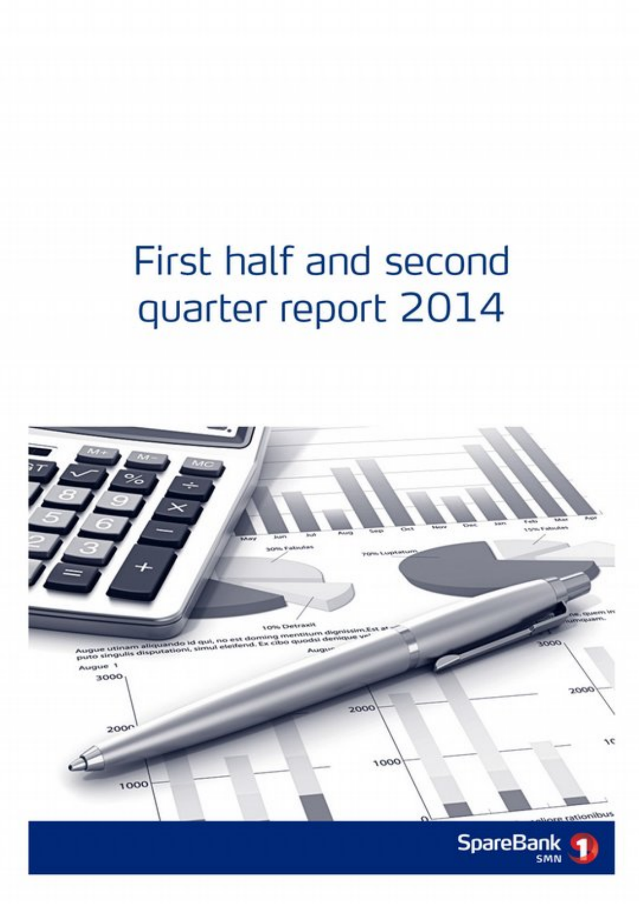# First half and second quarter report 2014

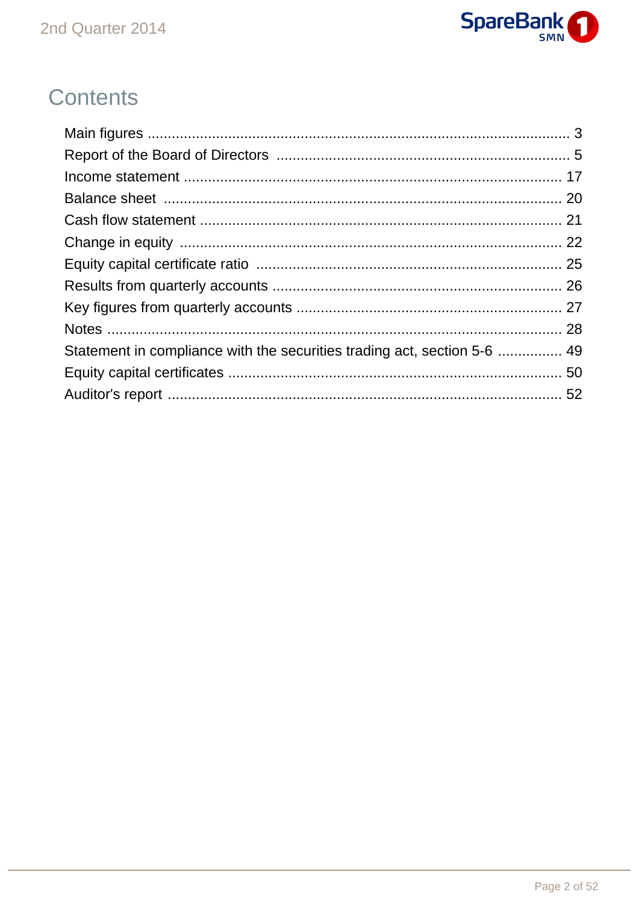

## **Contents**

| Statement in compliance with the securities trading act, section 5-6  49 |  |
|--------------------------------------------------------------------------|--|
|                                                                          |  |
|                                                                          |  |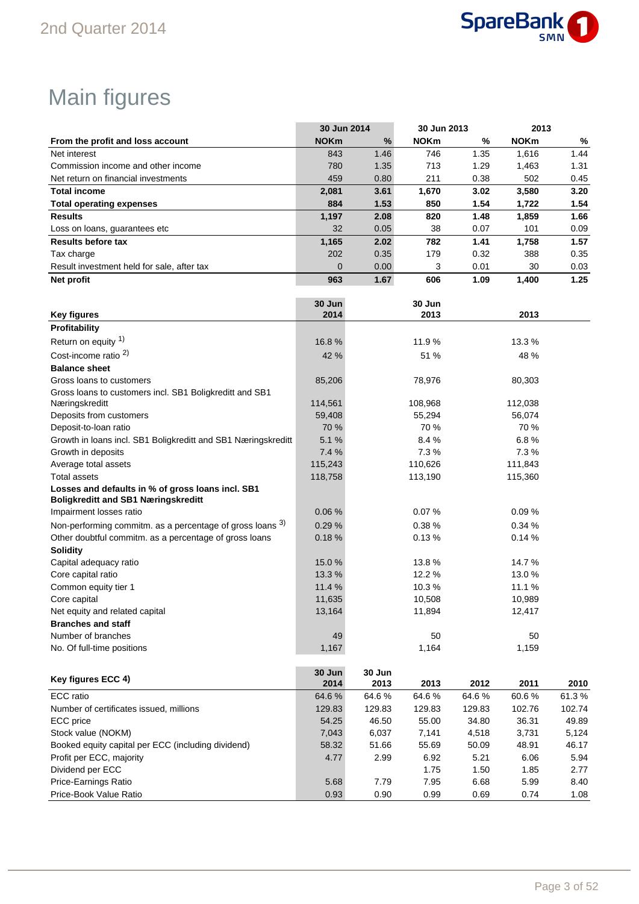

## Main figures

|                                                                                                 | 30 Jun 2014    |                | 30 Jun 2013 |        | 2013        |        |
|-------------------------------------------------------------------------------------------------|----------------|----------------|-------------|--------|-------------|--------|
| From the profit and loss account                                                                | <b>NOKm</b>    | $\%$           | <b>NOKm</b> | %      | <b>NOKm</b> | %      |
| Net interest                                                                                    | 843            | 1.46           | 746         | 1.35   | 1,616       | 1.44   |
| Commission income and other income                                                              | 780            | 1.35           | 713         | 1.29   | 1,463       | 1.31   |
| Net return on financial investments                                                             | 459            | 0.80           | 211         | 0.38   | 502         | 0.45   |
| <b>Total income</b>                                                                             | 2,081          | 3.61           | 1,670       | 3.02   | 3,580       | 3.20   |
| <b>Total operating expenses</b>                                                                 | 884            | 1.53           | 850         | 1.54   | 1,722       | 1.54   |
| <b>Results</b>                                                                                  | 1,197          | 2.08           | 820         | 1.48   | 1,859       | 1.66   |
| Loss on loans, guarantees etc                                                                   | 32             | 0.05           | 38          | 0.07   | 101         | 0.09   |
| <b>Results before tax</b>                                                                       | 1,165          | 2.02           | 782         | 1.41   | 1,758       | 1.57   |
| Tax charge                                                                                      | 202            | 0.35           | 179         | 0.32   | 388         | 0.35   |
| Result investment held for sale, after tax                                                      | $\mathbf 0$    | 0.00           | 3           | 0.01   | 30          | 0.03   |
| Net profit                                                                                      | 963            | 1.67           | 606         | 1.09   | 1,400       | 1.25   |
|                                                                                                 |                |                |             |        |             |        |
|                                                                                                 | 30 Jun         |                | 30 Jun      |        |             |        |
| <b>Key figures</b>                                                                              | 2014           |                | 2013        |        | 2013        |        |
| Profitability                                                                                   |                |                |             |        |             |        |
| Return on equity 1)                                                                             | 16.8%          |                | 11.9%       |        | 13.3 %      |        |
| Cost-income ratio <sup>2)</sup>                                                                 | 42 %           |                | 51 %        |        | 48 %        |        |
| <b>Balance sheet</b>                                                                            |                |                |             |        |             |        |
| Gross loans to customers                                                                        | 85,206         |                | 78,976      |        | 80,303      |        |
| Gross loans to customers incl. SB1 Boligkreditt and SB1                                         |                |                |             |        |             |        |
| Næringskreditt                                                                                  | 114,561        |                | 108,968     |        | 112,038     |        |
| Deposits from customers                                                                         | 59,408         |                | 55,294      |        | 56,074      |        |
| Deposit-to-loan ratio                                                                           | 70 %           |                | 70 %        |        | 70 %        |        |
| Growth in loans incl. SB1 Boligkreditt and SB1 Næringskreditt                                   | 5.1 %          |                | 8.4%        |        | 6.8%        |        |
| Growth in deposits                                                                              | 7.4 %          |                | 7.3%        |        | 7.3%        |        |
| Average total assets                                                                            | 115,243        |                | 110,626     |        | 111,843     |        |
| <b>Total assets</b>                                                                             | 118,758        |                | 113,190     |        | 115,360     |        |
| Losses and defaults in % of gross loans incl. SB1<br><b>Boligkreditt and SB1 Næringskreditt</b> |                |                |             |        |             |        |
| Impairment losses ratio                                                                         | 0.06%          |                | 0.07%       |        | 0.09%       |        |
| Non-performing commitm. as a percentage of gross loans 3)                                       | 0.29%          |                | 0.38%       |        | 0.34%       |        |
| Other doubtful commitm. as a percentage of gross loans                                          | 0.18%          |                | 0.13%       |        | 0.14%       |        |
| <b>Solidity</b>                                                                                 |                |                |             |        |             |        |
| Capital adequacy ratio                                                                          | 15.0%          |                | 13.8%       |        | 14.7%       |        |
| Core capital ratio                                                                              | 13.3%          |                | 12.2%       |        | 13.0%       |        |
| Common equity tier 1                                                                            | 11.4 %         |                | 10.3%       |        | 11.1%       |        |
| Core capital                                                                                    | 11,635         |                | 10,508      |        | 10,989      |        |
| Net equity and related capital                                                                  | 13,164         |                | 11,894      |        | 12,417      |        |
| <b>Branches and staff</b>                                                                       |                |                |             |        |             |        |
| Number of branches                                                                              | 49             |                | 50          |        | 50          |        |
| No. Of full-time positions                                                                      | 1,167          |                | 1,164       |        | 1,159       |        |
|                                                                                                 |                |                |             |        |             |        |
| Key figures ECC 4)                                                                              | 30 Jun<br>2014 | 30 Jun<br>2013 | 2013        | 2012   | 2011        | 2010   |
| <b>ECC</b> ratio                                                                                | 64.6%          | 64.6%          | 64.6%       | 64.6%  | 60.6%       | 61.3%  |
| Number of certificates issued, millions                                                         | 129.83         | 129.83         | 129.83      | 129.83 | 102.76      | 102.74 |
| ECC price                                                                                       | 54.25          | 46.50          | 55.00       | 34.80  | 36.31       | 49.89  |
| Stock value (NOKM)                                                                              | 7,043          | 6,037          | 7,141       | 4,518  | 3,731       | 5,124  |
| Booked equity capital per ECC (including dividend)                                              | 58.32          | 51.66          | 55.69       | 50.09  | 48.91       | 46.17  |
| Profit per ECC, majority                                                                        | 4.77           | 2.99           | 6.92        | 5.21   | 6.06        | 5.94   |
| Dividend per ECC                                                                                |                |                | 1.75        | 1.50   | 1.85        | 2.77   |
| Price-Earnings Ratio                                                                            | 5.68           | 7.79           | 7.95        | 6.68   | 5.99        | 8.40   |

Price-Book Value Ratio **1.2006** 0.93 0.90 0.99 0.99 0.69 0.74 1.08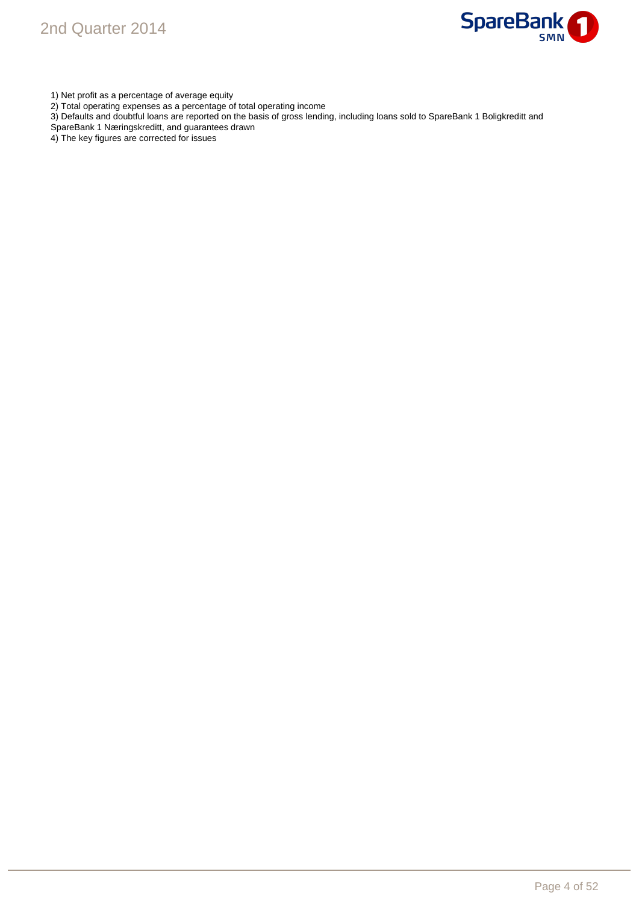

1) Net profit as a percentage of average equity

- 2) Total operating expenses as a percentage of total operating income
- 3) Defaults and doubtful loans are reported on the basis of gross lending, including loans sold to SpareBank 1 Boligkreditt and
- SpareBank 1 Næringskreditt, and guarantees drawn
- 4) The key figures are corrected for issues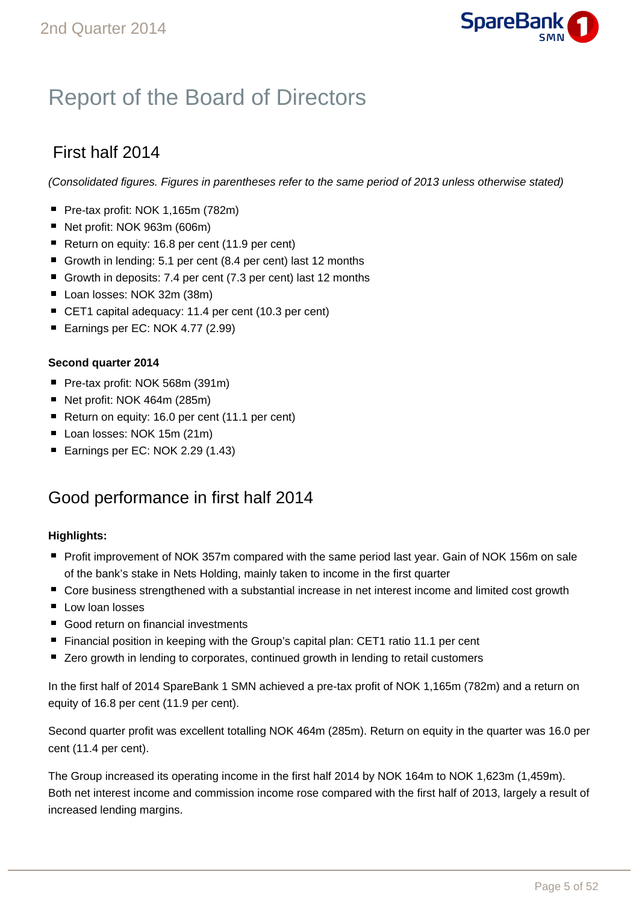

## Report of the Board of Directors

### First half 2014

(Consolidated figures. Figures in parentheses refer to the same period of 2013 unless otherwise stated)

- Pre-tax profit: NOK 1,165m (782m)
- Net profit: NOK 963m (606m)
- Return on equity: 16.8 per cent (11.9 per cent)
- Growth in lending: 5.1 per cent (8.4 per cent) last 12 months
- Growth in deposits: 7.4 per cent (7.3 per cent) last 12 months
- Loan losses: NOK 32m (38m)
- CET1 capital adequacy: 11.4 per cent (10.3 per cent)
- Earnings per EC: NOK 4.77 (2.99)

### **Second quarter 2014**

- Pre-tax profit: NOK 568m (391m)
- Net profit: NOK 464m (285m)
- Return on equity: 16.0 per cent (11.1 per cent)
- Loan losses: NOK 15m (21m)
- Earnings per EC: NOK 2.29 (1.43)

### Good performance in first half 2014

### **Highlights:**

- **Profit improvement of NOK 357m compared with the same period last year. Gain of NOK 156m on sale** of the bank's stake in Nets Holding, mainly taken to income in the first quarter
- Core business strengthened with a substantial increase in net interest income and limited cost growth
- $\blacksquare$  Low loan losses
- Good return on financial investments
- Financial position in keeping with the Group's capital plan: CET1 ratio 11.1 per cent
- Zero growth in lending to corporates, continued growth in lending to retail customers

In the first half of 2014 SpareBank 1 SMN achieved a pre-tax profit of NOK 1,165m (782m) and a return on equity of 16.8 per cent (11.9 per cent).

Second quarter profit was excellent totalling NOK 464m (285m). Return on equity in the quarter was 16.0 per cent (11.4 per cent).

The Group increased its operating income in the first half 2014 by NOK 164m to NOK 1,623m (1,459m). Both net interest income and commission income rose compared with the first half of 2013, largely a result of increased lending margins.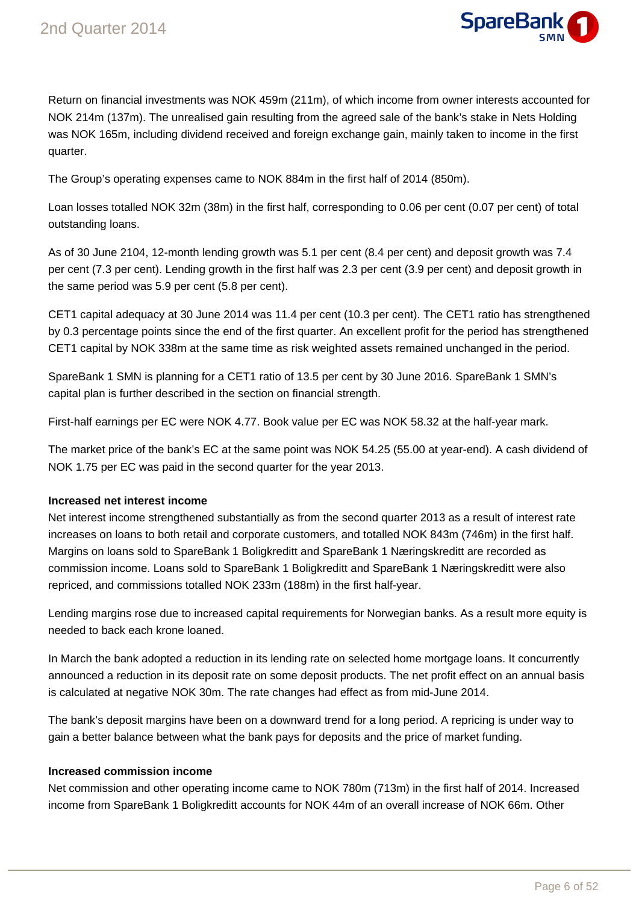

Return on financial investments was NOK 459m (211m), of which income from owner interests accounted for NOK 214m (137m). The unrealised gain resulting from the agreed sale of the bank's stake in Nets Holding was NOK 165m, including dividend received and foreign exchange gain, mainly taken to income in the first quarter.

The Group's operating expenses came to NOK 884m in the first half of 2014 (850m).

Loan losses totalled NOK 32m (38m) in the first half, corresponding to 0.06 per cent (0.07 per cent) of total outstanding loans.

As of 30 June 2104, 12-month lending growth was 5.1 per cent (8.4 per cent) and deposit growth was 7.4 per cent (7.3 per cent). Lending growth in the first half was 2.3 per cent (3.9 per cent) and deposit growth in the same period was 5.9 per cent (5.8 per cent).

CET1 capital adequacy at 30 June 2014 was 11.4 per cent (10.3 per cent). The CET1 ratio has strengthened by 0.3 percentage points since the end of the first quarter. An excellent profit for the period has strengthened CET1 capital by NOK 338m at the same time as risk weighted assets remained unchanged in the period.

SpareBank 1 SMN is planning for a CET1 ratio of 13.5 per cent by 30 June 2016. SpareBank 1 SMN's capital plan is further described in the section on financial strength.

First-half earnings per EC were NOK 4.77. Book value per EC was NOK 58.32 at the half-year mark.

The market price of the bank's EC at the same point was NOK 54.25 (55.00 at year-end). A cash dividend of NOK 1.75 per EC was paid in the second quarter for the year 2013.

### **Increased net interest income**

Net interest income strengthened substantially as from the second quarter 2013 as a result of interest rate increases on loans to both retail and corporate customers, and totalled NOK 843m (746m) in the first half. Margins on loans sold to SpareBank 1 Boligkreditt and SpareBank 1 Næringskreditt are recorded as commission income. Loans sold to SpareBank 1 Boligkreditt and SpareBank 1 Næringskreditt were also repriced, and commissions totalled NOK 233m (188m) in the first half-year.

Lending margins rose due to increased capital requirements for Norwegian banks. As a result more equity is needed to back each krone loaned.

In March the bank adopted a reduction in its lending rate on selected home mortgage loans. It concurrently announced a reduction in its deposit rate on some deposit products. The net profit effect on an annual basis is calculated at negative NOK 30m. The rate changes had effect as from mid-June 2014.

The bank's deposit margins have been on a downward trend for a long period. A repricing is under way to gain a better balance between what the bank pays for deposits and the price of market funding.

### **Increased commission income**

Net commission and other operating income came to NOK 780m (713m) in the first half of 2014. Increased income from SpareBank 1 Boligkreditt accounts for NOK 44m of an overall increase of NOK 66m. Other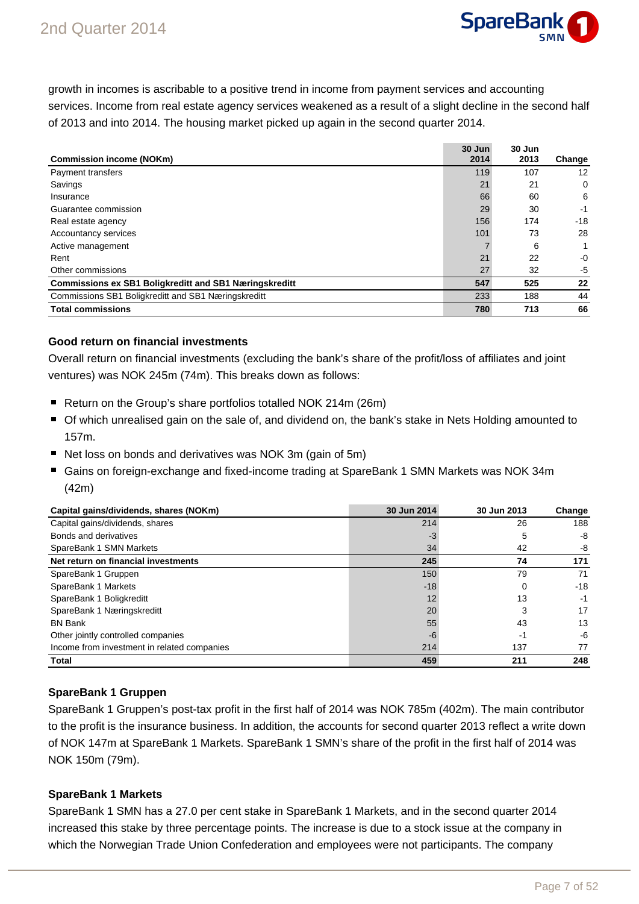

growth in incomes is ascribable to a positive trend in income from payment services and accounting services. Income from real estate agency services weakened as a result of a slight decline in the second half of 2013 and into 2014. The housing market picked up again in the second quarter 2014.

|                                                               | 30 Jun | 30 Jun |             |
|---------------------------------------------------------------|--------|--------|-------------|
| <b>Commission income (NOKm)</b>                               | 2014   | 2013   | Change      |
| Payment transfers                                             | 119    | 107    | 12          |
| Savings                                                       | 21     | 21     | $\mathbf 0$ |
| Insurance                                                     | 66     | 60     | 6           |
| Guarantee commission                                          | 29     | 30     | -1          |
| Real estate agency                                            | 156    | 174    | $-18$       |
| Accountancy services                                          | 101    | 73     | 28          |
| Active management                                             |        | 6      | 1           |
| Rent                                                          | 21     | 22     | $-0$        |
| Other commissions                                             | 27     | 32     | -5          |
| <b>Commissions ex SB1 Boligkreditt and SB1 Næringskreditt</b> | 547    | 525    | 22          |
| Commissions SB1 Boligkreditt and SB1 Næringskreditt           | 233    | 188    | 44          |
| <b>Total commissions</b>                                      | 780    | 713    | 66          |

### **Good return on financial investments**

Overall return on financial investments (excluding the bank's share of the profit/loss of affiliates and joint ventures) was NOK 245m (74m). This breaks down as follows:

- Return on the Group's share portfolios totalled NOK 214m (26m)
- Of which unrealised gain on the sale of, and dividend on, the bank's stake in Nets Holding amounted to 157m.
- Net loss on bonds and derivatives was NOK 3m (gain of 5m)
- Gains on foreign-exchange and fixed-income trading at SpareBank 1 SMN Markets was NOK 34m (42m)

| Capital gains/dividends, shares (NOKm)      | 30 Jun 2014 | 30 Jun 2013 | Change |
|---------------------------------------------|-------------|-------------|--------|
| Capital gains/dividends, shares             | 214         | 26          | 188    |
| Bonds and derivatives                       | -3          | 5           | -8     |
| SpareBank 1 SMN Markets                     | 34          | 42          | -8     |
| Net return on financial investments         | 245         | 74          | 171    |
| SpareBank 1 Gruppen                         | 150         | 79          | 71     |
| SpareBank 1 Markets                         | $-18$       | 0           | $-18$  |
| SpareBank 1 Boligkreditt                    | 12          | 13          | -1     |
| SpareBank 1 Næringskreditt                  | 20          | 3           | 17     |
| <b>BN Bank</b>                              | 55          | 43          | 13     |
| Other jointly controlled companies          | -6          | -1          | -6     |
| Income from investment in related companies | 214         | 137         | 77     |
| Total                                       | 459         | 211         | 248    |

### **SpareBank 1 Gruppen**

SpareBank 1 Gruppen's post-tax profit in the first half of 2014 was NOK 785m (402m). The main contributor to the profit is the insurance business. In addition, the accounts for second quarter 2013 reflect a write down of NOK 147m at SpareBank 1 Markets. SpareBank 1 SMN's share of the profit in the first half of 2014 was NOK 150m (79m).

### **SpareBank 1 Markets**

SpareBank 1 SMN has a 27.0 per cent stake in SpareBank 1 Markets, and in the second quarter 2014 increased this stake by three percentage points. The increase is due to a stock issue at the company in which the Norwegian Trade Union Confederation and employees were not participants. The company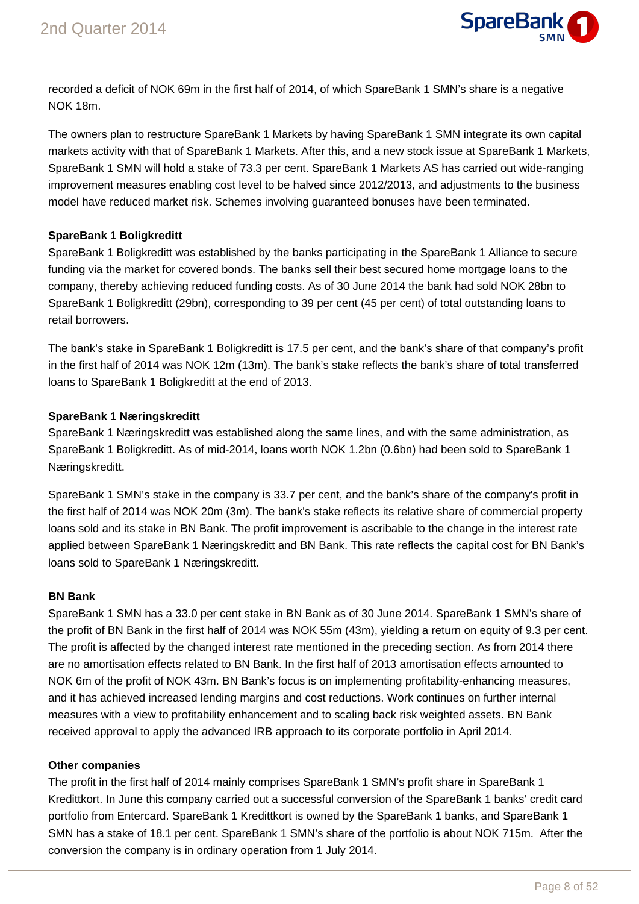

recorded a deficit of NOK 69m in the first half of 2014, of which SpareBank 1 SMN's share is a negative NOK 18m.

The owners plan to restructure SpareBank 1 Markets by having SpareBank 1 SMN integrate its own capital markets activity with that of SpareBank 1 Markets. After this, and a new stock issue at SpareBank 1 Markets, SpareBank 1 SMN will hold a stake of 73.3 per cent. SpareBank 1 Markets AS has carried out wide-ranging improvement measures enabling cost level to be halved since 2012/2013, and adjustments to the business model have reduced market risk. Schemes involving guaranteed bonuses have been terminated.

### **SpareBank 1 Boligkreditt**

SpareBank 1 Boligkreditt was established by the banks participating in the SpareBank 1 Alliance to secure funding via the market for covered bonds. The banks sell their best secured home mortgage loans to the company, thereby achieving reduced funding costs. As of 30 June 2014 the bank had sold NOK 28bn to SpareBank 1 Boligkreditt (29bn), corresponding to 39 per cent (45 per cent) of total outstanding loans to retail borrowers.

The bank's stake in SpareBank 1 Boligkreditt is 17.5 per cent, and the bank's share of that company's profit in the first half of 2014 was NOK 12m (13m). The bank's stake reflects the bank's share of total transferred loans to SpareBank 1 Boligkreditt at the end of 2013.

### **SpareBank 1 Næringskreditt**

SpareBank 1 Næringskreditt was established along the same lines, and with the same administration, as SpareBank 1 Boligkreditt. As of mid-2014, loans worth NOK 1.2bn (0.6bn) had been sold to SpareBank 1 Næringskreditt.

SpareBank 1 SMN's stake in the company is 33.7 per cent, and the bank's share of the company's profit in the first half of 2014 was NOK 20m (3m). The bank's stake reflects its relative share of commercial property loans sold and its stake in BN Bank. The profit improvement is ascribable to the change in the interest rate applied between SpareBank 1 Næringskreditt and BN Bank. This rate reflects the capital cost for BN Bank's loans sold to SpareBank 1 Næringskreditt.

### **BN Bank**

SpareBank 1 SMN has a 33.0 per cent stake in BN Bank as of 30 June 2014. SpareBank 1 SMN's share of the profit of BN Bank in the first half of 2014 was NOK 55m (43m), yielding a return on equity of 9.3 per cent. The profit is affected by the changed interest rate mentioned in the preceding section. As from 2014 there are no amortisation effects related to BN Bank. In the first half of 2013 amortisation effects amounted to NOK 6m of the profit of NOK 43m. BN Bank's focus is on implementing profitability-enhancing measures, and it has achieved increased lending margins and cost reductions. Work continues on further internal measures with a view to profitability enhancement and to scaling back risk weighted assets. BN Bank received approval to apply the advanced IRB approach to its corporate portfolio in April 2014.

### **Other companies**

The profit in the first half of 2014 mainly comprises SpareBank 1 SMN's profit share in SpareBank 1 Kredittkort. In June this company carried out a successful conversion of the SpareBank 1 banks' credit card portfolio from Entercard. SpareBank 1 Kredittkort is owned by the SpareBank 1 banks, and SpareBank 1 SMN has a stake of 18.1 per cent. SpareBank 1 SMN's share of the portfolio is about NOK 715m. After the conversion the company is in ordinary operation from 1 July 2014.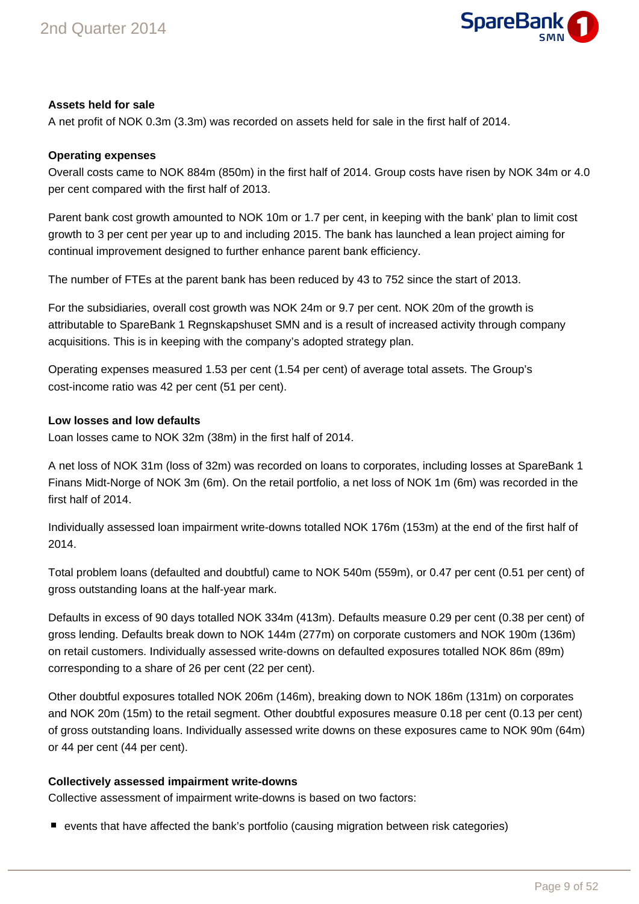

### **Assets held for sale**

A net profit of NOK 0.3m (3.3m) was recorded on assets held for sale in the first half of 2014.

### **Operating expenses**

Overall costs came to NOK 884m (850m) in the first half of 2014. Group costs have risen by NOK 34m or 4.0 per cent compared with the first half of 2013.

Parent bank cost growth amounted to NOK 10m or 1.7 per cent, in keeping with the bank' plan to limit cost growth to 3 per cent per year up to and including 2015. The bank has launched a lean project aiming for continual improvement designed to further enhance parent bank efficiency.

The number of FTEs at the parent bank has been reduced by 43 to 752 since the start of 2013.

For the subsidiaries, overall cost growth was NOK 24m or 9.7 per cent. NOK 20m of the growth is attributable to SpareBank 1 Regnskapshuset SMN and is a result of increased activity through company acquisitions. This is in keeping with the company's adopted strategy plan.

Operating expenses measured 1.53 per cent (1.54 per cent) of average total assets. The Group's cost-income ratio was 42 per cent (51 per cent).

### **Low losses and low defaults**

Loan losses came to NOK 32m (38m) in the first half of 2014.

A net loss of NOK 31m (loss of 32m) was recorded on loans to corporates, including losses at SpareBank 1 Finans Midt-Norge of NOK 3m (6m). On the retail portfolio, a net loss of NOK 1m (6m) was recorded in the first half of 2014.

Individually assessed loan impairment write-downs totalled NOK 176m (153m) at the end of the first half of 2014.

Total problem loans (defaulted and doubtful) came to NOK 540m (559m), or 0.47 per cent (0.51 per cent) of gross outstanding loans at the half-year mark.

Defaults in excess of 90 days totalled NOK 334m (413m). Defaults measure 0.29 per cent (0.38 per cent) of gross lending. Defaults break down to NOK 144m (277m) on corporate customers and NOK 190m (136m) on retail customers. Individually assessed write-downs on defaulted exposures totalled NOK 86m (89m) corresponding to a share of 26 per cent (22 per cent).

Other doubtful exposures totalled NOK 206m (146m), breaking down to NOK 186m (131m) on corporates and NOK 20m (15m) to the retail segment. Other doubtful exposures measure 0.18 per cent (0.13 per cent) of gross outstanding loans. Individually assessed write downs on these exposures came to NOK 90m (64m) or 44 per cent (44 per cent).

### **Collectively assessed impairment write-downs**

Collective assessment of impairment write-downs is based on two factors:

events that have affected the bank's portfolio (causing migration between risk categories)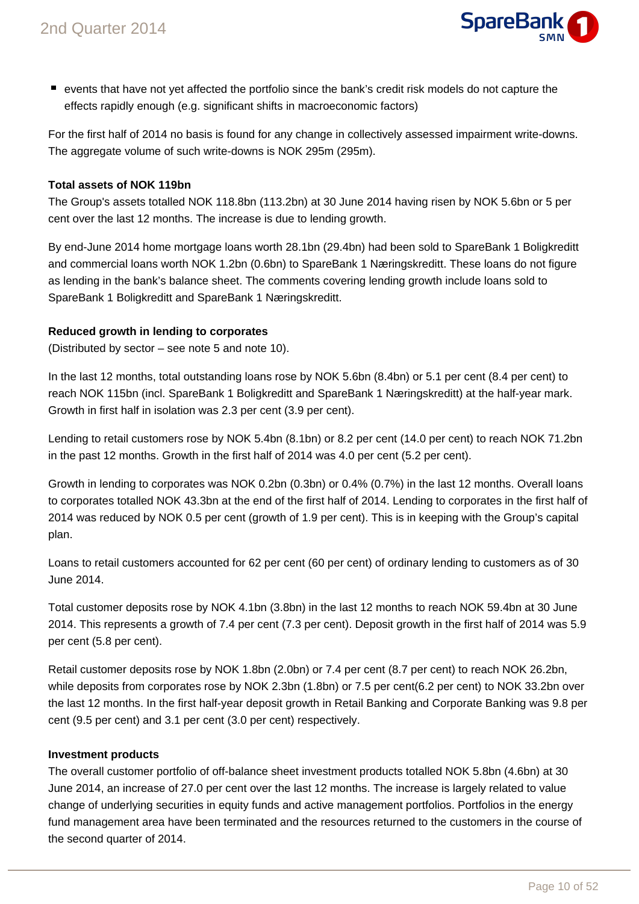

events that have not yet affected the portfolio since the bank's credit risk models do not capture the effects rapidly enough (e.g. significant shifts in macroeconomic factors)

For the first half of 2014 no basis is found for any change in collectively assessed impairment write-downs. The aggregate volume of such write-downs is NOK 295m (295m).

### **Total assets of NOK 119bn**

The Group's assets totalled NOK 118.8bn (113.2bn) at 30 June 2014 having risen by NOK 5.6bn or 5 per cent over the last 12 months. The increase is due to lending growth.

By end-June 2014 home mortgage loans worth 28.1bn (29.4bn) had been sold to SpareBank 1 Boligkreditt and commercial loans worth NOK 1.2bn (0.6bn) to SpareBank 1 Næringskreditt. These loans do not figure as lending in the bank's balance sheet. The comments covering lending growth include loans sold to SpareBank 1 Boligkreditt and SpareBank 1 Næringskreditt.

### **Reduced growth in lending to corporates**

(Distributed by sector – see note 5 and note 10).

In the last 12 months, total outstanding loans rose by NOK 5.6bn (8.4bn) or 5.1 per cent (8.4 per cent) to reach NOK 115bn (incl. SpareBank 1 Boligkreditt and SpareBank 1 Næringskreditt) at the half-year mark. Growth in first half in isolation was 2.3 per cent (3.9 per cent).

Lending to retail customers rose by NOK 5.4bn (8.1bn) or 8.2 per cent (14.0 per cent) to reach NOK 71.2bn in the past 12 months. Growth in the first half of 2014 was 4.0 per cent (5.2 per cent).

Growth in lending to corporates was NOK 0.2bn (0.3bn) or 0.4% (0.7%) in the last 12 months. Overall loans to corporates totalled NOK 43.3bn at the end of the first half of 2014. Lending to corporates in the first half of 2014 was reduced by NOK 0.5 per cent (growth of 1.9 per cent). This is in keeping with the Group's capital plan.

Loans to retail customers accounted for 62 per cent (60 per cent) of ordinary lending to customers as of 30 June 2014.

Total customer deposits rose by NOK 4.1bn (3.8bn) in the last 12 months to reach NOK 59.4bn at 30 June 2014. This represents a growth of 7.4 per cent (7.3 per cent). Deposit growth in the first half of 2014 was 5.9 per cent (5.8 per cent).

Retail customer deposits rose by NOK 1.8bn (2.0bn) or 7.4 per cent (8.7 per cent) to reach NOK 26.2bn, while deposits from corporates rose by NOK 2.3bn (1.8bn) or 7.5 per cent(6.2 per cent) to NOK 33.2bn over the last 12 months. In the first half-year deposit growth in Retail Banking and Corporate Banking was 9.8 per cent (9.5 per cent) and 3.1 per cent (3.0 per cent) respectively.

### **Investment products**

The overall customer portfolio of off-balance sheet investment products totalled NOK 5.8bn (4.6bn) at 30 June 2014, an increase of 27.0 per cent over the last 12 months. The increase is largely related to value change of underlying securities in equity funds and active management portfolios. Portfolios in the energy fund management area have been terminated and the resources returned to the customers in the course of the second quarter of 2014.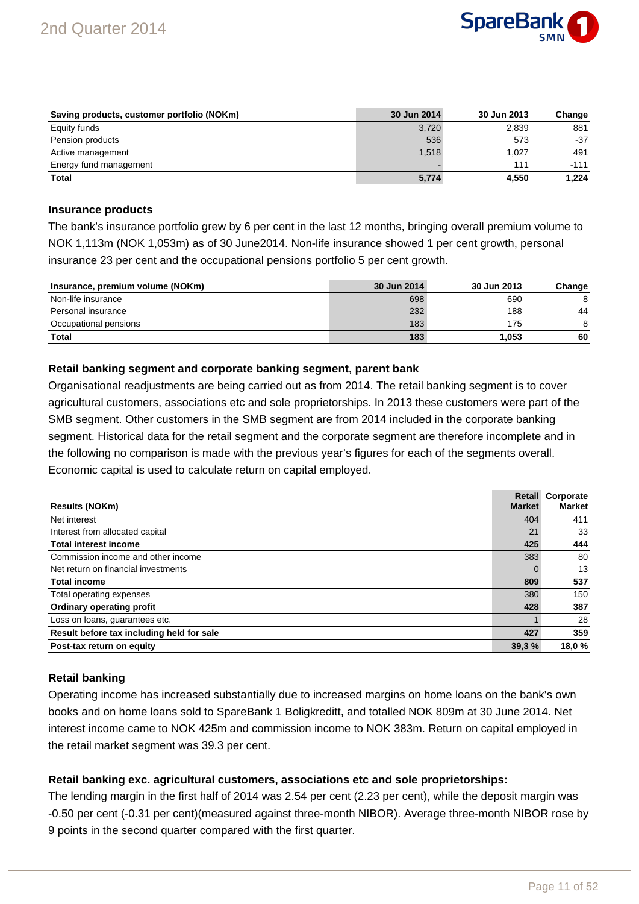

| Saving products, customer portfolio (NOKm) | 30 Jun 2014 | 30 Jun 2013 | Change |
|--------------------------------------------|-------------|-------------|--------|
| Equity funds                               | 3,720       | 2.839       | 881    |
| Pension products                           | 536         | 573         | $-37$  |
| Active management                          | 1.518       | 1.027       | 491    |
| Energy fund management                     |             | 111         | $-111$ |
| <b>Total</b>                               | 5,774       | 4.550       | 1.224  |

#### **Insurance products**

The bank's insurance portfolio grew by 6 per cent in the last 12 months, bringing overall premium volume to NOK 1,113m (NOK 1,053m) as of 30 June2014. Non-life insurance showed 1 per cent growth, personal insurance 23 per cent and the occupational pensions portfolio 5 per cent growth.

| Insurance, premium volume (NOKm) | 30 Jun 2014 | 30 Jun 2013 | Change |
|----------------------------------|-------------|-------------|--------|
| Non-life insurance               | 698         | 690         |        |
| Personal insurance               | 232         | 188         | 44     |
| Occupational pensions            | 183         | 175         | 8      |
| <b>Total</b>                     | 183         | 1.053       | 60     |

### **Retail banking segment and corporate banking segment, parent bank**

Organisational readjustments are being carried out as from 2014. The retail banking segment is to cover agricultural customers, associations etc and sole proprietorships. In 2013 these customers were part of the SMB segment. Other customers in the SMB segment are from 2014 included in the corporate banking segment. Historical data for the retail segment and the corporate segment are therefore incomplete and in the following no comparison is made with the previous year's figures for each of the segments overall. Economic capital is used to calculate return on capital employed.

| <b>Results (NOKm)</b>                     | <b>Market</b> | <b>Retail Corporate</b><br><b>Market</b> |
|-------------------------------------------|---------------|------------------------------------------|
| Net interest                              | 404           | 411                                      |
| Interest from allocated capital           | 21            | 33                                       |
| <b>Total interest income</b>              | 425           | 444                                      |
| Commission income and other income        | 383           | 80                                       |
| Net return on financial investments       |               | 13                                       |
| <b>Total income</b>                       | 809           | 537                                      |
| Total operating expenses                  | 380           | 150                                      |
| <b>Ordinary operating profit</b>          | 428           | 387                                      |
| Loss on loans, guarantees etc.            |               | 28                                       |
| Result before tax including held for sale | 427           | 359                                      |
| Post-tax return on equity                 | 39,3%         | 18,0%                                    |

### **Retail banking**

Operating income has increased substantially due to increased margins on home loans on the bank's own books and on home loans sold to SpareBank 1 Boligkreditt, and totalled NOK 809m at 30 June 2014. Net interest income came to NOK 425m and commission income to NOK 383m. Return on capital employed in the retail market segment was 39.3 per cent.

### **Retail banking exc. agricultural customers, associations etc and sole proprietorships:**

The lending margin in the first half of 2014 was 2.54 per cent (2.23 per cent), while the deposit margin was -0.50 per cent (-0.31 per cent)(measured against three-month NIBOR). Average three-month NIBOR rose by 9 points in the second quarter compared with the first quarter.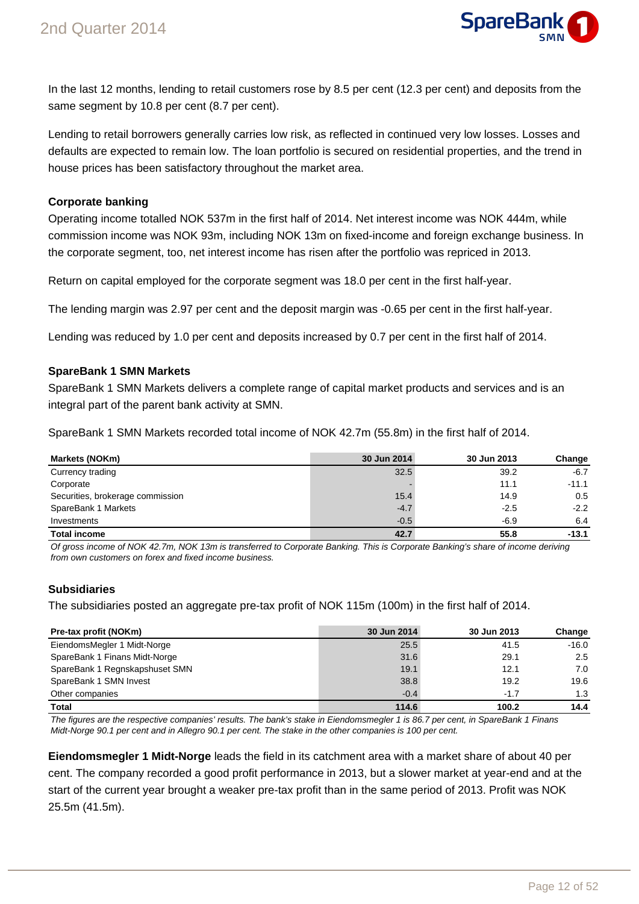

In the last 12 months, lending to retail customers rose by 8.5 per cent (12.3 per cent) and deposits from the same segment by 10.8 per cent (8.7 per cent).

Lending to retail borrowers generally carries low risk, as reflected in continued very low losses. Losses and defaults are expected to remain low. The loan portfolio is secured on residential properties, and the trend in house prices has been satisfactory throughout the market area.

### **Corporate banking**

Operating income totalled NOK 537m in the first half of 2014. Net interest income was NOK 444m, while commission income was NOK 93m, including NOK 13m on fixed-income and foreign exchange business. In the corporate segment, too, net interest income has risen after the portfolio was repriced in 2013.

Return on capital employed for the corporate segment was 18.0 per cent in the first half-year.

The lending margin was 2.97 per cent and the deposit margin was -0.65 per cent in the first half-year.

Lending was reduced by 1.0 per cent and deposits increased by 0.7 per cent in the first half of 2014.

### **SpareBank 1 SMN Markets**

SpareBank 1 SMN Markets delivers a complete range of capital market products and services and is an integral part of the parent bank activity at SMN.

SpareBank 1 SMN Markets recorded total income of NOK 42.7m (55.8m) in the first half of 2014.

| Markets (NOKm)                   | 30 Jun 2014 | 30 Jun 2013 | Change  |
|----------------------------------|-------------|-------------|---------|
| Currency trading                 | 32.5        | 39.2        | $-6.7$  |
| Corporate                        |             | 11.1        | $-11.1$ |
| Securities, brokerage commission | 15.4        | 14.9        | 0.5     |
| SpareBank 1 Markets              | $-4.7$      | $-2.5$      | $-2.2$  |
| Investments                      | $-0.5$      | $-6.9$      | 6.4     |
| <b>Total income</b>              | 42.7        | 55.8        | $-13.1$ |

Of gross income of NOK 42.7m, NOK 13m is transferred to Corporate Banking. This is Corporate Banking's share of income deriving from own customers on forex and fixed income business.

### **Subsidiaries**

The subsidiaries posted an aggregate pre-tax profit of NOK 115m (100m) in the first half of 2014.

| Pre-tax profit (NOKm)          | 30 Jun 2014 | 30 Jun 2013 | Change  |
|--------------------------------|-------------|-------------|---------|
| EiendomsMegler 1 Midt-Norge    | 25.5        | 41.5        | $-16.0$ |
| SpareBank 1 Finans Midt-Norge  | 31.6        | 29.1        | 2.5     |
| SpareBank 1 Regnskapshuset SMN | 19.1        | 12.1        | 7.0     |
| SpareBank 1 SMN Invest         | 38.8        | 19.2        | 19.6    |
| Other companies                | $-0.4$      | $-1.7$      | 1.3     |
| <b>Total</b>                   | 114.6       | 100.2       | 14.4    |

The figures are the respective companies' results. The bank's stake in Eiendomsmegler 1 is 86.7 per cent, in SpareBank 1 Finans Midt-Norge 90.1 per cent and in Allegro 90.1 per cent. The stake in the other companies is 100 per cent.

**Eiendomsmegler 1 Midt-Norge** leads the field in its catchment area with a market share of about 40 per cent. The company recorded a good profit performance in 2013, but a slower market at year-end and at the start of the current year brought a weaker pre-tax profit than in the same period of 2013. Profit was NOK 25.5m (41.5m).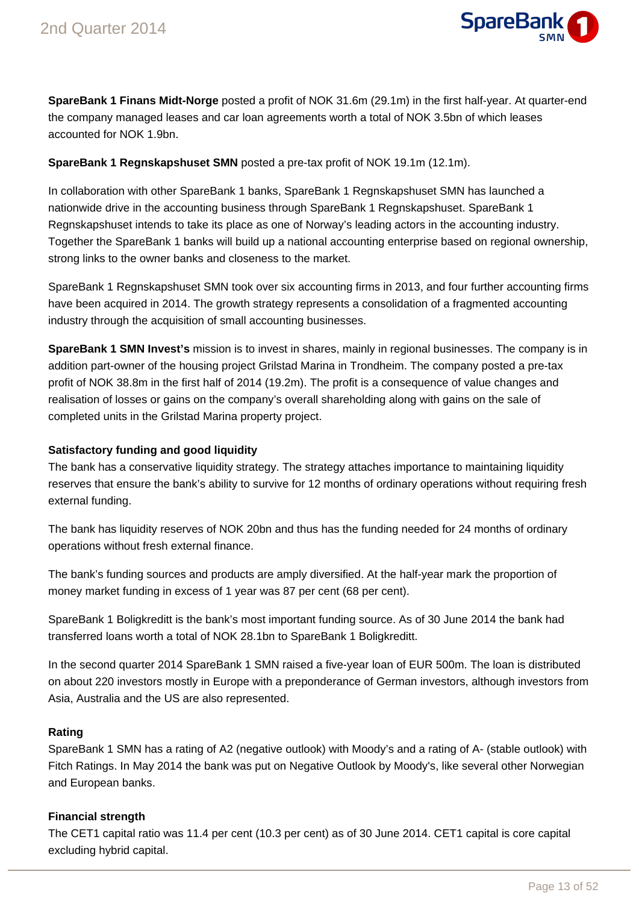

**SpareBank 1 Finans Midt-Norge** posted a profit of NOK 31.6m (29.1m) in the first half-year. At quarter-end the company managed leases and car loan agreements worth a total of NOK 3.5bn of which leases accounted for NOK 1.9bn.

### **SpareBank 1 Regnskapshuset SMN** posted a pre-tax profit of NOK 19.1m (12.1m).

In collaboration with other SpareBank 1 banks, SpareBank 1 Regnskapshuset SMN has launched a nationwide drive in the accounting business through SpareBank 1 Regnskapshuset. SpareBank 1 Regnskapshuset intends to take its place as one of Norway's leading actors in the accounting industry. Together the SpareBank 1 banks will build up a national accounting enterprise based on regional ownership, strong links to the owner banks and closeness to the market.

SpareBank 1 Regnskapshuset SMN took over six accounting firms in 2013, and four further accounting firms have been acquired in 2014. The growth strategy represents a consolidation of a fragmented accounting industry through the acquisition of small accounting businesses.

**SpareBank 1 SMN Invest's** mission is to invest in shares, mainly in regional businesses. The company is in addition part-owner of the housing project Grilstad Marina in Trondheim. The company posted a pre-tax profit of NOK 38.8m in the first half of 2014 (19.2m). The profit is a consequence of value changes and realisation of losses or gains on the company's overall shareholding along with gains on the sale of completed units in the Grilstad Marina property project.

### **Satisfactory funding and good liquidity**

The bank has a conservative liquidity strategy. The strategy attaches importance to maintaining liquidity reserves that ensure the bank's ability to survive for 12 months of ordinary operations without requiring fresh external funding.

The bank has liquidity reserves of NOK 20bn and thus has the funding needed for 24 months of ordinary operations without fresh external finance.

The bank's funding sources and products are amply diversified. At the half-year mark the proportion of money market funding in excess of 1 year was 87 per cent (68 per cent).

SpareBank 1 Boligkreditt is the bank's most important funding source. As of 30 June 2014 the bank had transferred loans worth a total of NOK 28.1bn to SpareBank 1 Boligkreditt.

In the second quarter 2014 SpareBank 1 SMN raised a five-year loan of EUR 500m. The loan is distributed on about 220 investors mostly in Europe with a preponderance of German investors, although investors from Asia, Australia and the US are also represented.

### **Rating**

SpareBank 1 SMN has a rating of A2 (negative outlook) with Moody's and a rating of A- (stable outlook) with Fitch Ratings. In May 2014 the bank was put on Negative Outlook by Moody's, like several other Norwegian and European banks.

### **Financial strength**

The CET1 capital ratio was 11.4 per cent (10.3 per cent) as of 30 June 2014. CET1 capital is core capital excluding hybrid capital.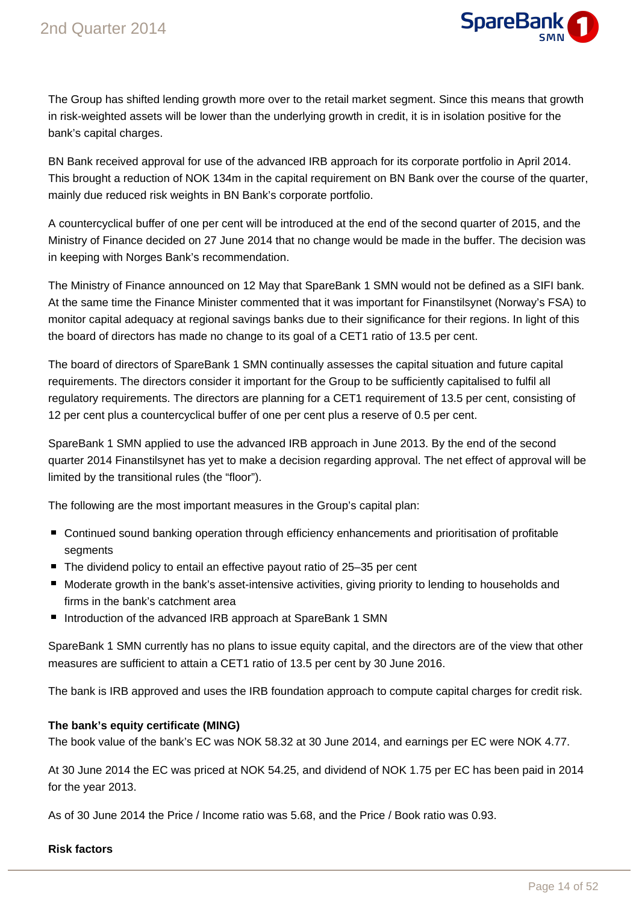

The Group has shifted lending growth more over to the retail market segment. Since this means that growth in risk-weighted assets will be lower than the underlying growth in credit, it is in isolation positive for the bank's capital charges.

BN Bank received approval for use of the advanced IRB approach for its corporate portfolio in April 2014. This brought a reduction of NOK 134m in the capital requirement on BN Bank over the course of the quarter, mainly due reduced risk weights in BN Bank's corporate portfolio.

A countercyclical buffer of one per cent will be introduced at the end of the second quarter of 2015, and the Ministry of Finance decided on 27 June 2014 that no change would be made in the buffer. The decision was in keeping with Norges Bank's recommendation.

The Ministry of Finance announced on 12 May that SpareBank 1 SMN would not be defined as a SIFI bank. At the same time the Finance Minister commented that it was important for Finanstilsynet (Norway's FSA) to monitor capital adequacy at regional savings banks due to their significance for their regions. In light of this the board of directors has made no change to its goal of a CET1 ratio of 13.5 per cent.

The board of directors of SpareBank 1 SMN continually assesses the capital situation and future capital requirements. The directors consider it important for the Group to be sufficiently capitalised to fulfil all regulatory requirements. The directors are planning for a CET1 requirement of 13.5 per cent, consisting of 12 per cent plus a countercyclical buffer of one per cent plus a reserve of 0.5 per cent.

SpareBank 1 SMN applied to use the advanced IRB approach in June 2013. By the end of the second quarter 2014 Finanstilsynet has yet to make a decision regarding approval. The net effect of approval will be limited by the transitional rules (the "floor").

The following are the most important measures in the Group's capital plan:

- Continued sound banking operation through efficiency enhancements and prioritisation of profitable segments
- The dividend policy to entail an effective payout ratio of 25–35 per cent
- Moderate growth in the bank's asset-intensive activities, giving priority to lending to households and firms in the bank's catchment area
- Introduction of the advanced IRB approach at SpareBank 1 SMN

SpareBank 1 SMN currently has no plans to issue equity capital, and the directors are of the view that other measures are sufficient to attain a CET1 ratio of 13.5 per cent by 30 June 2016.

The bank is IRB approved and uses the IRB foundation approach to compute capital charges for credit risk.

### **The bank's equity certificate (MING)**

The book value of the bank's EC was NOK 58.32 at 30 June 2014, and earnings per EC were NOK 4.77.

At 30 June 2014 the EC was priced at NOK 54.25, and dividend of NOK 1.75 per EC has been paid in 2014 for the year 2013.

As of 30 June 2014 the Price / Income ratio was 5.68, and the Price / Book ratio was 0.93.

#### **Risk factors**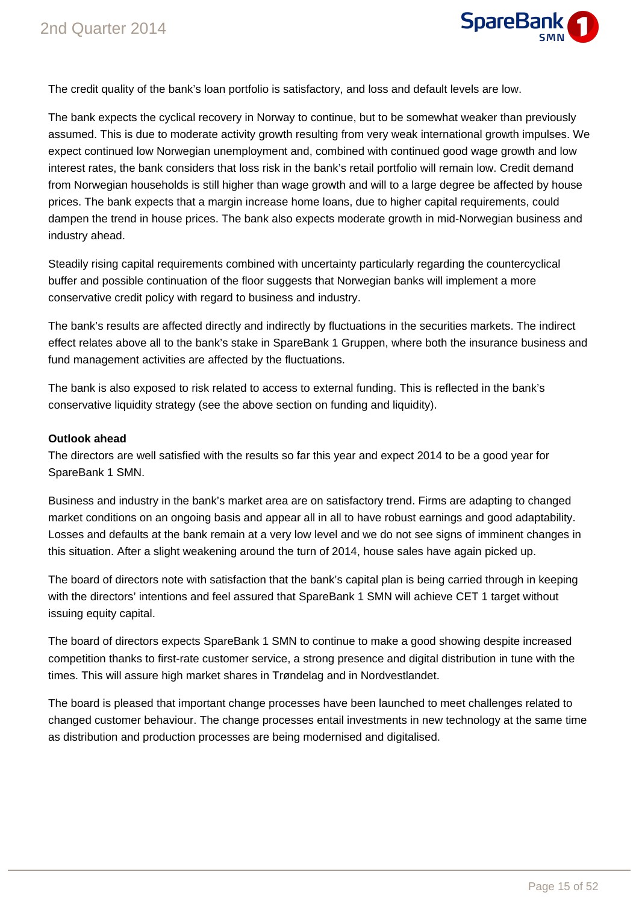

The credit quality of the bank's loan portfolio is satisfactory, and loss and default levels are low.

The bank expects the cyclical recovery in Norway to continue, but to be somewhat weaker than previously assumed. This is due to moderate activity growth resulting from very weak international growth impulses. We expect continued low Norwegian unemployment and, combined with continued good wage growth and low interest rates, the bank considers that loss risk in the bank's retail portfolio will remain low. Credit demand from Norwegian households is still higher than wage growth and will to a large degree be affected by house prices. The bank expects that a margin increase home loans, due to higher capital requirements, could dampen the trend in house prices. The bank also expects moderate growth in mid-Norwegian business and industry ahead.

Steadily rising capital requirements combined with uncertainty particularly regarding the countercyclical buffer and possible continuation of the floor suggests that Norwegian banks will implement a more conservative credit policy with regard to business and industry.

The bank's results are affected directly and indirectly by fluctuations in the securities markets. The indirect effect relates above all to the bank's stake in SpareBank 1 Gruppen, where both the insurance business and fund management activities are affected by the fluctuations.

The bank is also exposed to risk related to access to external funding. This is reflected in the bank's conservative liquidity strategy (see the above section on funding and liquidity).

### **Outlook ahead**

The directors are well satisfied with the results so far this year and expect 2014 to be a good year for SpareBank 1 SMN.

Business and industry in the bank's market area are on satisfactory trend. Firms are adapting to changed market conditions on an ongoing basis and appear all in all to have robust earnings and good adaptability. Losses and defaults at the bank remain at a very low level and we do not see signs of imminent changes in this situation. After a slight weakening around the turn of 2014, house sales have again picked up.

The board of directors note with satisfaction that the bank's capital plan is being carried through in keeping with the directors' intentions and feel assured that SpareBank 1 SMN will achieve CET 1 target without issuing equity capital.

The board of directors expects SpareBank 1 SMN to continue to make a good showing despite increased competition thanks to first-rate customer service, a strong presence and digital distribution in tune with the times. This will assure high market shares in Trøndelag and in Nordvestlandet.

The board is pleased that important change processes have been launched to meet challenges related to changed customer behaviour. The change processes entail investments in new technology at the same time as distribution and production processes are being modernised and digitalised.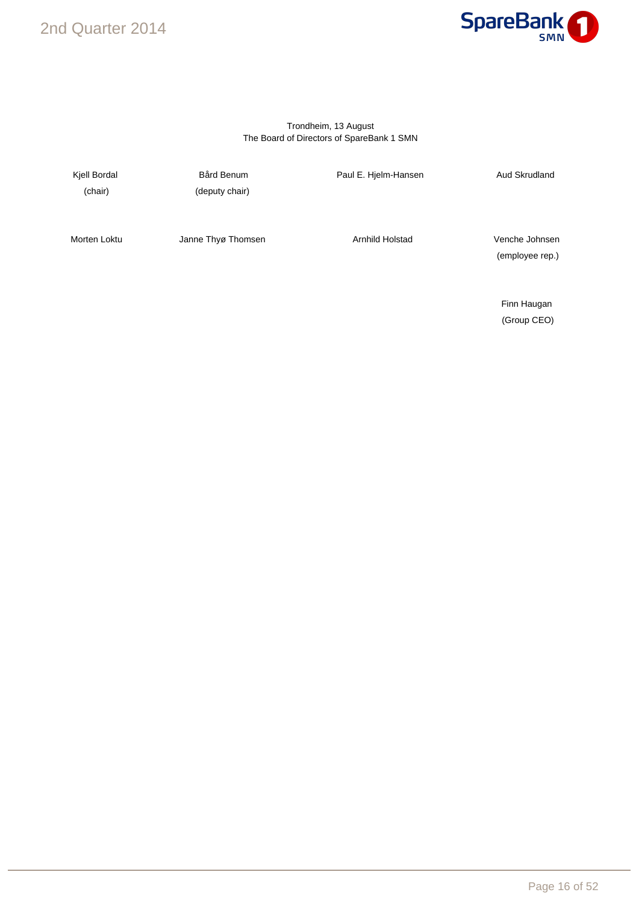### 2nd Quarter 2014



#### Trondheim, 13 August The Board of Directors of SpareBank 1 SMN

(chair) (deputy chair)

Kjell Bordal **Bård Benum** Bård Benum Paul E. Hjelm-Hansen **Aud Skrudland** 

Morten Loktu **Janne Thyø Thomsen** Arnhild Holstad Venche Johnsen

(employee rep.)

Finn Haugan (Group CEO)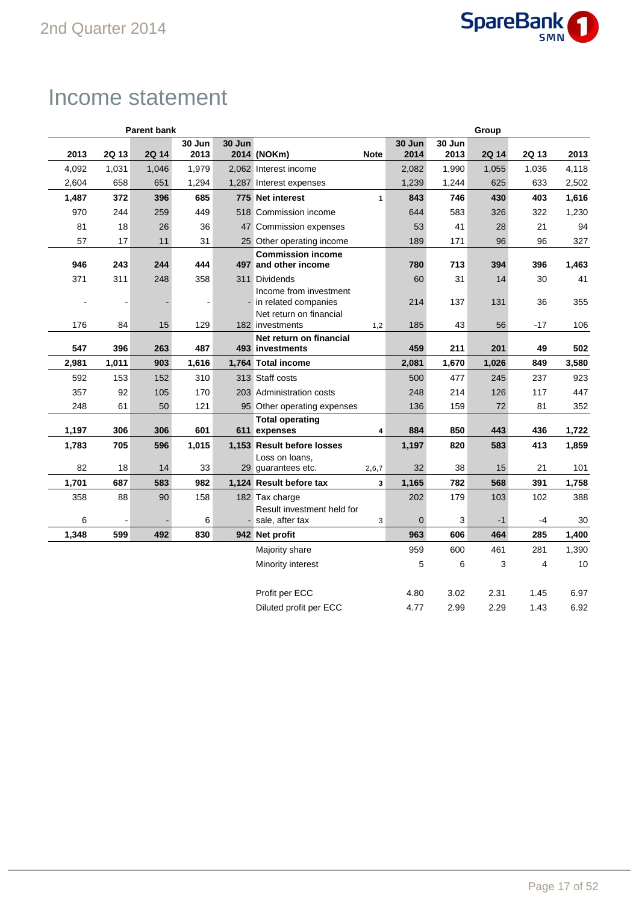

## Income statement

|       |       | <b>Parent bank</b> |        |        | Group                                            |              |             |        |       |       |       |
|-------|-------|--------------------|--------|--------|--------------------------------------------------|--------------|-------------|--------|-------|-------|-------|
|       |       |                    | 30 Jun | 30 Jun |                                                  |              | 30 Jun      | 30 Jun |       |       |       |
| 2013  | 2Q 13 | 2Q 14              | 2013   |        | 2014 (NOKm)                                      | <b>Note</b>  | 2014        | 2013   | 2Q 14 | 2Q 13 | 2013  |
| 4,092 | 1,031 | 1,046              | 1,979  |        | 2,062 Interest income                            |              | 2,082       | 1,990  | 1,055 | 1,036 | 4,118 |
| 2,604 | 658   | 651                | 1,294  |        | 1,287 Interest expenses                          |              | 1,239       | 1,244  | 625   | 633   | 2,502 |
| 1,487 | 372   | 396                | 685    |        | 775 Net interest                                 | $\mathbf{1}$ | 843         | 746    | 430   | 403   | 1,616 |
| 970   | 244   | 259                | 449    |        | 518 Commission income                            |              | 644         | 583    | 326   | 322   | 1,230 |
| 81    | 18    | 26                 | 36     |        | 47 Commission expenses                           |              | 53          | 41     | 28    | 21    | 94    |
| 57    | 17    | 11                 | 31     |        | 25 Other operating income                        |              | 189         | 171    | 96    | 96    | 327   |
|       |       |                    |        |        | <b>Commission income</b>                         |              |             |        |       |       |       |
| 946   | 243   | 244                | 444    |        | 497 and other income                             |              | 780         | 713    | 394   | 396   | 1,463 |
| 371   | 311   | 248                | 358    |        | 311 Dividends                                    |              | 60          | 31     | 14    | 30    | 41    |
| ÷,    |       |                    |        |        | Income from investment<br>- in related companies |              | 214         | 137    | 131   | 36    | 355   |
|       |       |                    |        |        | Net return on financial                          |              |             |        |       |       |       |
| 176   | 84    | 15                 | 129    |        | 182 investments                                  | 1,2          | 185         | 43     | 56    | $-17$ | 106   |
|       |       |                    |        |        | Net return on financial                          |              |             |        |       |       |       |
| 547   | 396   | 263                | 487    |        | 493 investments                                  |              | 459         | 211    | 201   | 49    | 502   |
| 2,981 | 1,011 | 903                | 1,616  |        | 1,764 Total income                               |              | 2,081       | 1,670  | 1,026 | 849   | 3,580 |
| 592   | 153   | 152                | 310    |        | 313 Staff costs                                  |              | 500         | 477    | 245   | 237   | 923   |
| 357   | 92    | 105                | 170    |        | 203 Administration costs                         |              | 248         | 214    | 126   | 117   | 447   |
| 248   | 61    | 50                 | 121    |        | 95 Other operating expenses                      |              | 136         | 159    | 72    | 81    | 352   |
|       |       |                    |        |        | <b>Total operating</b>                           |              |             |        |       |       |       |
| 1,197 | 306   | 306                | 601    |        | 611 expenses                                     | 4            | 884         | 850    | 443   | 436   | 1,722 |
| 1,783 | 705   | 596                | 1,015  |        | 1,153 Result before losses                       |              | 1,197       | 820    | 583   | 413   | 1,859 |
| 82    | 18    | 14                 | 33     |        | Loss on loans,<br>29 guarantees etc.             | 2,6,7        | 32          | 38     | 15    | 21    | 101   |
| 1,701 | 687   | 583                | 982    |        | 1,124 Result before tax                          | 3            | 1,165       | 782    | 568   | 391   | 1,758 |
| 358   | 88    | 90                 | 158    |        | 182 Tax charge                                   |              | 202         | 179    | 103   | 102   | 388   |
|       |       |                    |        |        | Result investment held for                       |              |             |        |       |       |       |
| 6     |       |                    | 6      |        | - sale, after tax                                | 3            | $\mathbf 0$ | 3      | $-1$  | $-4$  | 30    |
| 1,348 | 599   | 492                | 830    |        | 942 Net profit                                   |              | 963         | 606    | 464   | 285   | 1,400 |
|       |       |                    |        |        | Majority share                                   |              | 959         | 600    | 461   | 281   | 1,390 |
|       |       |                    |        |        | Minority interest                                |              | 5           | 6      | 3     | 4     | 10    |
|       |       |                    |        |        |                                                  |              |             |        |       |       |       |
|       |       |                    |        |        | Profit per ECC                                   |              | 4.80        | 3.02   | 2.31  | 1.45  | 6.97  |
|       |       |                    |        |        | Diluted profit per ECC                           |              | 4.77        | 2.99   | 2.29  | 1.43  | 6.92  |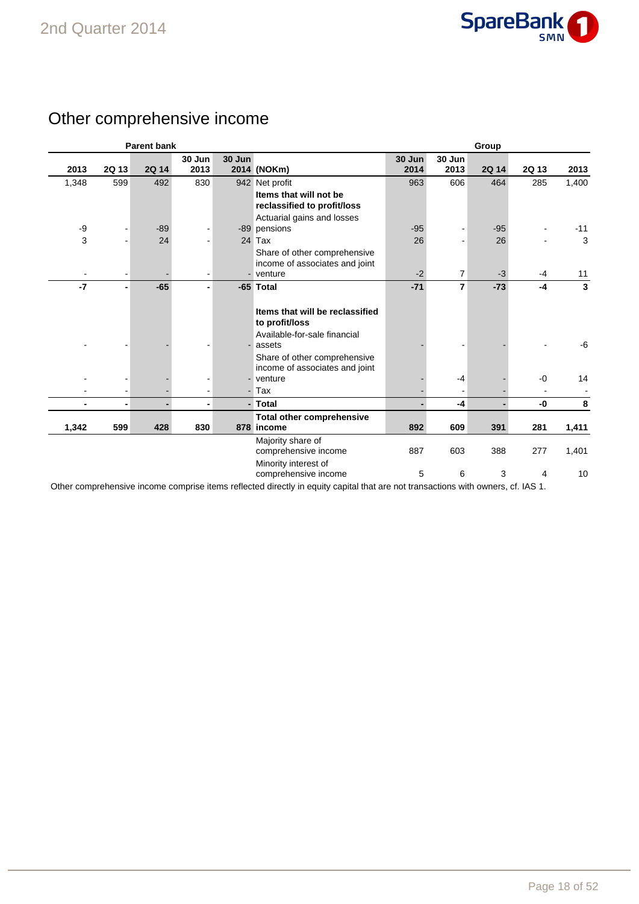

### Other comprehensive income

|                |                | <b>Parent bank</b> |                          |        |                                          | Group  |                |       |       |       |
|----------------|----------------|--------------------|--------------------------|--------|------------------------------------------|--------|----------------|-------|-------|-------|
|                |                |                    | 30 Jun                   | 30 Jun |                                          | 30 Jun | 30 Jun         |       |       |       |
| 2013           | 2Q 13          | 2Q 14              | 2013                     |        | 2014 (NOKm)                              | 2014   | 2013           | 2Q 14 | 2Q 13 | 2013  |
| 1,348          | 599            | 492                | 830                      |        | 942 Net profit                           | 963    | 606            | 464   | 285   | 1,400 |
|                |                |                    |                          |        | Items that will not be                   |        |                |       |       |       |
|                |                |                    |                          |        | reclassified to profit/loss              |        |                |       |       |       |
|                |                |                    |                          |        | Actuarial gains and losses               |        |                |       |       |       |
| -9             |                | $-89$              |                          |        | -89 pensions                             | $-95$  |                | $-95$ |       | $-11$ |
| 3              |                | 24                 |                          |        | 24 Tax                                   | 26     |                | 26    |       | 3     |
|                |                |                    |                          |        | Share of other comprehensive             |        |                |       |       |       |
|                |                |                    |                          |        | income of associates and joint           |        |                |       |       |       |
|                |                |                    |                          |        | - venture                                | $-2$   | $\overline{7}$ | $-3$  | $-4$  | 11    |
| $-7$           |                | $-65$              |                          |        | -65 Total                                | $-71$  | $\overline{7}$ | $-73$ | $-4$  | 3     |
|                |                |                    |                          |        |                                          |        |                |       |       |       |
|                |                |                    |                          |        | Items that will be reclassified          |        |                |       |       |       |
|                |                |                    |                          |        | to profit/loss                           |        |                |       |       |       |
|                |                |                    |                          |        | Available-for-sale financial             |        |                |       |       |       |
|                |                |                    |                          |        | assets                                   |        |                |       |       | -6    |
|                |                |                    |                          |        | Share of other comprehensive             |        |                |       |       |       |
|                |                |                    |                          |        | income of associates and joint           |        |                |       |       |       |
|                |                |                    |                          |        | venture                                  |        | $-4$           |       | $-0$  | 14    |
|                | $\blacksquare$ |                    | $\overline{\phantom{a}}$ |        | - Tax                                    |        |                |       |       |       |
| $\blacksquare$ | ٠              | $\blacksquare$     | ٠                        |        | - Total                                  |        | $-4$           |       | -0    | 8     |
|                |                |                    |                          |        | <b>Total other comprehensive</b>         |        |                |       |       |       |
| 1,342          | 599            | 428                | 830                      |        | 878 income                               | 892    | 609            | 391   | 281   | 1,411 |
|                |                |                    |                          |        | Majority share of                        |        |                |       |       |       |
|                |                |                    |                          |        | comprehensive income                     | 887    | 603            | 388   | 277   | 1,401 |
|                |                |                    |                          |        | Minority interest of                     |        |                |       |       |       |
|                |                |                    |                          |        | comprehensive income                     | 5      | 6              | 3     | 4     | 10    |
|                |                |                    |                          |        | the contract of the contract of the con- |        | $\cdots$       |       |       |       |

Other comprehensive income comprise items reflected directly in equity capital that are not transactions with owners, cf. IAS 1.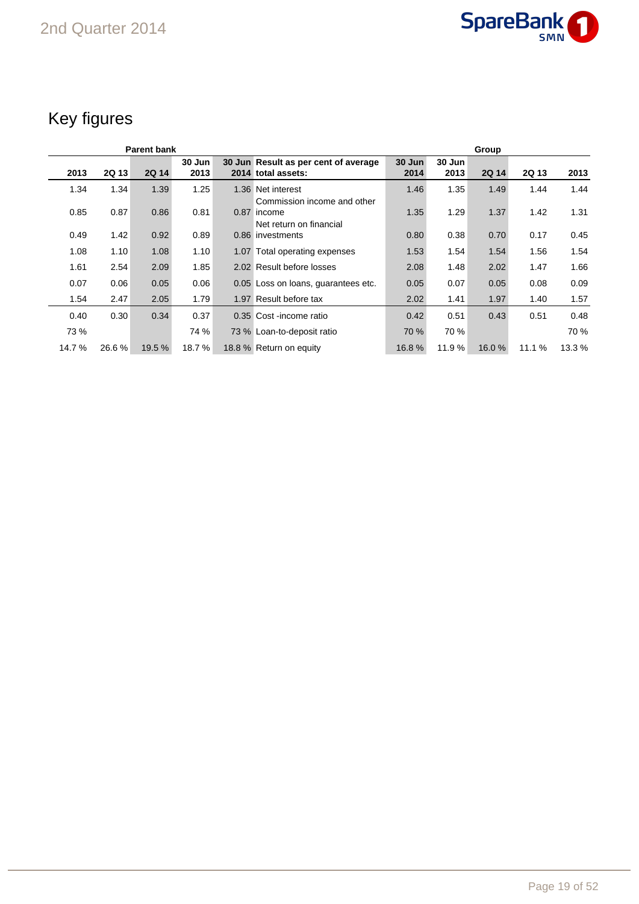

## Key figures

|        |       | <b>Parent bank</b> |                | Group                                                                 |                |                |              |       |        |  |
|--------|-------|--------------------|----------------|-----------------------------------------------------------------------|----------------|----------------|--------------|-------|--------|--|
| 2013   | 2Q 13 | <b>2Q 14</b>       | 30 Jun<br>2013 | 30 Jun Result as per cent of average<br>2014 total assets:            | 30 Jun<br>2014 | 30 Jun<br>2013 | <b>2Q 14</b> | 2Q 13 | 2013   |  |
| 1.34   | 1.34  | 1.39               | 1.25           | 1.36 Net interest                                                     | 1.46           | 1.35           | 1.49         | 1.44  | 1.44   |  |
| 0.85   | 0.87  | 0.86               | 0.81           | Commission income and other<br>0.87 income<br>Net return on financial | 1.35           | 1.29           | 1.37         | 1.42  | 1.31   |  |
| 0.49   | 1.42  | 0.92               | 0.89           | 0.86 investments                                                      | 0.80           | 0.38           | 0.70         | 0.17  | 0.45   |  |
| 1.08   | 1.10  | 1.08               | 1.10           | 1.07 Total operating expenses                                         | 1.53           | 1.54           | 1.54         | 1.56  | 1.54   |  |
| 1.61   | 2.54  | 2.09               | 1.85           | 2.02 Result before losses                                             | 2.08           | 1.48           | 2.02         | 1.47  | 1.66   |  |
| 0.07   | 0.06  | 0.05               | 0.06           | 0.05 Loss on loans, guarantees etc.                                   | 0.05           | 0.07           | 0.05         | 0.08  | 0.09   |  |
| 1.54   | 2.47  | 2.05               | 1.79           | 1.97 Result before tax                                                | 2.02           | 1.41           | 1.97         | 1.40  | 1.57   |  |
| 0.40   | 0.30  | 0.34               | 0.37           | 0.35 Cost-income ratio                                                | 0.42           | 0.51           | 0.43         | 0.51  | 0.48   |  |
| 73 %   |       |                    | 74 %           | 73 % Loan-to-deposit ratio                                            | 70 %           | 70 %           |              |       | 70 %   |  |
| 14.7 % | 26.6% | 19.5 %             | 18.7%          | 18.8 % Return on equity                                               | 16.8%          | 11.9%          | 16.0%        | 11.1% | 13.3 % |  |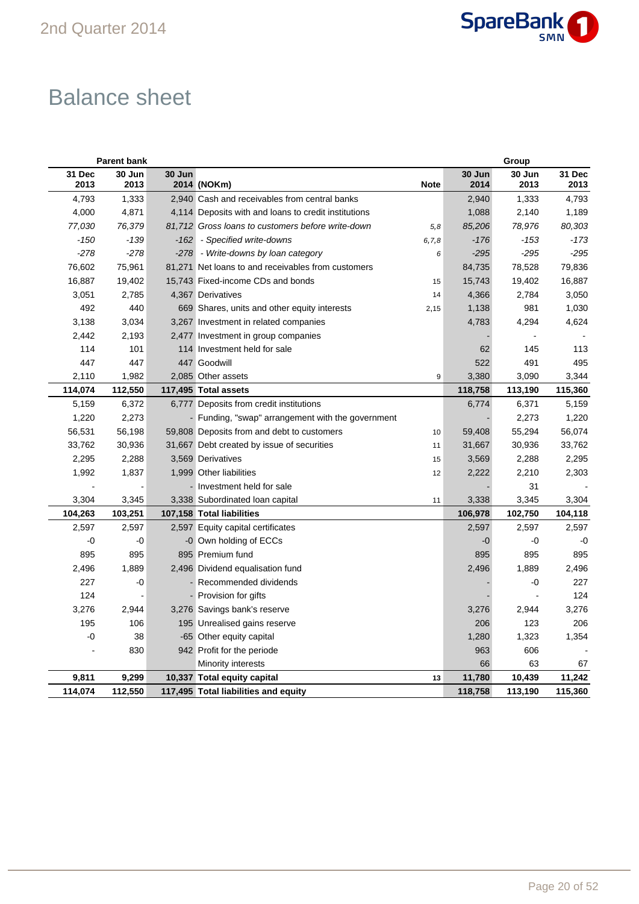

## Balance sheet

|                | <b>Parent bank</b> |        |                                                      |             |                | Group          |                |
|----------------|--------------------|--------|------------------------------------------------------|-------------|----------------|----------------|----------------|
| 31 Dec<br>2013 | 30 Jun<br>2013     | 30 Jun | 2014 (NOKm)                                          | <b>Note</b> | 30 Jun<br>2014 | 30 Jun<br>2013 | 31 Dec<br>2013 |
| 4,793          | 1,333              |        | 2,940 Cash and receivables from central banks        |             | 2,940          | 1,333          | 4,793          |
| 4,000          | 4,871              |        | 4,114 Deposits with and loans to credit institutions |             | 1,088          | 2,140          | 1,189          |
| 77,030         | 76,379             |        | 81,712 Gross loans to customers before write-down    | 5,8         | 85,206         | 78,976         | 80,303         |
| $-150$         | $-139$             | $-162$ | - Specified write-downs                              | 6, 7, 8     | $-176$         | $-153$         | $-173$         |
| $-278$         | $-278$             |        | -278 - Write-downs by loan category                  | 6           | $-295$         | $-295$         | $-295$         |
| 76,602         | 75,961             |        | 81,271 Net loans to and receivables from customers   |             | 84,735         | 78,528         | 79,836         |
| 16,887         | 19,402             |        | 15,743 Fixed-income CDs and bonds                    | 15          | 15,743         | 19,402         | 16,887         |
| 3,051          | 2,785              |        | 4,367 Derivatives                                    | 14          | 4,366          | 2,784          | 3,050          |
| 492            | 440                |        | 669 Shares, units and other equity interests         | 2,15        | 1,138          | 981            | 1,030          |
| 3,138          | 3,034              |        | 3,267 Investment in related companies                |             | 4,783          | 4,294          | 4,624          |
| 2,442          | 2,193              |        | 2,477 Investment in group companies                  |             |                |                |                |
| 114            | 101                |        | 114 Investment held for sale                         |             | 62             | 145            | 113            |
| 447            | 447                |        | 447 Goodwill                                         |             | 522            | 491            | 495            |
| 2,110          | 1,982              |        | 2,085 Other assets                                   | 9           | 3,380          | 3,090          | 3,344          |
| 114,074        | 112,550            |        | 117,495 Total assets                                 |             | 118,758        | 113,190        | 115,360        |
| 5,159          | 6,372              |        | 6,777 Deposits from credit institutions              |             | 6,774          | 6,371          | 5,159          |
| 1,220          | 2,273              |        | - Funding, "swap" arrangement with the government    |             |                | 2,273          | 1,220          |
| 56,531         | 56,198             |        | 59,808 Deposits from and debt to customers           | 10          | 59,408         | 55,294         | 56,074         |
| 33,762         | 30,936             |        | 31,667 Debt created by issue of securities           | 11          | 31,667         | 30,936         | 33,762         |
| 2,295          | 2,288              |        | 3,569 Derivatives                                    | 15          | 3,569          | 2,288          | 2,295          |
| 1,992          | 1,837              |        | 1,999 Other liabilities                              | 12          | 2,222          | 2,210          | 2,303          |
|                |                    |        | - Investment held for sale                           |             |                | 31             |                |
| 3,304          | 3,345              |        | 3,338 Subordinated loan capital                      | 11          | 3,338          | 3,345          | 3,304          |
| 104,263        | 103,251            |        | 107,158 Total liabilities                            |             | 106,978        | 102,750        | 104,118        |
| 2,597          | 2,597              |        | 2,597 Equity capital certificates                    |             | 2,597          | 2,597          | 2,597          |
| -0             | -0                 |        | -0 Own holding of ECCs                               |             | -0             | -0             | -0             |
| 895            | 895                |        | 895 Premium fund                                     |             | 895            | 895            | 895            |
| 2,496          | 1,889              |        | 2,496 Dividend equalisation fund                     |             | 2,496          | 1,889          | 2,496          |
| 227            | -0                 |        | Recommended dividends                                |             |                | -0             | 227            |
| 124            |                    |        | - Provision for gifts                                |             |                |                | 124            |
| 3,276          | 2,944              |        | 3,276 Savings bank's reserve                         |             | 3,276          | 2,944          | 3,276          |
| 195            | 106                |        | 195 Unrealised gains reserve                         |             | 206            | 123            | 206            |
| -0             | 38                 |        | -65 Other equity capital                             |             | 1,280          | 1,323          | 1,354          |
|                | 830                |        | 942 Profit for the periode                           |             | 963            | 606            |                |
|                |                    |        | Minority interests                                   |             | 66             | 63             | 67             |
| 9,811          | 9,299              |        | 10,337 Total equity capital                          | 13          | 11,780         | 10,439         | 11,242         |
| 114,074        | 112,550            |        | 117,495 Total liabilities and equity                 |             | 118,758        | 113,190        | 115,360        |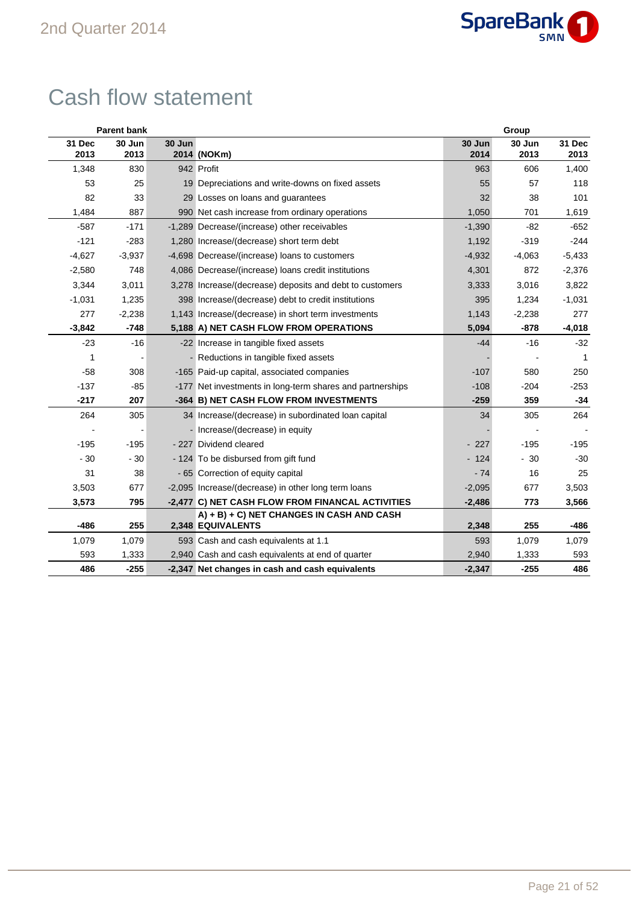

## Cash flow statement

| <b>Parent bank</b> |                |        |                                                                | Group          |                |                |  |  |
|--------------------|----------------|--------|----------------------------------------------------------------|----------------|----------------|----------------|--|--|
| 31 Dec<br>2013     | 30 Jun<br>2013 | 30 Jun | 2014 (NOKm)                                                    | 30 Jun<br>2014 | 30 Jun<br>2013 | 31 Dec<br>2013 |  |  |
| 1,348              | 830            |        | 942 Profit                                                     | 963            | 606            | 1,400          |  |  |
| 53                 | 25             |        | 19 Depreciations and write-downs on fixed assets               | 55             | 57             | 118            |  |  |
| 82                 | 33             |        | 29 Losses on loans and guarantees                              | 32             | 38             | 101            |  |  |
| 1,484              | 887            |        | 990 Net cash increase from ordinary operations                 | 1,050          | 701            | 1,619          |  |  |
| $-587$             | $-171$         |        | -1,289 Decrease/(increase) other receivables                   | $-1,390$       | $-82$          | $-652$         |  |  |
| $-121$             | $-283$         |        | 1,280 Increase/(decrease) short term debt                      | 1,192          | $-319$         | $-244$         |  |  |
| $-4,627$           | $-3,937$       |        | -4,698 Decrease/(increase) loans to customers                  | $-4,932$       | $-4,063$       | $-5,433$       |  |  |
| $-2,580$           | 748            |        | 4,086 Decrease/(increase) loans credit institutions            | 4,301          | 872            | $-2,376$       |  |  |
| 3,344              | 3,011          |        | 3,278 Increase/(decrease) deposits and debt to customers       | 3,333          | 3,016          | 3,822          |  |  |
| $-1,031$           | 1,235          |        | 398 Increase/(decrease) debt to credit institutions            | 395            | 1,234          | $-1,031$       |  |  |
| 277                | $-2,238$       |        | 1,143 Increase/(decrease) in short term investments            | 1,143          | $-2,238$       | 277            |  |  |
| $-3,842$           | $-748$         |        | 5,188 A) NET CASH FLOW FROM OPERATIONS                         | 5,094          | $-878$         | $-4,018$       |  |  |
| $-23$              | $-16$          |        | -22 Increase in tangible fixed assets                          | $-44$          | $-16$          | $-32$          |  |  |
| 1                  |                |        | - Reductions in tangible fixed assets                          |                |                | 1              |  |  |
| $-58$              | 308            |        | -165 Paid-up capital, associated companies                     | $-107$         | 580            | 250            |  |  |
| $-137$             | $-85$          |        | -177 Net investments in long-term shares and partnerships      | $-108$         | $-204$         | $-253$         |  |  |
| $-217$             | 207            |        | -364 B) NET CASH FLOW FROM INVESTMENTS                         | $-259$         | 359            | $-34$          |  |  |
| 264                | 305            |        | 34 Increase/(decrease) in subordinated loan capital            | 34             | 305            | 264            |  |  |
|                    |                |        | - Increase/(decrease) in equity                                |                |                |                |  |  |
| $-195$             | $-195$         |        | - 227 Dividend cleared                                         | $-227$         | $-195$         | $-195$         |  |  |
| $-30$              | $-30$          |        | - 124 To be disbursed from gift fund                           | $-124$         | $-30$          | $-30$          |  |  |
| 31                 | 38             |        | - 65 Correction of equity capital                              | $-74$          | 16             | 25             |  |  |
| 3,503              | 677            |        | -2,095 Increase/(decrease) in other long term loans            | $-2,095$       | 677            | 3,503          |  |  |
| 3,573              | 795            |        | -2,477 C) NET CASH FLOW FROM FINANCAL ACTIVITIES               | $-2,486$       | 773            | 3,566          |  |  |
| $-486$             | 255            |        | A) + B) + C) NET CHANGES IN CASH AND CASH<br>2,348 EQUIVALENTS | 2,348          | 255            | $-486$         |  |  |
| 1,079              | 1,079          |        | 593 Cash and cash equivalents at 1.1                           | 593            | 1,079          | 1,079          |  |  |
| 593                | 1,333          |        | 2,940 Cash and cash equivalents at end of quarter              | 2,940          | 1,333          | 593            |  |  |
| 486                | $-255$         |        | -2,347 Net changes in cash and cash equivalents                | $-2,347$       | $-255$         | 486            |  |  |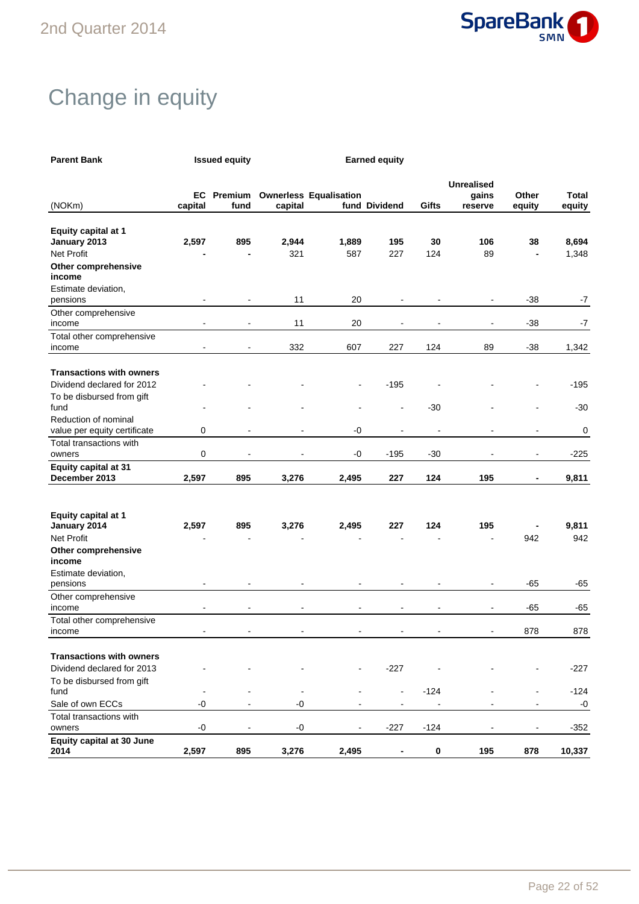

## Change in equity

| <b>Parent Bank</b>                         | <b>Issued equity</b>         |                           |         | <b>Earned equity</b>          |                                            |                          |                                       |                          |                 |
|--------------------------------------------|------------------------------|---------------------------|---------|-------------------------------|--------------------------------------------|--------------------------|---------------------------------------|--------------------------|-----------------|
| (NOKm)                                     | capital                      | <b>EC</b> Premium<br>fund | capital | <b>Ownerless Equalisation</b> | fund Dividend                              | Gifts                    | <b>Unrealised</b><br>gains<br>reserve | Other<br>equity          | Total<br>equity |
| <b>Equity capital at 1</b>                 |                              |                           |         |                               |                                            |                          |                                       |                          |                 |
| January 2013                               | 2,597                        | 895                       | 2,944   | 1,889                         | 195                                        | 30                       | 106                                   | 38                       | 8,694           |
| <b>Net Profit</b><br>Other comprehensive   |                              |                           | 321     | 587                           | 227                                        | 124                      | 89                                    | $\blacksquare$           | 1,348           |
| income                                     |                              |                           |         |                               |                                            |                          |                                       |                          |                 |
| Estimate deviation,<br>pensions            | $\blacksquare$               | L,                        | 11      | 20                            |                                            |                          | Ĭ.                                    | $-38$                    | $-7$            |
| Other comprehensive<br>income              | $\qquad \qquad \blacksquare$ |                           | 11      | 20                            |                                            |                          |                                       | $-38$                    | $-7$            |
| Total other comprehensive                  |                              |                           |         |                               |                                            |                          |                                       |                          |                 |
| income                                     | $\blacksquare$               | $\blacksquare$            | 332     | 607                           | 227                                        | 124                      | 89                                    | -38                      | 1,342           |
| <b>Transactions with owners</b>            |                              |                           |         |                               |                                            |                          |                                       |                          |                 |
| Dividend declared for 2012                 |                              |                           |         |                               | $-195$                                     |                          |                                       |                          | $-195$          |
| To be disbursed from gift<br>fund          |                              |                           |         |                               |                                            | $-30$                    |                                       |                          | $-30$           |
| Reduction of nominal                       |                              |                           |         |                               |                                            |                          |                                       |                          |                 |
| value per equity certificate               | 0                            | $\overline{\phantom{a}}$  | ۰       | -0                            | $\overline{\phantom{0}}$                   | $\overline{\phantom{a}}$ | $\overline{a}$                        | ÷                        | 0               |
| Total transactions with<br>owners          | 0                            | $\overline{a}$            |         | $-0$                          | $-195$                                     | $-30$                    |                                       | ÷                        | $-225$          |
| <b>Equity capital at 31</b>                |                              |                           |         |                               |                                            |                          |                                       |                          |                 |
| December 2013                              | 2,597                        | 895                       | 3,276   | 2,495                         | 227                                        | 124                      | 195                                   | $\blacksquare$           | 9,811           |
|                                            |                              |                           |         |                               |                                            |                          |                                       |                          |                 |
| <b>Equity capital at 1</b><br>January 2014 | 2,597                        | 895                       | 3,276   | 2,495                         | 227                                        | 124                      | 195                                   |                          | 9,811           |
| <b>Net Profit</b>                          |                              |                           |         |                               |                                            |                          |                                       | 942                      | 942             |
| Other comprehensive<br>income              |                              |                           |         |                               |                                            |                          |                                       |                          |                 |
| Estimate deviation,                        |                              |                           |         |                               |                                            |                          |                                       |                          |                 |
| pensions                                   | $\overline{\phantom{0}}$     |                           |         |                               |                                            |                          | $\overline{a}$                        | -65                      | $-65$           |
| Other comprehensive<br>income              | $\overline{a}$               | $\overline{\phantom{a}}$  | ۰       | $\blacksquare$                | $\overline{\phantom{a}}$                   | $\blacksquare$           | $\blacksquare$                        | -65                      | $-65$           |
| Total other comprehensive<br>income        | $\blacksquare$               |                           |         |                               |                                            |                          | $\blacksquare$                        | 878                      | 878             |
|                                            |                              |                           |         |                               |                                            |                          |                                       |                          |                 |
| <b>Transactions with owners</b>            |                              |                           |         |                               |                                            |                          |                                       |                          |                 |
| Dividend declared for 2013                 |                              |                           |         |                               | $-227$                                     |                          |                                       |                          | $-227$          |
| To be disbursed from gift                  |                              |                           |         |                               |                                            |                          |                                       |                          |                 |
| fund<br>Sale of own ECCs                   | -0                           | $\overline{\phantom{a}}$  | $-0$    | $\blacksquare$                | $\blacksquare$<br>$\overline{\phantom{a}}$ | $-124$<br>$\blacksquare$ |                                       | $\overline{\phantom{a}}$ | $-124$<br>$-0$  |
| Total transactions with                    |                              |                           |         |                               |                                            |                          |                                       |                          |                 |
| owners                                     | -0                           | $\overline{a}$            | $-0$    |                               | $-227$                                     | $-124$                   |                                       | $\overline{a}$           | $-352$          |
| <b>Equity capital at 30 June</b>           |                              |                           |         |                               |                                            |                          |                                       |                          |                 |
| 2014                                       | 2,597                        | 895                       | 3,276   | 2,495                         | -                                          | $\bf{0}$                 | 195                                   | 878                      | 10,337          |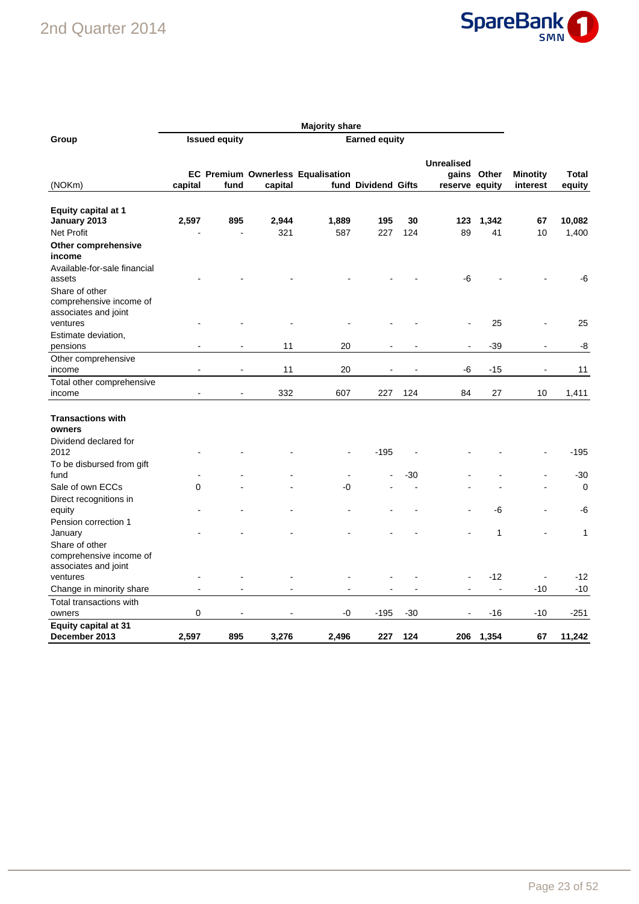### 2nd Quarter 2014



|                                                                   | <b>Majority share</b>                        |                |         |                                          |                     |       |                   |                |                 |              |
|-------------------------------------------------------------------|----------------------------------------------|----------------|---------|------------------------------------------|---------------------|-------|-------------------|----------------|-----------------|--------------|
| Group                                                             | <b>Issued equity</b><br><b>Earned equity</b> |                |         |                                          |                     |       |                   |                |                 |              |
| (NOKm)                                                            |                                              |                |         | <b>EC Premium Ownerless Equalisation</b> |                     |       | <b>Unrealised</b> | gains Other    | <b>Minotity</b> | Total        |
|                                                                   | capital                                      | fund           | capital |                                          | fund Dividend Gifts |       | reserve equity    |                | interest        | equity       |
| <b>Equity capital at 1</b><br>January 2013                        | 2,597                                        | 895            | 2,944   | 1,889                                    | 195                 | 30    | 123               | 1,342          | 67              | 10,082       |
| Net Profit                                                        |                                              |                | 321     | 587                                      | 227                 | 124   | 89                | 41             | 10              | 1,400        |
| Other comprehensive<br>income                                     |                                              |                |         |                                          |                     |       |                   |                |                 |              |
| Available-for-sale financial<br>assets                            |                                              |                |         |                                          |                     |       | -6                |                |                 | -6           |
| Share of other<br>comprehensive income of<br>associates and joint |                                              |                |         |                                          |                     |       |                   |                |                 |              |
| ventures<br>Estimate deviation,                                   |                                              |                |         |                                          |                     |       |                   | 25             |                 | 25           |
| pensions                                                          |                                              | $\blacksquare$ | 11      | 20                                       |                     |       | $\blacksquare$    | $-39$          | ÷               | -8           |
| Other comprehensive                                               |                                              |                |         |                                          |                     |       |                   |                |                 |              |
| income                                                            |                                              |                | 11      | 20                                       |                     |       | -6                | $-15$          | $\blacksquare$  | 11           |
| Total other comprehensive                                         |                                              |                |         |                                          |                     |       |                   |                |                 |              |
| income                                                            |                                              |                | 332     | 607                                      | 227                 | 124   | 84                | 27             | 10              | 1,411        |
| <b>Transactions with</b><br>owners<br>Dividend declared for       |                                              |                |         |                                          |                     |       |                   |                |                 |              |
| 2012                                                              |                                              |                |         |                                          | $-195$              |       |                   |                |                 | $-195$       |
| To be disbursed from gift<br>fund                                 |                                              |                |         | $\blacksquare$                           |                     | -30   |                   |                |                 | $-30$        |
| Sale of own ECCs                                                  | 0                                            |                |         | -0                                       |                     |       |                   |                |                 | $\mathbf 0$  |
| Direct recognitions in                                            |                                              |                |         |                                          |                     |       |                   | -6             |                 |              |
| equity<br>Pension correction 1                                    |                                              |                |         |                                          |                     |       |                   |                |                 | -6           |
| January                                                           |                                              |                |         |                                          |                     |       |                   | 1              |                 | $\mathbf{1}$ |
| Share of other<br>comprehensive income of<br>associates and joint |                                              |                |         |                                          |                     |       |                   |                |                 |              |
| ventures                                                          |                                              |                |         |                                          |                     |       |                   | $-12$          |                 | $-12$        |
| Change in minority share                                          | $\overline{\phantom{a}}$                     |                |         |                                          |                     |       |                   | $\overline{a}$ | $-10$           | $-10$        |
| Total transactions with<br>owners                                 | 0                                            |                |         | -0                                       | $-195$              | $-30$ |                   | $-16$          | $-10$           | $-251$       |
| <b>Equity capital at 31</b><br>December 2013                      | 2,597                                        | 895            | 3,276   | 2,496                                    | 227                 | 124   | 206               | 1,354          | 67              | 11,242       |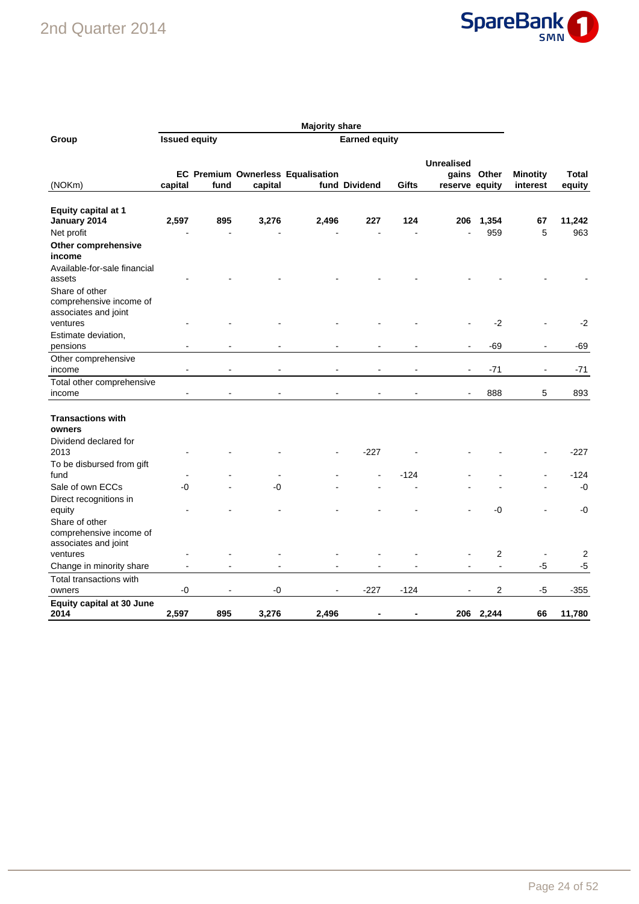### 2nd Quarter 2014



|                                                                     |                                              | <b>Majority share</b> |         |                                          |               |        |                                     |                |                             |                 |
|---------------------------------------------------------------------|----------------------------------------------|-----------------------|---------|------------------------------------------|---------------|--------|-------------------------------------|----------------|-----------------------------|-----------------|
| Group                                                               | <b>Issued equity</b><br><b>Earned equity</b> |                       |         |                                          |               |        |                                     |                |                             |                 |
| (NOKm)                                                              | capital                                      | fund                  | capital | <b>EC Premium Ownerless Equalisation</b> | fund Dividend | Gifts  | <b>Unrealised</b><br>reserve equity | gains Other    | <b>Minotity</b><br>interest | Total<br>equity |
| <b>Equity capital at 1</b><br>January 2014                          | 2,597                                        | 895                   | 3,276   | 2,496                                    | 227           | 124    | 206                                 | 1,354          | 67                          | 11,242          |
| Net profit                                                          |                                              |                       |         |                                          |               |        |                                     | 959            | 5                           | 963             |
| Other comprehensive<br>income                                       |                                              |                       |         |                                          |               |        |                                     |                |                             |                 |
| Available-for-sale financial<br>assets                              |                                              |                       |         |                                          |               |        |                                     |                |                             |                 |
| Share of other<br>comprehensive income of<br>associates and joint   |                                              |                       |         |                                          |               |        |                                     |                |                             |                 |
| ventures                                                            |                                              |                       |         |                                          |               |        |                                     | $-2$           |                             | $-2$            |
| Estimate deviation,<br>pensions                                     |                                              |                       |         |                                          |               |        |                                     | -69            |                             | -69             |
| Other comprehensive                                                 |                                              |                       |         |                                          |               |        |                                     |                |                             |                 |
| income                                                              |                                              |                       |         |                                          |               |        |                                     | $-71$          |                             | -71             |
| Total other comprehensive<br>income                                 |                                              |                       |         |                                          |               |        |                                     | 888            | 5                           | 893             |
| <b>Transactions with</b><br>owners<br>Dividend declared for<br>2013 |                                              |                       |         |                                          | $-227$        |        |                                     |                |                             | $-227$          |
| To be disbursed from gift                                           |                                              |                       |         |                                          |               |        |                                     |                |                             |                 |
| fund                                                                |                                              |                       |         |                                          |               | $-124$ |                                     |                |                             | $-124$          |
| Sale of own ECCs                                                    | -0                                           |                       | -0      |                                          |               |        |                                     |                |                             | $-0$            |
| Direct recognitions in<br>equity                                    |                                              |                       |         |                                          |               |        |                                     | -0             |                             | -0              |
| Share of other<br>comprehensive income of<br>associates and joint   |                                              |                       |         |                                          |               |        |                                     |                |                             |                 |
| ventures                                                            |                                              |                       |         |                                          |               |        |                                     | 2              |                             | 2               |
| Change in minority share                                            |                                              |                       |         |                                          |               |        |                                     | $\blacksquare$ | $-5$                        | $-5$            |
| Total transactions with                                             |                                              |                       |         |                                          |               |        |                                     |                |                             |                 |
| owners                                                              | -0                                           |                       | -0      |                                          | $-227$        | $-124$ |                                     | 2              | $-5$                        | -355            |
| <b>Equity capital at 30 June</b><br>2014                            | 2,597                                        | 895                   | 3,276   | 2,496                                    |               |        | 206                                 | 2,244          | 66                          | 11,780          |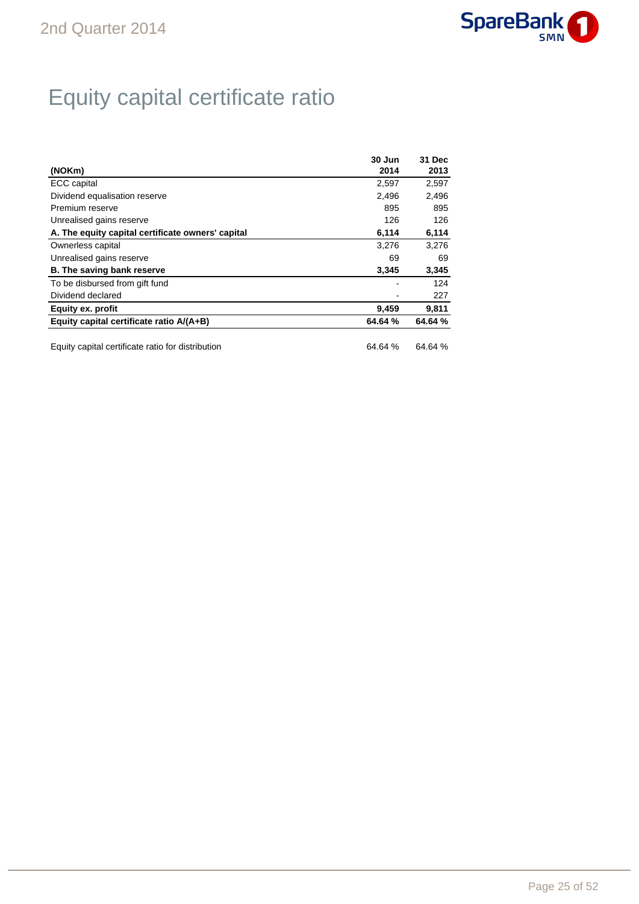

## Equity capital certificate ratio

|                                                   | 30 Jun  | 31 Dec  |
|---------------------------------------------------|---------|---------|
| (NOKm)                                            | 2014    | 2013    |
| <b>ECC</b> capital                                | 2,597   | 2,597   |
| Dividend equalisation reserve                     | 2.496   | 2,496   |
| Premium reserve                                   | 895     | 895     |
| Unrealised gains reserve                          | 126     | 126     |
| A. The equity capital certificate owners' capital | 6,114   | 6,114   |
| Ownerless capital                                 | 3.276   | 3,276   |
| Unrealised gains reserve                          | 69      | 69      |
| <b>B.</b> The saving bank reserve                 | 3,345   | 3,345   |
| To be disbursed from gift fund                    |         | 124     |
| Dividend declared                                 |         | 227     |
| Equity ex. profit                                 | 9,459   | 9,811   |
| Equity capital certificate ratio A/(A+B)          | 64.64 % | 64.64 % |

Equity capital certificate ratio for distribution 64.64 % 64.64 %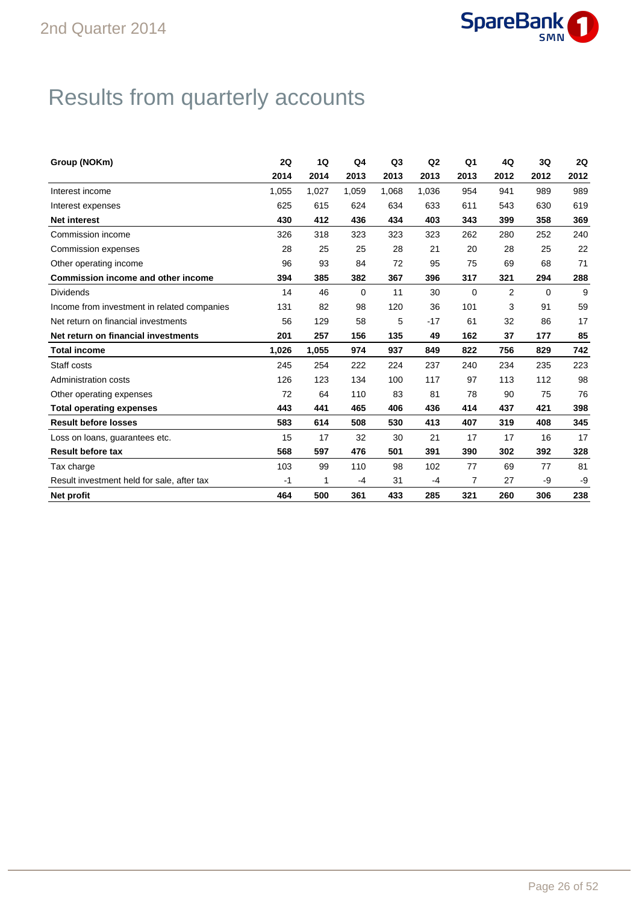

## Results from quarterly accounts

| Group (NOKm)                                | 2Q    | 1Q    | Q4          | Q <sub>3</sub> | Q2    | Q <sub>1</sub> | 4Q             | 3Q       | 2Q   |
|---------------------------------------------|-------|-------|-------------|----------------|-------|----------------|----------------|----------|------|
|                                             | 2014  | 2014  | 2013        | 2013           | 2013  | 2013           | 2012           | 2012     | 2012 |
| Interest income                             | 1.055 | 1,027 | 1,059       | 1.068          | 1,036 | 954            | 941            | 989      | 989  |
| Interest expenses                           | 625   | 615   | 624         | 634            | 633   | 611            | 543            | 630      | 619  |
| <b>Net interest</b>                         | 430   | 412   | 436         | 434            | 403   | 343            | 399            | 358      | 369  |
| Commission income                           | 326   | 318   | 323         | 323            | 323   | 262            | 280            | 252      | 240  |
| Commission expenses                         | 28    | 25    | 25          | 28             | 21    | 20             | 28             | 25       | 22   |
| Other operating income                      | 96    | 93    | 84          | 72             | 95    | 75             | 69             | 68       | 71   |
| Commission income and other income          | 394   | 385   | 382         | 367            | 396   | 317            | 321            | 294      | 288  |
| <b>Dividends</b>                            | 14    | 46    | $\mathbf 0$ | 11             | 30    | $\Omega$       | $\overline{2}$ | $\Omega$ | 9    |
| Income from investment in related companies | 131   | 82    | 98          | 120            | 36    | 101            | 3              | 91       | 59   |
| Net return on financial investments         | 56    | 129   | 58          | 5              | $-17$ | 61             | 32             | 86       | 17   |
| Net return on financial investments         | 201   | 257   | 156         | 135            | 49    | 162            | 37             | 177      | 85   |
| <b>Total income</b>                         | 1.026 | 1,055 | 974         | 937            | 849   | 822            | 756            | 829      | 742  |
| Staff costs                                 | 245   | 254   | 222         | 224            | 237   | 240            | 234            | 235      | 223  |
| <b>Administration costs</b>                 | 126   | 123   | 134         | 100            | 117   | 97             | 113            | 112      | 98   |
| Other operating expenses                    | 72    | 64    | 110         | 83             | 81    | 78             | 90             | 75       | 76   |
| <b>Total operating expenses</b>             | 443   | 441   | 465         | 406            | 436   | 414            | 437            | 421      | 398  |
| <b>Result before losses</b>                 | 583   | 614   | 508         | 530            | 413   | 407            | 319            | 408      | 345  |
| Loss on loans, guarantees etc.              | 15    | 17    | 32          | 30             | 21    | 17             | 17             | 16       | 17   |
| <b>Result before tax</b>                    | 568   | 597   | 476         | 501            | 391   | 390            | 302            | 392      | 328  |
| Tax charge                                  | 103   | 99    | 110         | 98             | 102   | 77             | 69             | 77       | 81   |
| Result investment held for sale, after tax  | $-1$  | 1     | $-4$        | 31             | $-4$  | $\overline{7}$ | 27             | -9       | -9   |
| Net profit                                  | 464   | 500   | 361         | 433            | 285   | 321            | 260            | 306      | 238  |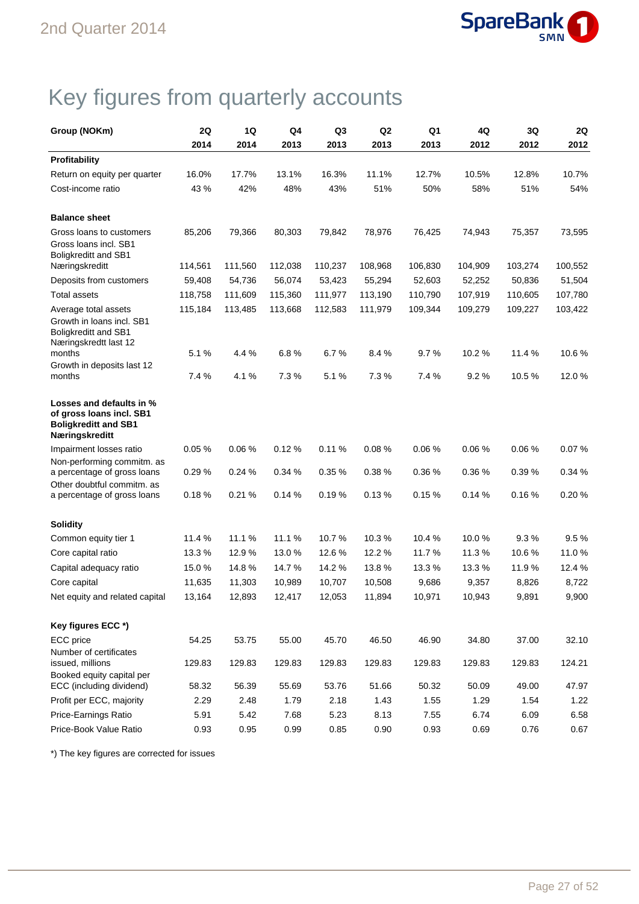

## Key figures from quarterly accounts

| Group (NOKm)                                                                                          | 2Q      | 1Q      | Q4      | Q3      | Q <sub>2</sub> | Q1      | 4Q      | 3Q      | 2Q      |
|-------------------------------------------------------------------------------------------------------|---------|---------|---------|---------|----------------|---------|---------|---------|---------|
|                                                                                                       | 2014    | 2014    | 2013    | 2013    | 2013           | 2013    | 2012    | 2012    | 2012    |
| <b>Profitability</b>                                                                                  |         |         |         |         |                |         |         |         |         |
| Return on equity per quarter                                                                          | 16.0%   | 17.7%   | 13.1%   | 16.3%   | 11.1%          | 12.7%   | 10.5%   | 12.8%   | 10.7%   |
| Cost-income ratio                                                                                     | 43 %    | 42%     | 48%     | 43%     | 51%            | 50%     | 58%     | 51%     | 54%     |
| <b>Balance sheet</b>                                                                                  |         |         |         |         |                |         |         |         |         |
| Gross loans to customers<br>Gross loans incl. SB1<br>Boligkreditt and SB1                             | 85,206  | 79,366  | 80,303  | 79,842  | 78,976         | 76,425  | 74,943  | 75,357  | 73,595  |
| Næringskreditt                                                                                        | 114,561 | 111,560 | 112,038 | 110,237 | 108,968        | 106,830 | 104,909 | 103,274 | 100,552 |
| Deposits from customers                                                                               | 59,408  | 54,736  | 56,074  | 53,423  | 55,294         | 52,603  | 52,252  | 50,836  | 51,504  |
| <b>Total assets</b>                                                                                   | 118,758 | 111,609 | 115,360 | 111,977 | 113,190        | 110,790 | 107,919 | 110,605 | 107,780 |
| Average total assets<br>Growth in loans incl. SB1<br>Boligkreditt and SB1<br>Næringskredtt last 12    | 115,184 | 113,485 | 113,668 | 112,583 | 111,979        | 109,344 | 109,279 | 109,227 | 103,422 |
| months                                                                                                | 5.1%    | 4.4 %   | 6.8%    | 6.7%    | 8.4%           | 9.7%    | 10.2 %  | 11.4 %  | 10.6%   |
| Growth in deposits last 12<br>months                                                                  | 7.4 %   | 4.1%    | 7.3%    | 5.1%    | 7.3%           | 7.4%    | 9.2%    | 10.5%   | 12.0%   |
| Losses and defaults in %<br>of gross loans incl. SB1<br><b>Boligkreditt and SB1</b><br>Næringskreditt |         |         |         |         |                |         |         |         |         |
| Impairment losses ratio                                                                               | 0.05%   | 0.06%   | 0.12%   | 0.11%   | 0.08%          | 0.06%   | 0.06%   | 0.06%   | 0.07%   |
| Non-performing commitm. as<br>a percentage of gross loans                                             | 0.29%   | 0.24%   | 0.34%   | 0.35 %  | 0.38%          | 0.36%   | 0.36%   | 0.39%   | 0.34%   |
| Other doubtful commitm. as<br>a percentage of gross loans                                             | 0.18%   | 0.21%   | 0.14%   | 0.19%   | 0.13%          | 0.15%   | 0.14%   | 0.16%   | 0.20%   |
| <b>Solidity</b>                                                                                       |         |         |         |         |                |         |         |         |         |
| Common equity tier 1                                                                                  | 11.4 %  | 11.1%   | 11.1 %  | 10.7%   | 10.3%          | 10.4%   | 10.0%   | 9.3%    | 9.5%    |
| Core capital ratio                                                                                    | 13.3 %  | 12.9%   | 13.0%   | 12.6%   | 12.2%          | 11.7%   | 11.3%   | 10.6%   | 11.0%   |
| Capital adequacy ratio                                                                                | 15.0%   | 14.8%   | 14.7%   | 14.2 %  | 13.8%          | 13.3 %  | 13.3 %  | 11.9%   | 12.4 %  |
| Core capital                                                                                          | 11,635  | 11,303  | 10,989  | 10,707  | 10,508         | 9,686   | 9,357   | 8,826   | 8,722   |
| Net equity and related capital                                                                        | 13,164  | 12,893  | 12,417  | 12,053  | 11,894         | 10,971  | 10,943  | 9,891   | 9,900   |
| Key figures ECC *)                                                                                    |         |         |         |         |                |         |         |         |         |
| ECC price                                                                                             | 54.25   | 53.75   | 55.00   | 45.70   | 46.50          | 46.90   | 34.80   | 37.00   | 32.10   |
| Number of certificates<br>issued, millions                                                            | 129.83  | 129.83  | 129.83  | 129.83  | 129.83         | 129.83  | 129.83  | 129.83  | 124.21  |
| Booked equity capital per<br>ECC (including dividend)                                                 | 58.32   | 56.39   | 55.69   | 53.76   | 51.66          | 50.32   | 50.09   | 49.00   | 47.97   |
| Profit per ECC, majority                                                                              | 2.29    | 2.48    | 1.79    | 2.18    | 1.43           | 1.55    | 1.29    | 1.54    | 1.22    |
| Price-Earnings Ratio                                                                                  | 5.91    | 5.42    | 7.68    | 5.23    | 8.13           | 7.55    | 6.74    | 6.09    | 6.58    |
| Price-Book Value Ratio                                                                                | 0.93    | 0.95    | 0.99    | 0.85    | 0.90           | 0.93    | 0.69    | 0.76    | 0.67    |

\*) The key figures are corrected for issues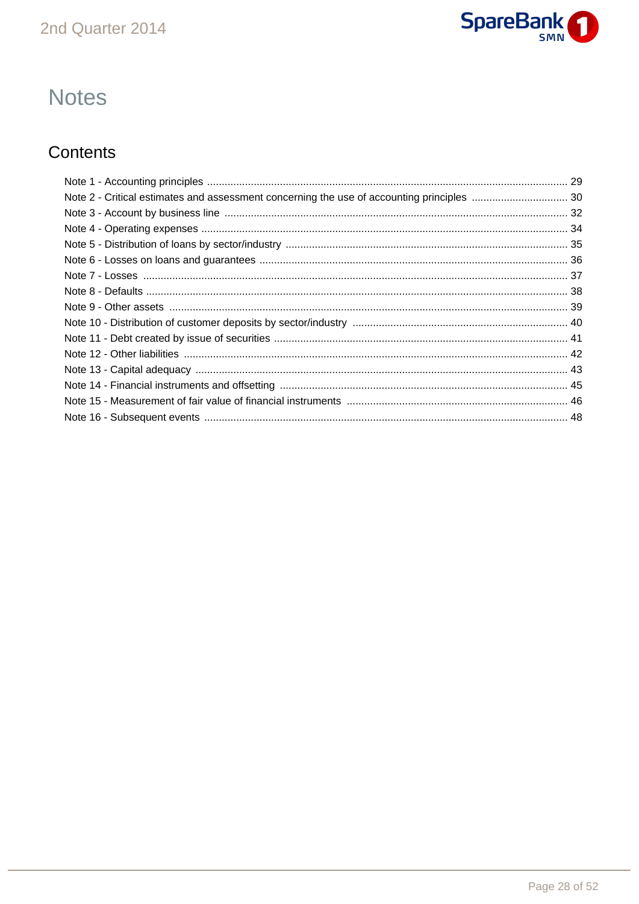

## **Notes**

### Contents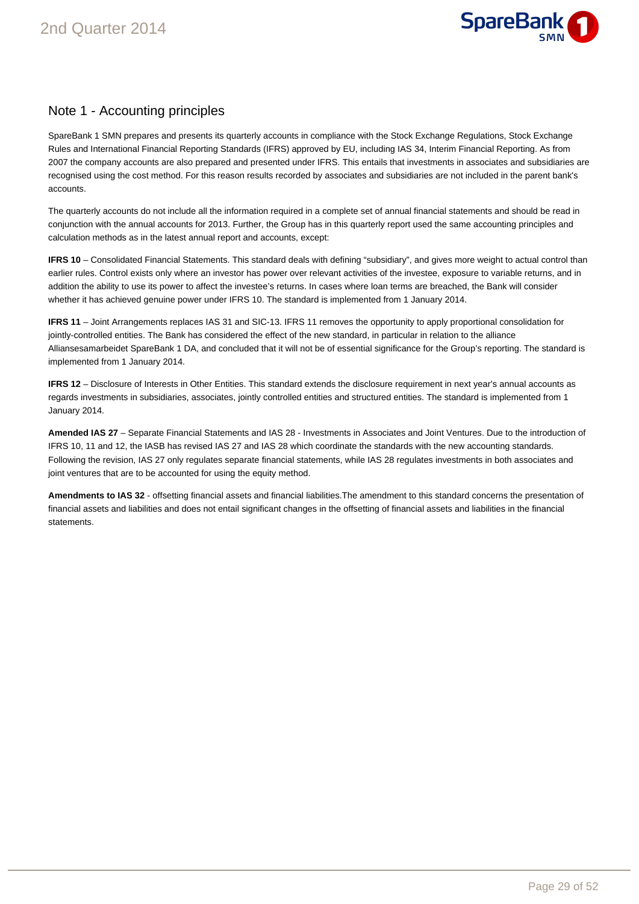

### Note 1 - Accounting principles

SpareBank 1 SMN prepares and presents its quarterly accounts in compliance with the Stock Exchange Regulations, Stock Exchange Rules and International Financial Reporting Standards (IFRS) approved by EU, including IAS 34, Interim Financial Reporting. As from 2007 the company accounts are also prepared and presented under IFRS. This entails that investments in associates and subsidiaries are recognised using the cost method. For this reason results recorded by associates and subsidiaries are not included in the parent bank's accounts.

The quarterly accounts do not include all the information required in a complete set of annual financial statements and should be read in conjunction with the annual accounts for 2013. Further, the Group has in this quarterly report used the same accounting principles and calculation methods as in the latest annual report and accounts, except:

**IFRS 10** – Consolidated Financial Statements. This standard deals with defining "subsidiary", and gives more weight to actual control than earlier rules. Control exists only where an investor has power over relevant activities of the investee, exposure to variable returns, and in addition the ability to use its power to affect the investee's returns. In cases where loan terms are breached, the Bank will consider whether it has achieved genuine power under IFRS 10. The standard is implemented from 1 January 2014.

**IFRS 11** – Joint Arrangements replaces IAS 31 and SIC-13. IFRS 11 removes the opportunity to apply proportional consolidation for jointly-controlled entities. The Bank has considered the effect of the new standard, in particular in relation to the alliance Alliansesamarbeidet SpareBank 1 DA, and concluded that it will not be of essential significance for the Group's reporting. The standard is implemented from 1 January 2014.

**IFRS 12** – Disclosure of Interests in Other Entities. This standard extends the disclosure requirement in next year's annual accounts as regards investments in subsidiaries, associates, jointly controlled entities and structured entities. The standard is implemented from 1 January 2014.

**Amended IAS 27** – Separate Financial Statements and IAS 28 - Investments in Associates and Joint Ventures. Due to the introduction of IFRS 10, 11 and 12, the IASB has revised IAS 27 and IAS 28 which coordinate the standards with the new accounting standards. Following the revision, IAS 27 only regulates separate financial statements, while IAS 28 regulates investments in both associates and joint ventures that are to be accounted for using the equity method.

**Amendments to IAS 32** - offsetting financial assets and financial liabilities.The amendment to this standard concerns the presentation of financial assets and liabilities and does not entail significant changes in the offsetting of financial assets and liabilities in the financial statements.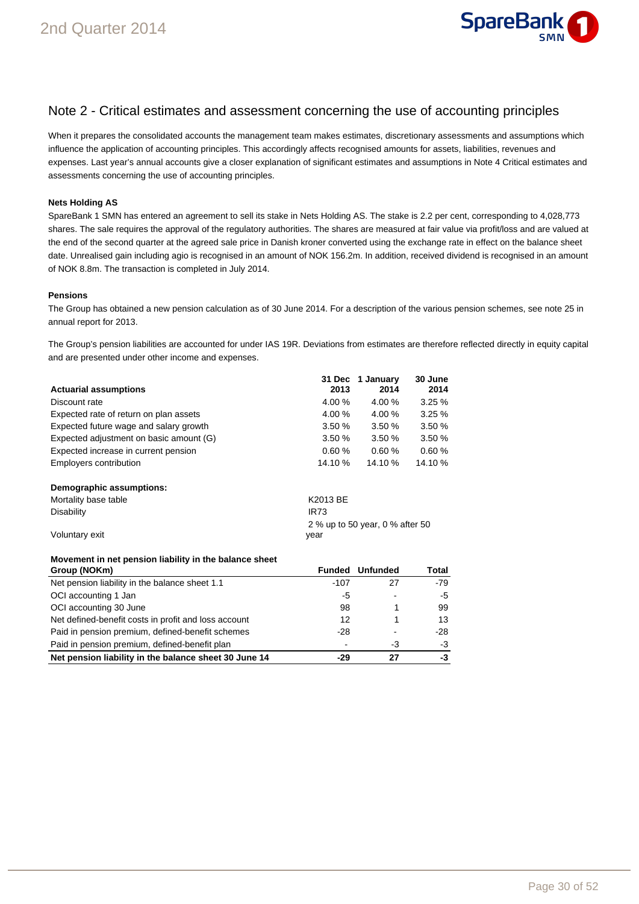

### Note 2 - Critical estimates and assessment concerning the use of accounting principles

When it prepares the consolidated accounts the management team makes estimates, discretionary assessments and assumptions which influence the application of accounting principles. This accordingly affects recognised amounts for assets, liabilities, revenues and expenses. Last year's annual accounts give a closer explanation of significant estimates and assumptions in Note 4 Critical estimates and assessments concerning the use of accounting principles.

#### **Nets Holding AS**

SpareBank 1 SMN has entered an agreement to sell its stake in Nets Holding AS. The stake is 2.2 per cent, corresponding to 4,028,773 shares. The sale requires the approval of the regulatory authorities. The shares are measured at fair value via profit/loss and are valued at the end of the second quarter at the agreed sale price in Danish kroner converted using the exchange rate in effect on the balance sheet date. Unrealised gain including agio is recognised in an amount of NOK 156.2m. In addition, received dividend is recognised in an amount of NOK 8.8m. The transaction is completed in July 2014.

#### **Pensions**

The Group has obtained a new pension calculation as of 30 June 2014. For a description of the various pension schemes, see note 25 in annual report for 2013.

The Group's pension liabilities are accounted for under IAS 19R. Deviations from estimates are therefore reflected directly in equity capital and are presented under other income and expenses.

|                                         |             | 31 Dec 1 January                | 30 June |
|-----------------------------------------|-------------|---------------------------------|---------|
| <b>Actuarial assumptions</b>            | 2013        | 2014                            | 2014    |
| Discount rate                           | 4.00 %      | 4.00 %                          | 3.25%   |
| Expected rate of return on plan assets  | 4.00%       | 4.00%                           | 3.25%   |
| Expected future wage and salary growth  | 3.50%       | 3.50%                           | 3.50%   |
| Expected adjustment on basic amount (G) | 3.50%       | 3.50%                           | 3.50%   |
| Expected increase in current pension    | 0.60%       | 0.60%                           | 0.60%   |
| Employers contribution                  | 14.10 %     | 14.10 %                         | 14.10 % |
| Demographic assumptions:                |             |                                 |         |
| Mortality base table                    | K2013 BE    |                                 |         |
| <b>Disability</b>                       | <b>IR73</b> |                                 |         |
|                                         |             | 2 % up to 50 year, 0 % after 50 |         |
| Voluntary exit                          | year        |                                 |         |

#### **Movement in net pension liability in the balance sheet**

| Group (NOKm)                                          | <b>Funded</b> | <b>Unfunded</b> | Total |
|-------------------------------------------------------|---------------|-----------------|-------|
| Net pension liability in the balance sheet 1.1        | -107          | 27              | $-79$ |
| OCI accounting 1 Jan                                  | -5            | -               | -5    |
| OCI accounting 30 June                                | 98            |                 | 99    |
| Net defined-benefit costs in profit and loss account  | 12            |                 | 13    |
| Paid in pension premium, defined-benefit schemes      | -28           | ۰               | $-28$ |
| Paid in pension premium, defined-benefit plan         |               | -3              | -3    |
| Net pension liability in the balance sheet 30 June 14 | -29           | 27              | -3    |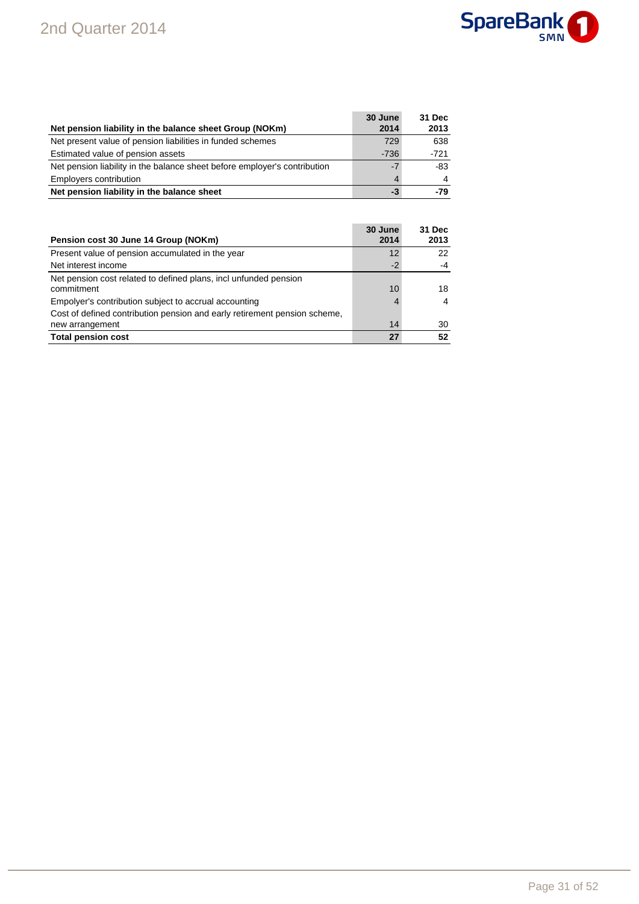

|                                                                           | 30 June | 31 Dec |
|---------------------------------------------------------------------------|---------|--------|
| Net pension liability in the balance sheet Group (NOKm)                   | 2014    | 2013   |
| Net present value of pension liabilities in funded schemes                | 729     | 638    |
| Estimated value of pension assets                                         | $-736$  | $-721$ |
| Net pension liability in the balance sheet before employer's contribution | $-7$    | -83    |
| Employers contribution                                                    | 4       |        |
| Net pension liability in the balance sheet                                | -3      | $-79$  |

| Pension cost 30 June 14 Group (NOKm)                                                         | 30 June<br>2014 | 31 Dec<br>2013 |
|----------------------------------------------------------------------------------------------|-----------------|----------------|
| Present value of pension accumulated in the year                                             | 12              | 22             |
| Net interest income                                                                          | $-2$            | $-4$           |
| Net pension cost related to defined plans, incl unfunded pension<br>commitment               | 10              | 18             |
| Empolyer's contribution subject to accrual accounting                                        |                 | 4              |
| Cost of defined contribution pension and early retirement pension scheme.<br>new arrangement | 14              | 30             |
| <b>Total pension cost</b>                                                                    | 27              | 52             |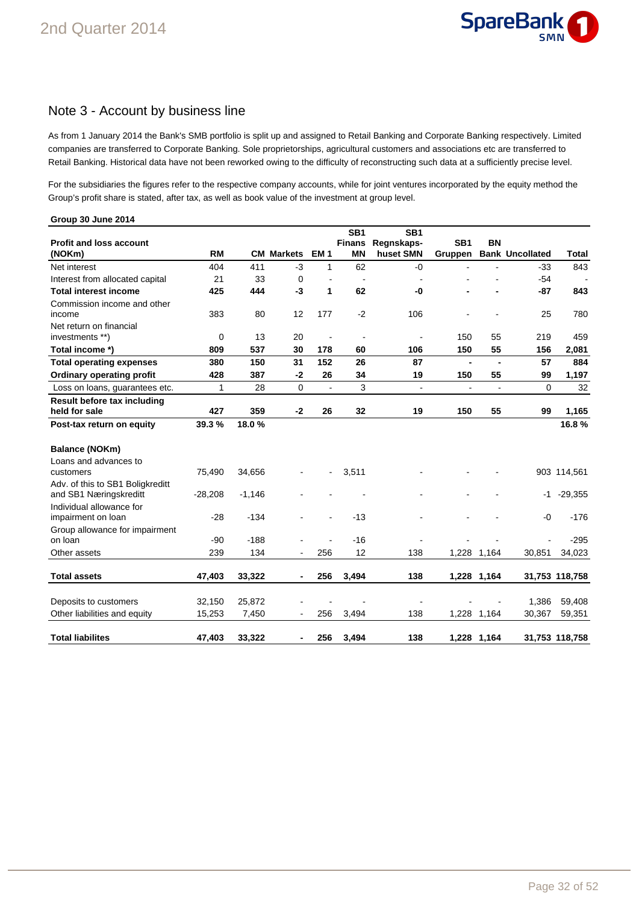

### Note 3 - Account by business line

As from 1 January 2014 the Bank's SMB portfolio is split up and assigned to Retail Banking and Corporate Banking respectively. Limited companies are transferred to Corporate Banking. Sole proprietorships, agricultural customers and associations etc are transferred to Retail Banking. Historical data have not been reworked owing to the difficulty of reconstructing such data at a sufficiently precise level.

For the subsidiaries the figures refer to the respective company accounts, while for joint ventures incorporated by the equity method the Group's profit share is stated, after tax, as well as book value of the investment at group level.

| Group 30 June 2014                                                                     |                  |                 |                          |                |                                               |                                            |                            |                |                        |                  |
|----------------------------------------------------------------------------------------|------------------|-----------------|--------------------------|----------------|-----------------------------------------------|--------------------------------------------|----------------------------|----------------|------------------------|------------------|
| <b>Profit and loss account</b><br>(NOKm)                                               | <b>RM</b>        |                 | <b>CM Markets</b>        | <b>EM1</b>     | SB <sub>1</sub><br><b>Finans</b><br><b>MN</b> | SB <sub>1</sub><br>Regnskaps-<br>huset SMN | SB <sub>1</sub><br>Gruppen | <b>BN</b>      | <b>Bank Uncollated</b> | Total            |
| Net interest                                                                           | 404              | 411             | -3                       | 1              | 62                                            | -0                                         |                            |                | $-33$                  | 843              |
| Interest from allocated capital                                                        | 21               | 33              | 0                        | $\overline{a}$ | $\overline{\phantom{a}}$                      | $\blacksquare$                             |                            |                | $-54$                  |                  |
| <b>Total interest income</b>                                                           | 425              | 444             | -3                       | 1              | 62                                            | -0                                         |                            |                | $-87$                  | 843              |
| Commission income and other<br>income                                                  | 383              | 80              | 12                       | 177            | $-2$                                          | 106                                        |                            |                | 25                     | 780              |
| Net return on financial<br>investments **)                                             | 0                | 13              | 20                       | $\blacksquare$ | $\blacksquare$                                | $\overline{a}$                             | 150                        | 55             | 219                    | 459              |
| Total income *)                                                                        | 809              | 537             | 30                       | 178            | 60                                            | 106                                        | 150                        | 55             | 156                    | 2,081            |
| <b>Total operating expenses</b>                                                        | 380              | 150             | 31                       | 152            | 26                                            | 87                                         | $\blacksquare$             | $\blacksquare$ | 57                     | 884              |
| <b>Ordinary operating profit</b>                                                       | 428              | 387             | $-2$                     | 26             | 34                                            | 19                                         | 150                        | 55             | 99                     | 1,197            |
| Loss on loans, guarantees etc.                                                         | 1                | 28              | $\mathbf 0$              | $\blacksquare$ | 3                                             | $\blacksquare$                             | ÷,                         | $\blacksquare$ | 0                      | 32               |
| Result before tax including<br>held for sale                                           | 427              | 359             | $-2$                     | 26             | 32                                            | 19                                         | 150                        | 55             | 99                     | 1,165            |
| Post-tax return on equity                                                              | 39.3 %           | 18.0%           |                          |                |                                               |                                            |                            |                |                        | 16.8%            |
| Balance (NOKm)<br>Loans and advances to<br>customers                                   | 75,490           | 34,656          |                          |                | 3,511                                         |                                            |                            |                |                        | 903 114,561      |
| Adv. of this to SB1 Boligkreditt<br>and SB1 Næringskreditt<br>Individual allowance for | $-28,208$        | $-1,146$        |                          |                |                                               |                                            |                            |                | -1                     | $-29,355$        |
| impairment on loan<br>Group allowance for impairment                                   | $-28$            | $-134$          |                          |                | $-13$                                         |                                            |                            |                | -0                     | $-176$           |
| on loan                                                                                | $-90$            | $-188$          |                          |                | $-16$                                         |                                            |                            |                |                        | $-295$           |
| Other assets                                                                           | 239              | 134             |                          | 256            | 12                                            | 138                                        |                            | 1,228 1,164    | 30,851                 | 34,023           |
| <b>Total assets</b>                                                                    | 47,403           | 33,322          | -                        | 256            | 3,494                                         | 138                                        |                            | 1,228 1,164    |                        | 31,753 118,758   |
| Deposits to customers<br>Other liabilities and equity                                  | 32,150<br>15,253 | 25,872<br>7,450 | $\overline{\phantom{a}}$ | 256            | 3,494                                         | $\blacksquare$<br>138                      |                            | 1,228 1,164    | 1,386<br>30,367        | 59,408<br>59,351 |
| <b>Total liabilites</b>                                                                | 47,403           | 33,322          | -                        | 256            | 3,494                                         | 138                                        |                            | 1,228 1,164    |                        | 31,753 118,758   |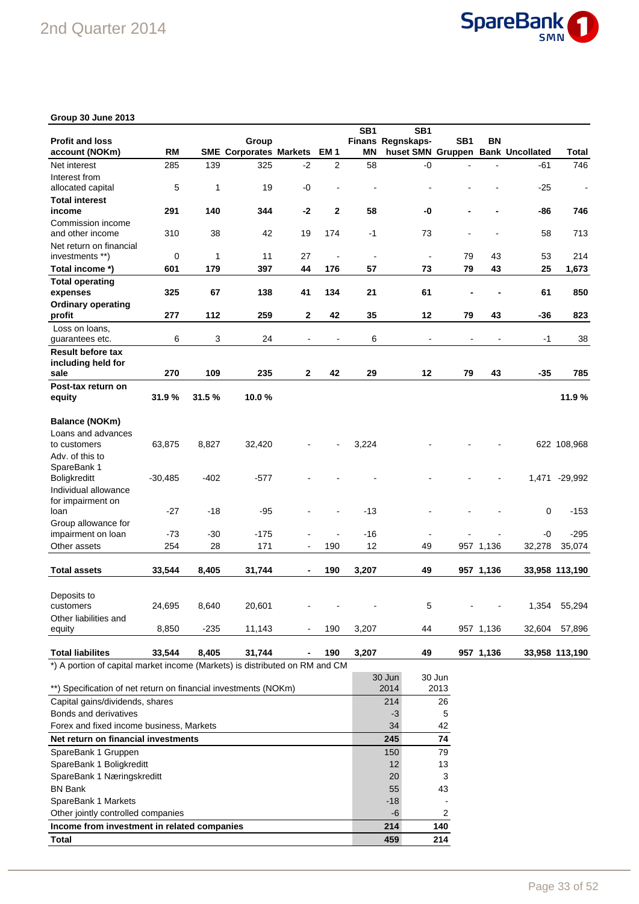

### **Group 30 June 2013**

|                                                                             |           |        |                               |              |              | SB <sub>1</sub> | SB <sub>1</sub>                   |        |           |        |                          |
|-----------------------------------------------------------------------------|-----------|--------|-------------------------------|--------------|--------------|-----------------|-----------------------------------|--------|-----------|--------|--------------------------|
| <b>Profit and loss</b>                                                      |           |        | Group                         |              |              |                 | Finans Regnskaps-                 | SB1    | ΒN        |        |                          |
| account (NOKm)                                                              | <b>RM</b> |        | <b>SME Corporates Markets</b> |              | EM 1         | ΜN              | huset SMN Gruppen Bank Uncollated |        |           |        | <b>Total</b>             |
| Net interest                                                                | 285       | 139    | 325                           | $-2$         | 2            | 58              | -0                                |        |           | -61    | 746                      |
| Interest from                                                               |           |        |                               |              |              |                 |                                   |        |           |        |                          |
| allocated capital                                                           | 5         | 1      | 19                            | -0           |              |                 |                                   |        |           | $-25$  | $\overline{\phantom{a}}$ |
| <b>Total interest</b>                                                       |           |        |                               |              |              |                 |                                   |        |           |        |                          |
| income                                                                      | 291       | 140    | 344                           | $-2$         | $\mathbf{2}$ | 58              | -0                                |        |           | -86    | 746                      |
| Commission income                                                           |           |        |                               |              |              |                 |                                   |        |           |        |                          |
| and other income                                                            | 310       | 38     | 42                            | 19           | 174          | $-1$            | 73                                |        |           | 58     | 713                      |
| Net return on financial                                                     |           |        |                               |              |              |                 |                                   |        |           |        |                          |
| investments **)                                                             | 0         | 1      | 11                            | 27           |              | $\blacksquare$  | $\blacksquare$                    | 79     | 43        | 53     | 214                      |
| Total income *)                                                             | 601       | 179    | 397                           | 44           | 176          | 57              | 73                                | 79     | 43        | 25     | 1,673                    |
| <b>Total operating</b>                                                      |           |        |                               |              |              |                 |                                   |        |           |        |                          |
| expenses                                                                    | 325       | 67     | 138                           | 41           | 134          | 21              | 61                                |        |           | 61     | 850                      |
| <b>Ordinary operating</b>                                                   |           |        |                               |              |              |                 |                                   |        |           |        |                          |
| profit                                                                      | 277       | 112    | 259                           | $\mathbf{2}$ | 42           | 35              | 12                                | 79     | 43        | $-36$  | 823                      |
| Loss on loans,                                                              |           |        |                               |              |              |                 |                                   |        |           |        |                          |
| guarantees etc.                                                             | 6         | 3      | 24                            |              |              | 6               |                                   |        |           | $-1$   | 38                       |
| <b>Result before tax</b>                                                    |           |        |                               |              |              |                 |                                   |        |           |        |                          |
| including held for                                                          |           |        |                               |              |              |                 |                                   |        |           |        |                          |
| sale                                                                        | 270       | 109    | 235                           | $\mathbf{2}$ | 42           | 29              | 12                                | 79     | 43        | $-35$  | 785                      |
| Post-tax return on                                                          |           |        |                               |              |              |                 |                                   |        |           |        |                          |
| equity                                                                      | 31.9%     | 31.5%  | 10.0%                         |              |              |                 |                                   |        |           |        | 11.9%                    |
|                                                                             |           |        |                               |              |              |                 |                                   |        |           |        |                          |
| <b>Balance (NOKm)</b>                                                       |           |        |                               |              |              |                 |                                   |        |           |        |                          |
| Loans and advances                                                          |           |        |                               |              |              |                 |                                   |        |           |        |                          |
| to customers                                                                | 63,875    | 8,827  | 32,420                        |              |              | 3,224           |                                   |        |           |        | 622 108,968              |
| Adv. of this to                                                             |           |        |                               |              |              |                 |                                   |        |           |        |                          |
| SpareBank 1                                                                 |           |        |                               |              |              |                 |                                   |        |           |        |                          |
| <b>Boligkreditt</b>                                                         | $-30,485$ | $-402$ | $-577$                        |              |              |                 |                                   |        |           | 1,471  | $-29,992$                |
| Individual allowance                                                        |           |        |                               |              |              |                 |                                   |        |           |        |                          |
| for impairment on                                                           |           |        |                               |              |              |                 |                                   |        |           |        |                          |
| loan                                                                        | $-27$     | -18    | -95                           |              |              | $-13$           |                                   |        |           | 0      | $-153$                   |
| Group allowance for                                                         |           |        |                               |              |              |                 |                                   |        |           |        |                          |
| impairment on loan                                                          | $-73$     | $-30$  | $-175$                        |              |              | $-16$           |                                   |        |           | -0     | $-295$                   |
| Other assets                                                                | 254       | 28     | 171                           |              | 190          | 12              | 49                                |        | 957 1,136 | 32,278 | 35,074                   |
|                                                                             |           |        |                               |              |              |                 |                                   |        |           |        |                          |
| <b>Total assets</b>                                                         | 33,544    | 8,405  | 31,744                        |              | 190          | 3,207           | 49                                |        | 957 1,136 |        | 33,958 113,190           |
|                                                                             |           |        |                               |              |              |                 |                                   |        |           |        |                          |
| Deposits to                                                                 |           |        |                               |              |              |                 |                                   |        |           |        |                          |
| customers                                                                   | 24,695    | 8,640  | 20,601                        |              |              |                 | 5                                 |        |           | 1,354  | 55,294                   |
| Other liabilities and                                                       |           |        |                               |              |              |                 |                                   |        |           |        |                          |
| equity                                                                      | 8,850     | $-235$ | 11,143                        |              | 190          | 3,207           | 44                                |        | 957 1,136 | 32,604 | 57,896                   |
|                                                                             |           |        |                               |              |              |                 |                                   |        |           |        |                          |
| <b>Total liabilites</b>                                                     | 33,544    | 8,405  | 31,744                        |              | 190          | 3,207           | 49                                |        | 957 1,136 |        | 33,958 113,190           |
| *) A portion of capital market income (Markets) is distributed on RM and CM |           |        |                               |              |              |                 |                                   |        |           |        |                          |
|                                                                             |           |        |                               |              |              |                 | 30 Jun                            | 30 Jun |           |        |                          |
| **) Specification of net return on financial investments (NOKm)             |           |        |                               |              |              |                 | 2014                              | 2013   |           |        |                          |
| Capital gains/dividends, shares                                             |           |        |                               |              |              |                 | 214                               | 26     |           |        |                          |

| OPECHICATOR TELLELUITI UI IIIIAHCIAI IIIVESIMEHIS (NONNI) | 2014  | ں ا ں ے |
|-----------------------------------------------------------|-------|---------|
| Capital gains/dividends, shares                           | 214   | 26      |
| Bonds and derivatives                                     | -3    | 5       |
| Forex and fixed income business, Markets                  | 34    | 42      |
| Net return on financial investments                       | 245   | 74      |
| SpareBank 1 Gruppen                                       | 150   | 79      |
| SpareBank 1 Boligkreditt                                  | 12    | 13      |
| SpareBank 1 Næringskreditt                                | 20    | 3       |
| <b>BN Bank</b>                                            | 55    | 43      |
| SpareBank 1 Markets                                       | $-18$ |         |
| Other jointly controlled companies                        | -6    |         |
| Income from investment in related companies               | 214   | 140     |
| Total                                                     | 459   | 214     |
|                                                           |       |         |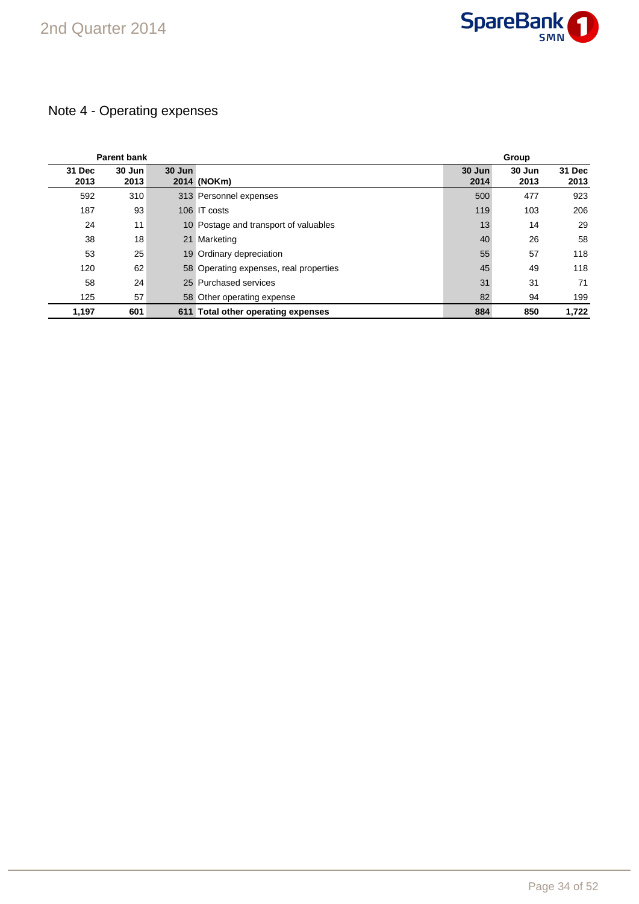

### Note 4 - Operating expenses

|                | <b>Parent bank</b> |        |                                        | Group          |                |                |  |
|----------------|--------------------|--------|----------------------------------------|----------------|----------------|----------------|--|
| 31 Dec<br>2013 | 30 Jun<br>2013     | 30 Jun | 2014 (NOKm)                            | 30 Jun<br>2014 | 30 Jun<br>2013 | 31 Dec<br>2013 |  |
| 592            | 310                |        | 313 Personnel expenses                 | 500            | 477            | 923            |  |
| 187            | 93                 |        | 106 IT costs                           | 119            | 103            | 206            |  |
| 24             | 11                 |        | 10 Postage and transport of valuables  | 13             | 14             | 29             |  |
| 38             | 18                 |        | 21 Marketing                           | 40             | 26             | 58             |  |
| 53             | 25                 |        | 19 Ordinary depreciation               | 55             | 57             | 118            |  |
| 120            | 62                 |        | 58 Operating expenses, real properties | 45             | 49             | 118            |  |
| 58             | 24                 |        | 25 Purchased services                  | 31             | 31             | 71             |  |
| 125            | 57                 |        | 58 Other operating expense             | 82             | 94             | 199            |  |
| 1,197          | 601                |        | 611 Total other operating expenses     | 884            | 850            | 1.722          |  |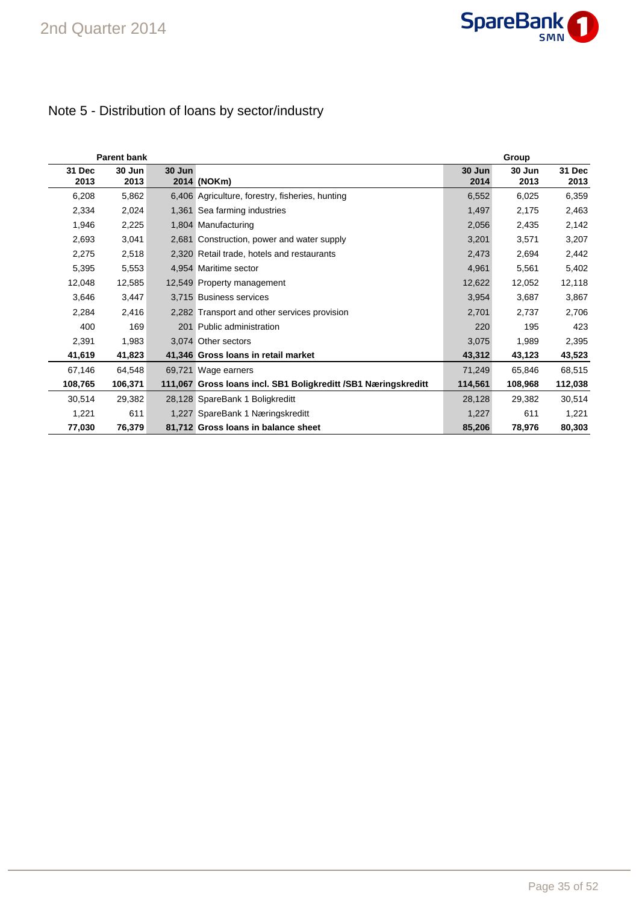

### Note 5 - Distribution of loans by sector/industry

|                | <b>Parent bank</b> |        |                                                                | Group          |                |                       |  |  |
|----------------|--------------------|--------|----------------------------------------------------------------|----------------|----------------|-----------------------|--|--|
| 31 Dec<br>2013 | 30 Jun<br>2013     | 30 Jun | 2014 (NOKm)                                                    | 30 Jun<br>2014 | 30 Jun<br>2013 | <b>31 Dec</b><br>2013 |  |  |
| 6,208          | 5,862              |        | 6,406 Agriculture, forestry, fisheries, hunting                | 6,552          | 6,025          | 6,359                 |  |  |
| 2,334          | 2,024              |        | 1,361 Sea farming industries                                   | 1,497          | 2,175          | 2,463                 |  |  |
| 1,946          | 2,225              |        | 1,804 Manufacturing                                            | 2,056          | 2,435          | 2,142                 |  |  |
| 2,693          | 3,041              |        | 2,681 Construction, power and water supply                     | 3,201          | 3,571          | 3,207                 |  |  |
| 2,275          | 2,518              |        | 2,320 Retail trade, hotels and restaurants                     | 2,473          | 2,694          | 2,442                 |  |  |
| 5,395          | 5,553              |        | 4,954 Maritime sector                                          | 4,961          | 5,561          | 5,402                 |  |  |
| 12,048         | 12,585             |        | 12,549 Property management                                     | 12,622         | 12,052         | 12,118                |  |  |
| 3,646          | 3,447              |        | 3,715 Business services                                        | 3,954          | 3,687          | 3,867                 |  |  |
| 2,284          | 2,416              |        | 2,282 Transport and other services provision                   | 2,701          | 2,737          | 2,706                 |  |  |
| 400            | 169                |        | 201 Public administration                                      | 220            | 195            | 423                   |  |  |
| 2,391          | 1,983              |        | 3.074 Other sectors                                            | 3,075          | 1,989          | 2,395                 |  |  |
| 41,619         | 41,823             |        | 41,346 Gross Ioans in retail market                            | 43,312         | 43,123         | 43,523                |  |  |
| 67,146         | 64,548             |        | 69,721 Wage earners                                            | 71,249         | 65,846         | 68,515                |  |  |
| 108,765        | 106,371            |        | 111,067 Gross Ioans incl. SB1 Boligkreditt /SB1 Næringskreditt | 114,561        | 108,968        | 112,038               |  |  |
| 30,514         | 29,382             |        | 28,128 SpareBank 1 Boligkreditt                                | 28,128         | 29,382         | 30,514                |  |  |
| 1,221          | 611                |        | 1,227 SpareBank 1 Næringskreditt                               | 1,227          | 611            | 1,221                 |  |  |
| 77,030         | 76,379             |        | 81,712 Gross Ioans in balance sheet                            | 85,206         | 78,976         | 80,303                |  |  |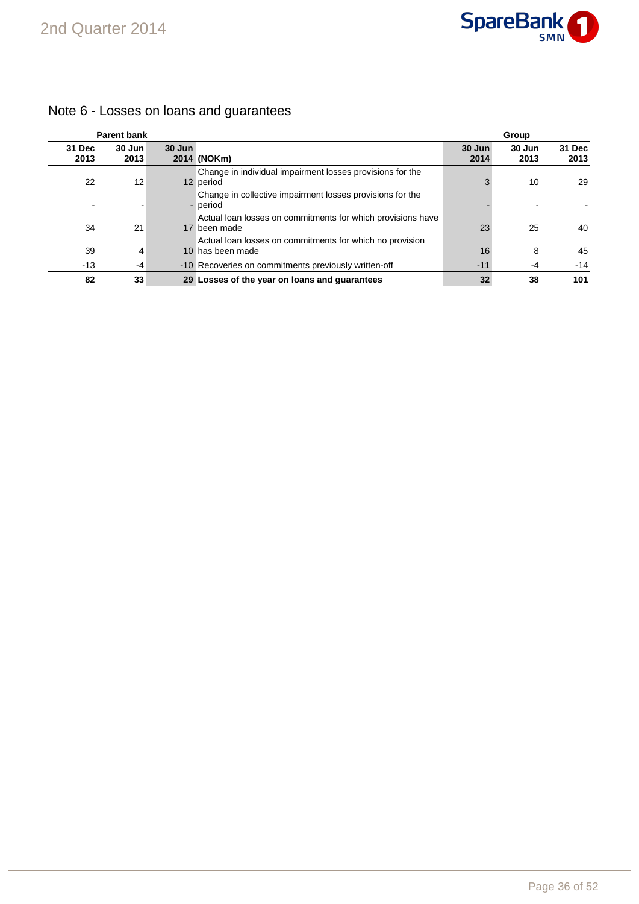

|                | <b>Parent bank</b> |        |                                                                                                                                         |                | Group          |                |
|----------------|--------------------|--------|-----------------------------------------------------------------------------------------------------------------------------------------|----------------|----------------|----------------|
| 31 Dec<br>2013 | 30 Jun<br>2013     | 30 Jun | 2014 (NOKm)                                                                                                                             | 30 Jun<br>2014 | 30 Jun<br>2013 | 31 Dec<br>2013 |
| 22             | 12                 |        | Change in individual impairment losses provisions for the<br>12 period                                                                  |                | 10             | 29             |
|                |                    |        | Change in collective impairment losses provisions for the<br>- period                                                                   |                |                |                |
| 34             | 21                 |        | Actual loan losses on commitments for which provisions have<br>17 been made<br>Actual loan losses on commitments for which no provision | 23             | 25             | 40             |
| 39             | 4                  |        | 10 has been made                                                                                                                        | 16             | 8              | 45             |
| $-13$          | -4                 |        | -10 Recoveries on commitments previously written-off                                                                                    | $-11$          | -4             | $-14$          |
| 82             | 33                 |        | 29 Losses of the year on loans and quarantees                                                                                           | 32             | 38             | 101            |

### Note 6 - Losses on loans and guarantees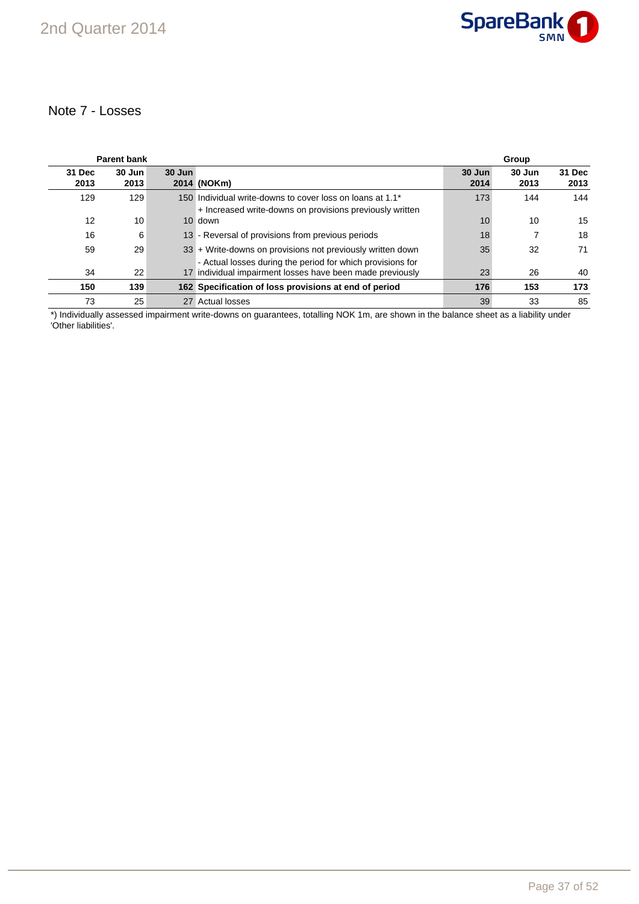

### Note 7 - Losses

|                | <b>Parent bank</b> |        |                                                                                                                         |                | Group          |                |
|----------------|--------------------|--------|-------------------------------------------------------------------------------------------------------------------------|----------------|----------------|----------------|
| 31 Dec<br>2013 | 30 Jun<br>2013     | 30 Jun | 2014 (NOKm)                                                                                                             | 30 Jun<br>2014 | 30 Jun<br>2013 | 31 Dec<br>2013 |
| 129            | 129                |        | 150 Individual write-downs to cover loss on loans at 1.1*<br>+ Increased write-downs on provisions previously written   | 173            | 144            | 144            |
| 12             | 10                 |        | 10 down                                                                                                                 | 10             | 10             | 15             |
| 16             | 6                  |        | 13 - Reversal of provisions from previous periods                                                                       | 18             |                | 18             |
| 59             | 29                 |        | 33 + Write-downs on provisions not previously written down                                                              | 35             | 32             | 71             |
| 34             | 22                 |        | - Actual losses during the period for which provisions for<br>17 individual impairment losses have been made previously | 23             | 26             | 40             |
| 150            | 139                |        | 162 Specification of loss provisions at end of period                                                                   | 176            | 153            | 173            |
| 73             | 25                 |        | 27 Actual losses                                                                                                        | 39             | 33             | 85             |

\*) Individually assessed impairment write-downs on guarantees, totalling NOK 1m, are shown in the balance sheet as a liability under 'Other liabilities'.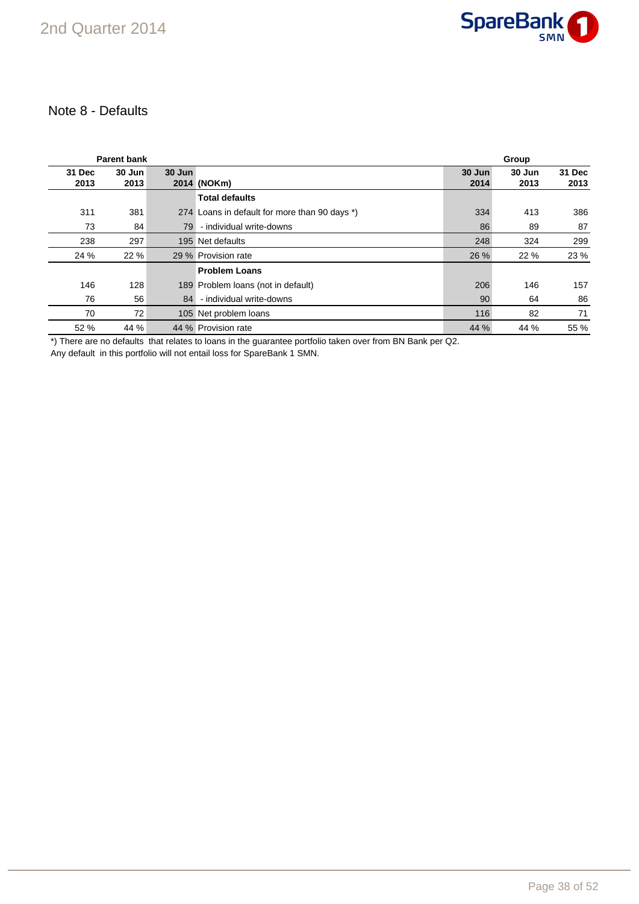

### Note 8 - Defaults

|                | <b>Parent bank</b> |        |                                               |                | Group          |                |
|----------------|--------------------|--------|-----------------------------------------------|----------------|----------------|----------------|
| 31 Dec<br>2013 | 30 Jun<br>2013     | 30 Jun | 2014 (NOKm)                                   | 30 Jun<br>2014 | 30 Jun<br>2013 | 31 Dec<br>2013 |
|                |                    |        | <b>Total defaults</b>                         |                |                |                |
| 311            | 381                |        | 274 Loans in default for more than 90 days *) | 334            | 413            | 386            |
| 73             | 84                 | 79     | - individual write-downs                      | 86             | 89             | 87             |
| 238            | 297                |        | 195 Net defaults                              | 248            | 324            | 299            |
| 24 %           | 22 %               |        | 29 % Provision rate                           | 26 %           | 22 %           | 23 %           |
|                |                    |        | <b>Problem Loans</b>                          |                |                |                |
| 146            | 128                |        | 189 Problem Ioans (not in default)            | 206            | 146            | 157            |
| 76             | 56                 | 84     | - individual write-downs                      | 90             | 64             | 86             |
| 70             | 72                 |        | 105 Net problem loans                         | 116            | 82             | 71             |
| 52 %           | 44 %               |        | 44 % Provision rate                           | 44 %           | 44 %           | 55 %           |

\*) There are no defaults that relates to loans in the guarantee portfolio taken over from BN Bank per Q2.

Any default in this portfolio will not entail loss for SpareBank 1 SMN.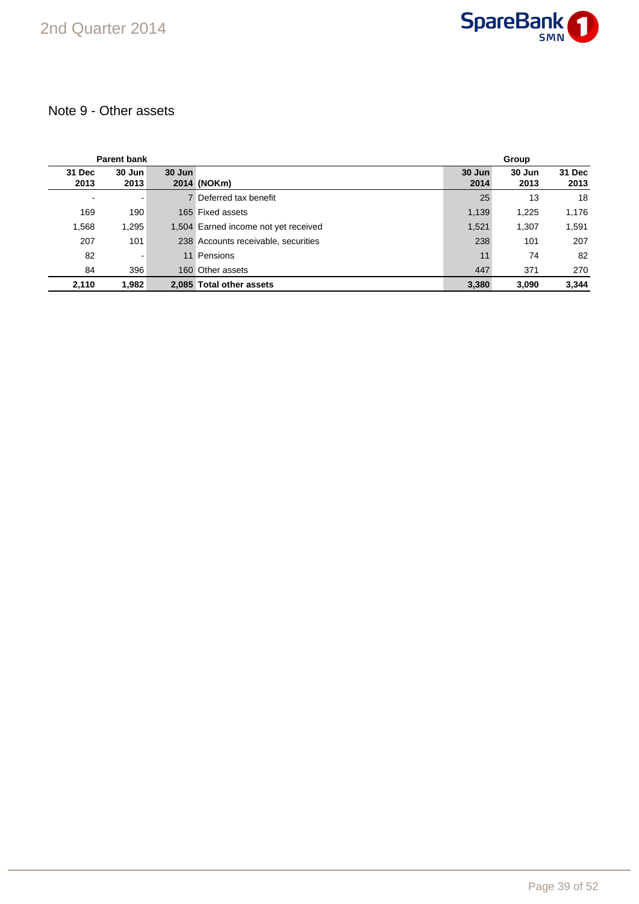

### Note 9 - Other assets

|                | <b>Parent bank</b> |        |                                      | Group          |                |                |  |
|----------------|--------------------|--------|--------------------------------------|----------------|----------------|----------------|--|
| 31 Dec<br>2013 | $30$ Jun<br>2013   | 30 Jun | 2014 (NOKm)                          | 30 Jun<br>2014 | 30 Jun<br>2013 | 31 Dec<br>2013 |  |
| $\blacksquare$ | -                  |        | 7 Deferred tax benefit               | 25             | 13             | 18             |  |
| 169            | 190                |        | 165 Fixed assets                     | 1,139          | 1,225          | 1,176          |  |
| 1,568          | 1,295              |        | 1,504 Earned income not yet received | 1,521          | 1,307          | 1,591          |  |
| 207            | 101                |        | 238 Accounts receivable, securities  | 238            | 101            | 207            |  |
| 82             | $\blacksquare$     |        | 11 Pensions                          | 11             | 74             | 82             |  |
| 84             | 396                |        | 160 Other assets                     | 447            | 371            | 270            |  |
| 2,110          | 1.982              |        | 2.085 Total other assets             | 3,380          | 3.090          | 3.344          |  |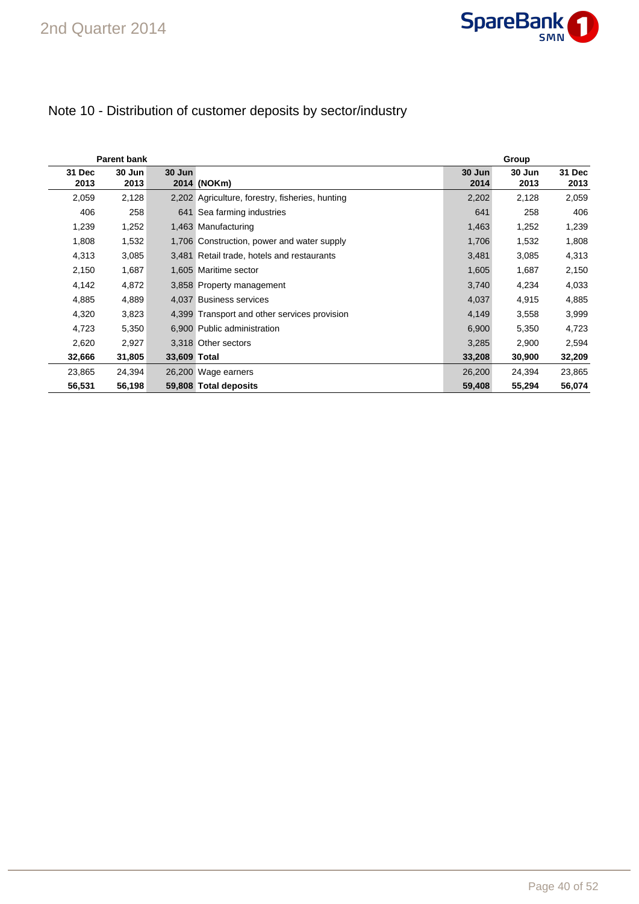

### Note 10 - Distribution of customer deposits by sector/industry

|                | <b>Parent bank</b> |              |                                                 | Group          |                |                |  |  |  |
|----------------|--------------------|--------------|-------------------------------------------------|----------------|----------------|----------------|--|--|--|
| 31 Dec<br>2013 | 30 Jun<br>2013     | 30 Jun       | 2014 (NOKm)                                     | 30 Jun<br>2014 | 30 Jun<br>2013 | 31 Dec<br>2013 |  |  |  |
| 2,059          | 2,128              |              | 2,202 Agriculture, forestry, fisheries, hunting | 2,202          | 2,128          | 2,059          |  |  |  |
| 406            | 258                |              | 641 Sea farming industries                      | 641            | 258            | 406            |  |  |  |
| 1,239          | 1,252              |              | 1,463 Manufacturing                             | 1,463          | 1,252          | 1,239          |  |  |  |
| 1,808          | 1,532              |              | 1,706 Construction, power and water supply      | 1,706          | 1,532          | 1,808          |  |  |  |
| 4,313          | 3,085              |              | 3,481 Retail trade, hotels and restaurants      | 3,481          | 3,085          | 4,313          |  |  |  |
| 2,150          | 1,687              |              | 1,605 Maritime sector                           | 1,605          | 1,687          | 2,150          |  |  |  |
| 4,142          | 4,872              |              | 3,858 Property management                       | 3,740          | 4,234          | 4,033          |  |  |  |
| 4,885          | 4,889              |              | 4,037 Business services                         | 4,037          | 4,915          | 4,885          |  |  |  |
| 4,320          | 3,823              |              | 4,399 Transport and other services provision    | 4,149          | 3,558          | 3,999          |  |  |  |
| 4,723          | 5,350              |              | 6,900 Public administration                     | 6,900          | 5,350          | 4,723          |  |  |  |
| 2,620          | 2,927              |              | 3.318 Other sectors                             | 3,285          | 2,900          | 2,594          |  |  |  |
| 32,666         | 31,805             | 33,609 Total |                                                 | 33,208         | 30,900         | 32,209         |  |  |  |
| 23,865         | 24,394             |              | 26,200 Wage earners                             | 26,200         | 24,394         | 23,865         |  |  |  |
| 56,531         | 56,198             |              | 59,808 Total deposits                           | 59,408         | 55,294         | 56,074         |  |  |  |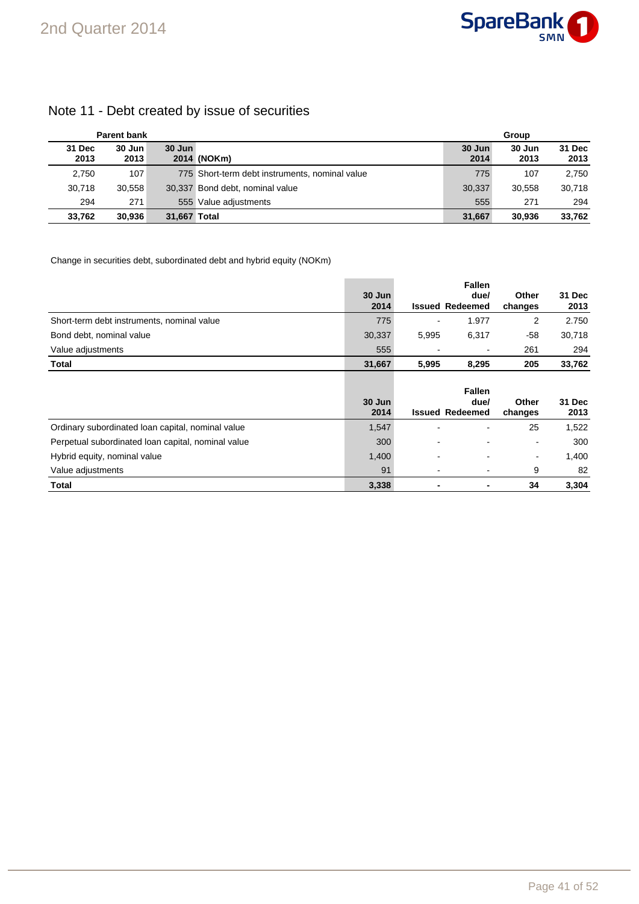### Note 11 - Debt created by issue of securities

|                | <b>Parent bank</b> |              |                                                | Group          |                |                |  |
|----------------|--------------------|--------------|------------------------------------------------|----------------|----------------|----------------|--|
| 31 Dec<br>2013 | 30 Jun<br>2013     | $30$ Jun     | 2014 (NOKm)                                    | 30 Jun<br>2014 | 30 Jun<br>2013 | 31 Dec<br>2013 |  |
| 2,750          | 107                |              | 775 Short-term debt instruments, nominal value | 775            | 107            | 2.750          |  |
| 30,718         | 30.558             |              | 30,337 Bond debt, nominal value                | 30.337         | 30,558         | 30.718         |  |
| 294            | 271                |              | 555 Value adjustments                          | 555            | 271            | 294            |  |
| 33.762         | 30.936             | 31.667 Total |                                                | 31.667         | 30.936         | 33,762         |  |

Change in securities debt, subordinated debt and hybrid equity (NOKm)

|                                                    |                |       | <b>Fallen</b>                  |                  |                |
|----------------------------------------------------|----------------|-------|--------------------------------|------------------|----------------|
|                                                    | 30 Jun<br>2014 |       | due/<br><b>Issued Redeemed</b> | Other            | 31 Dec<br>2013 |
|                                                    |                |       |                                | changes          |                |
| Short-term debt instruments, nominal value         | 775            |       | 1.977                          | 2                | 2.750          |
| Bond debt, nominal value                           | 30,337         | 5,995 | 6,317                          | -58              | 30,718         |
| Value adjustments                                  | 555            |       | $\overline{\phantom{0}}$       | 261              | 294            |
| <b>Total</b>                                       | 31,667         | 5,995 | 8,295                          | 205              | 33,762         |
|                                                    |                |       | <b>Fallen</b>                  |                  |                |
|                                                    | 30 Jun<br>2014 |       | due/<br><b>Issued Redeemed</b> | Other<br>changes | 31 Dec<br>2013 |
| Ordinary subordinated loan capital, nominal value  | 1,547          |       |                                | 25               | 1,522          |
| Perpetual subordinated loan capital, nominal value | 300            |       |                                | $\blacksquare$   | 300            |
|                                                    |                |       |                                |                  |                |
| Hybrid equity, nominal value                       | 1,400          |       |                                | $\blacksquare$   | 1,400          |
| Value adjustments                                  | 91             |       | $\overline{\phantom{0}}$       | 9                | 82             |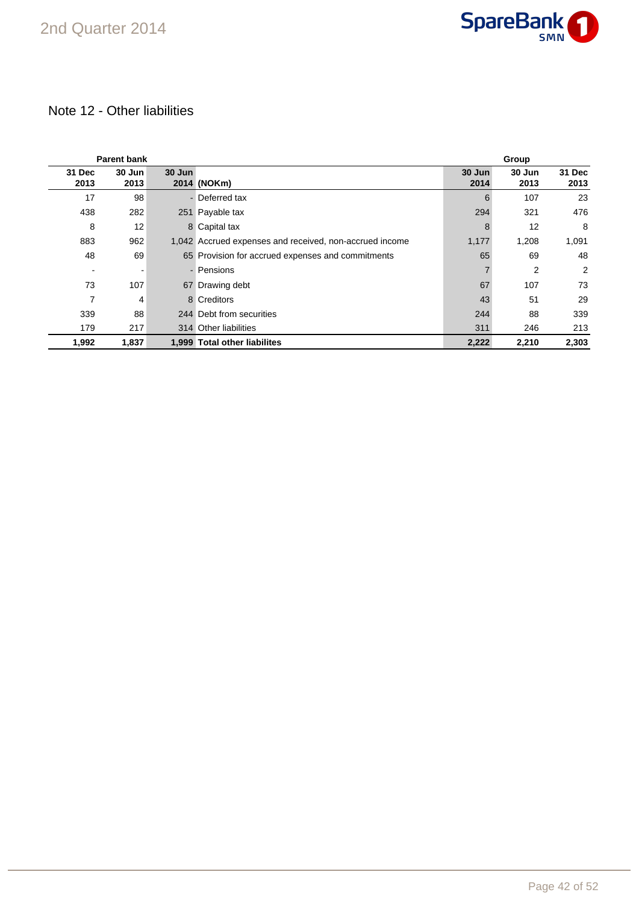

### Note 12 - Other liabilities

|                          | <b>Parent bank</b> |        |                                                         |                | Group          |                |
|--------------------------|--------------------|--------|---------------------------------------------------------|----------------|----------------|----------------|
| 31 Dec<br>2013           | 30 Jun<br>2013     | 30 Jun | 2014 (NOKm)                                             | 30 Jun<br>2014 | 30 Jun<br>2013 | 31 Dec<br>2013 |
| 17                       | 98                 |        | - Deferred tax                                          | 6              | 107            | 23             |
| 438                      | 282                |        | 251 Payable tax                                         | 294            | 321            | 476            |
| 8                        | 12                 |        | 8 Capital tax                                           | 8              | 12             | 8              |
| 883                      | 962                |        | 1,042 Accrued expenses and received, non-accrued income | 1,177          | 1,208          | 1,091          |
| 48                       | 69                 |        | 65 Provision for accrued expenses and commitments       | 65             | 69             | 48             |
| $\overline{\phantom{a}}$ |                    |        | - Pensions                                              |                | 2              | 2              |
| 73                       | 107                |        | 67 Drawing debt                                         | 67             | 107            | 73             |
| 7                        | 4                  |        | 8 Creditors                                             | 43             | 51             | 29             |
| 339                      | 88                 |        | 244 Debt from securities                                | 244            | 88             | 339            |
| 179                      | 217                |        | 314 Other liabilities                                   | 311            | 246            | 213            |
| 1,992                    | 1,837              |        | 1,999 Total other liabilites                            | 2,222          | 2,210          | 2,303          |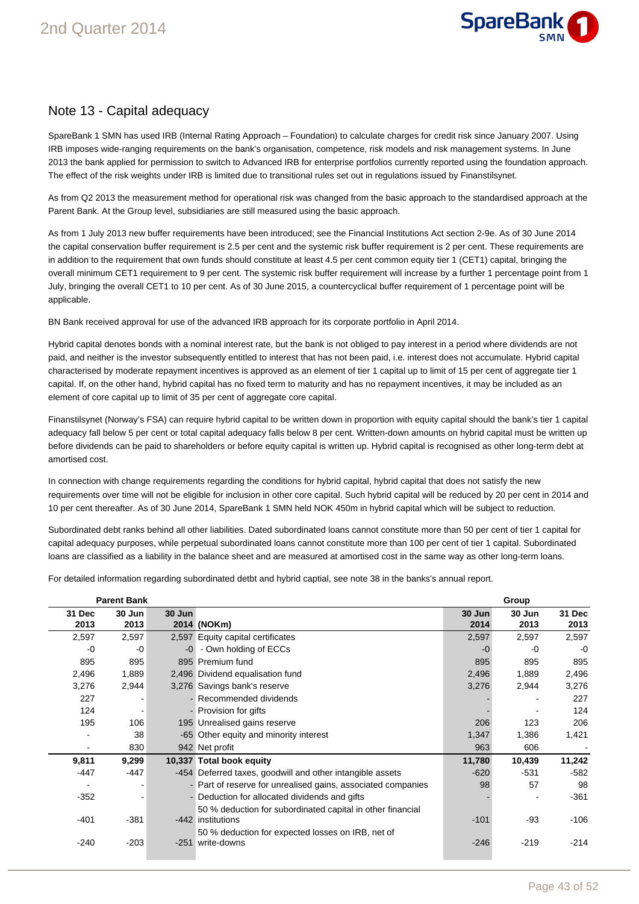

### Note 13 - Capital adequacy

SpareBank 1 SMN has used IRB (Internal Rating Approach – Foundation) to calculate charges for credit risk since January 2007. Using IRB imposes wide-ranging requirements on the bank's organisation, competence, risk models and risk management systems. In June 2013 the bank applied for permission to switch to Advanced IRB for enterprise portfolios currently reported using the foundation approach. The effect of the risk weights under IRB is limited due to transitional rules set out in regulations issued by Finanstilsynet.

As from Q2 2013 the measurement method for operational risk was changed from the basic approach to the standardised approach at the Parent Bank. At the Group level, subsidiaries are still measured using the basic approach.

As from 1 July 2013 new buffer requirements have been introduced; see the Financial Institutions Act section 2-9e. As of 30 June 2014 the capital conservation buffer requirement is 2.5 per cent and the systemic risk buffer requirement is 2 per cent. These requirements are in addition to the requirement that own funds should constitute at least 4.5 per cent common equity tier 1 (CET1) capital, bringing the overall minimum CET1 requirement to 9 per cent. The systemic risk buffer requirement will increase by a further 1 percentage point from 1 July, bringing the overall CET1 to 10 per cent. As of 30 June 2015, a countercyclical buffer requirement of 1 percentage point will be applicable.

BN Bank received approval for use of the advanced IRB approach for its corporate portfolio in April 2014.

Hybrid capital denotes bonds with a nominal interest rate, but the bank is not obliged to pay interest in a period where dividends are not paid, and neither is the investor subsequently entitled to interest that has not been paid, i.e. interest does not accumulate. Hybrid capital characterised by moderate repayment incentives is approved as an element of tier 1 capital up to limit of 15 per cent of aggregate tier 1 capital. If, on the other hand, hybrid capital has no fixed term to maturity and has no repayment incentives, it may be included as an element of core capital up to limit of 35 per cent of aggregate core capital.

Finanstilsynet (Norway's FSA) can require hybrid capital to be written down in proportion with equity capital should the bank's tier 1 capital adequacy fall below 5 per cent or total capital adequacy falls below 8 per cent. Written-down amounts on hybrid capital must be written up before dividends can be paid to shareholders or before equity capital is written up. Hybrid capital is recognised as other long-term debt at amortised cost.

In connection with change requirements regarding the conditions for hybrid capital, hybrid capital that does not satisfy the new requirements over time will not be eligible for inclusion in other core capital. Such hybrid capital will be reduced by 20 per cent in 2014 and 10 per cent thereafter. As of 30 June 2014, SpareBank 1 SMN held NOK 450m in hybrid capital which will be subject to reduction.

Subordinated debt ranks behind all other liabilities. Dated subordinated loans cannot constitute more than 50 per cent of tier 1 capital for capital adequacy purposes, while perpetual subordinated loans cannot constitute more than 100 per cent of tier 1 capital. Subordinated loans are classified as a liability in the balance sheet and are measured at amortised cost in the same way as other long-term loans.

For detailed information regarding subordinated detbt and hybrid captial, see note 38 in the banks's annual report.

|                | <b>Parent Bank</b> |        |                                                              |                | Group          |                |
|----------------|--------------------|--------|--------------------------------------------------------------|----------------|----------------|----------------|
| 31 Dec<br>2013 | 30 Jun<br>2013     | 30 Jun | 2014 (NOKm)                                                  | 30 Jun<br>2014 | 30 Jun<br>2013 | 31 Dec<br>2013 |
| 2,597          | 2,597              |        | 2,597 Equity capital certificates                            | 2,597          | 2,597          | 2,597          |
| -0             | -0                 |        | -0 - Own holding of ECCs                                     | $-0$           | -0             | $-0$           |
| 895            | 895                |        | 895 Premium fund                                             | 895            | 895            | 895            |
| 2,496          | 1,889              |        | 2,496 Dividend equalisation fund                             | 2,496          | 1,889          | 2,496          |
| 3,276          | 2,944              |        | 3,276 Savings bank's reserve                                 | 3,276          | 2,944          | 3,276          |
| 227            |                    |        | - Recommended dividends                                      |                |                | 227            |
| 124            |                    |        | - Provision for gifts                                        |                |                | 124            |
| 195            | 106                |        | 195 Unrealised gains reserve                                 | 206            | 123            | 206            |
|                | 38                 |        | -65 Other equity and minority interest                       | 1,347          | 1,386          | 1,421          |
|                | 830                |        | 942 Net profit                                               | 963            | 606            |                |
| 9,811          | 9,299              |        | 10,337 Total book equity                                     | 11,780         | 10,439         | 11,242         |
| -447           | -447               |        | -454 Deferred taxes, goodwill and other intangible assets    | $-620$         | $-531$         | -582           |
|                |                    |        | - Part of reserve for unrealised gains, associated companies | 98             | 57             | 98             |
| $-352$         |                    |        | - Deduction for allocated dividends and gifts                |                |                | $-361$         |
|                |                    |        | 50 % deduction for subordinated capital in other financial   |                |                |                |
| -401           | $-381$             |        | -442 institutions                                            | $-101$         | -93            | -106           |
|                |                    |        | 50 % deduction for expected losses on IRB, net of            |                |                |                |
| $-240$         | $-203$             |        | -251 write-downs                                             | $-246$         | $-219$         | $-214$         |
|                |                    |        |                                                              |                |                |                |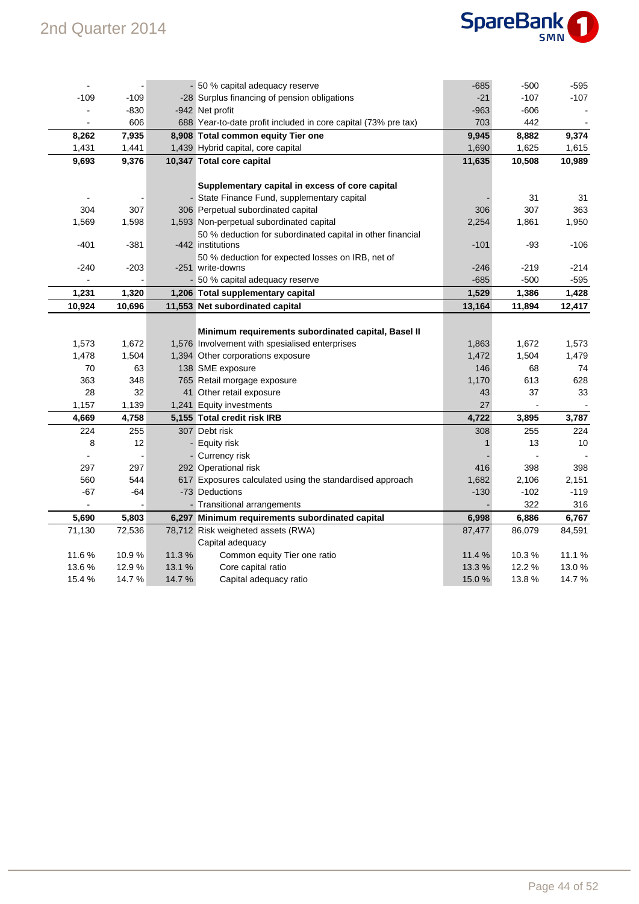

|        |        |        | - 50 % capital adequacy reserve                                | $-685$ | $-500$ | $-595$ |
|--------|--------|--------|----------------------------------------------------------------|--------|--------|--------|
| $-109$ | $-109$ |        | -28 Surplus financing of pension obligations                   | $-21$  | $-107$ | $-107$ |
|        | $-830$ |        | -942 Net profit                                                | $-963$ | -606   |        |
|        | 606    |        | 688 Year-to-date profit included in core capital (73% pre tax) | 703    | 442    |        |
| 8,262  | 7,935  |        | 8,908 Total common equity Tier one                             | 9,945  | 8,882  | 9,374  |
| 1,431  | 1,441  |        | 1,439 Hybrid capital, core capital                             | 1,690  | 1,625  | 1,615  |
| 9,693  | 9,376  |        | 10,347 Total core capital                                      | 11,635 | 10,508 | 10,989 |
|        |        |        |                                                                |        |        |        |
|        |        |        | Supplementary capital in excess of core capital                |        |        |        |
|        |        |        | - State Finance Fund, supplementary capital                    |        | 31     | 31     |
| 304    | 307    |        | 306 Perpetual subordinated capital                             | 306    | 307    | 363    |
| 1,569  | 1,598  |        | 1,593 Non-perpetual subordinated capital                       | 2,254  | 1,861  | 1,950  |
|        |        |        | 50 % deduction for subordinated capital in other financial     |        |        |        |
| $-401$ | $-381$ |        | -442 institutions                                              | $-101$ | -93    | $-106$ |
|        |        |        | 50 % deduction for expected losses on IRB, net of              |        |        |        |
| $-240$ | $-203$ |        | -251 write-downs                                               | $-246$ | -219   | $-214$ |
|        |        |        | - 50 % capital adequacy reserve                                | $-685$ | $-500$ | $-595$ |
| 1,231  | 1,320  |        | 1,206 Total supplementary capital                              | 1,529  | 1,386  | 1,428  |
| 10,924 | 10,696 |        | 11,553 Net subordinated capital                                | 13,164 | 11,894 | 12,417 |
|        |        |        |                                                                |        |        |        |
|        |        |        | Minimum requirements subordinated capital, Basel II            |        |        |        |
| 1,573  | 1,672  |        | 1,576 Involvement with spesialised enterprises                 | 1,863  | 1,672  | 1,573  |
| 1,478  | 1,504  |        | 1,394 Other corporations exposure                              | 1,472  | 1,504  | 1,479  |
| 70     | 63     |        | 138 SME exposure                                               | 146    | 68     | 74     |
| 363    | 348    |        | 765 Retail morgage exposure                                    | 1,170  | 613    | 628    |
| 28     | 32     |        | 41 Other retail exposure                                       | 43     | 37     | 33     |
| 1,157  | 1,139  |        | 1,241 Equity investments                                       | 27     |        |        |
| 4,669  | 4,758  |        | 5,155 Total credit risk IRB                                    | 4,722  | 3,895  | 3,787  |
| 224    | 255    |        | 307 Debt risk                                                  | 308    | 255    | 224    |
| 8      | 12     |        | - Equity risk                                                  | 1      | 13     | 10     |
|        |        |        | - Currency risk                                                |        |        |        |
| 297    | 297    |        | 292 Operational risk                                           | 416    | 398    | 398    |
| 560    | 544    |        | 617 Exposures calculated using the standardised approach       | 1,682  | 2,106  | 2,151  |
| $-67$  | -64    |        | -73 Deductions                                                 | $-130$ | $-102$ | $-119$ |
|        |        |        | - Transitional arrangements                                    |        | 322    | 316    |
| 5,690  | 5,803  |        | 6,297 Minimum requirements subordinated capital                | 6,998  | 6,886  | 6,767  |
| 71,130 | 72,536 |        | 78,712 Risk weigheted assets (RWA)                             | 87,477 | 86,079 | 84,591 |
|        |        |        | Capital adequacy                                               |        |        |        |
| 11.6%  | 10.9%  | 11.3%  | Common equity Tier one ratio                                   | 11.4 % | 10.3%  | 11.1%  |
| 13.6%  | 12.9%  | 13.1 % | Core capital ratio                                             | 13.3%  | 12.2 % | 13.0%  |
| 15.4 % | 14.7%  | 14.7 % | Capital adequacy ratio                                         | 15.0%  | 13.8%  | 14.7%  |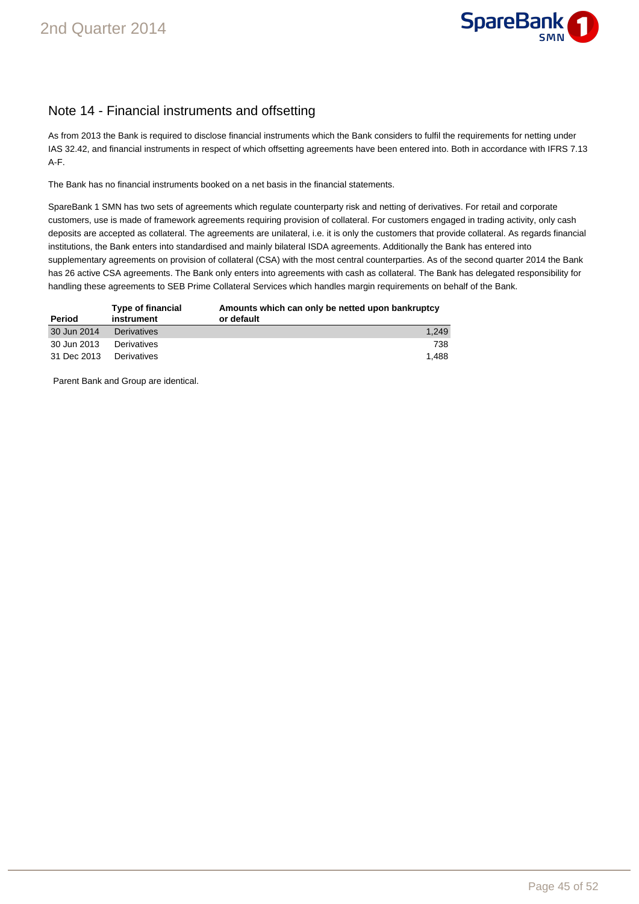

### Note 14 - Financial instruments and offsetting

As from 2013 the Bank is required to disclose financial instruments which the Bank considers to fulfil the requirements for netting under IAS 32.42, and financial instruments in respect of which offsetting agreements have been entered into. Both in accordance with IFRS 7.13 A-F.

The Bank has no financial instruments booked on a net basis in the financial statements.

SpareBank 1 SMN has two sets of agreements which regulate counterparty risk and netting of derivatives. For retail and corporate customers, use is made of framework agreements requiring provision of collateral. For customers engaged in trading activity, only cash deposits are accepted as collateral. The agreements are unilateral, i.e. it is only the customers that provide collateral. As regards financial institutions, the Bank enters into standardised and mainly bilateral ISDA agreements. Additionally the Bank has entered into supplementary agreements on provision of collateral (CSA) with the most central counterparties. As of the second quarter 2014 the Bank has 26 active CSA agreements. The Bank only enters into agreements with cash as collateral. The Bank has delegated responsibility for handling these agreements to SEB Prime Collateral Services which handles margin requirements on behalf of the Bank.

| Period      | Type of financial<br>instrument | Amounts which can only be netted upon bankruptcy<br>or default |
|-------------|---------------------------------|----------------------------------------------------------------|
| 30 Jun 2014 | <b>Derivatives</b>              | 1.249                                                          |
| 30 Jun 2013 | Derivatives                     | 738                                                            |
| 31 Dec 2013 | Derivatives                     | 1.488                                                          |

Parent Bank and Group are identical.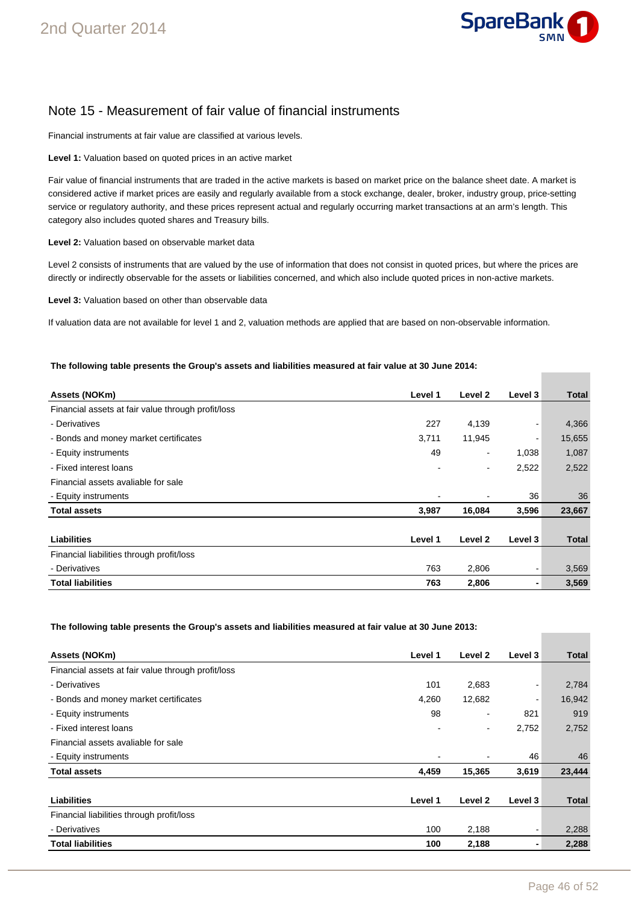

### Note 15 - Measurement of fair value of financial instruments

Financial instruments at fair value are classified at various levels.

**Level 1:** Valuation based on quoted prices in an active market

Fair value of financial instruments that are traded in the active markets is based on market price on the balance sheet date. A market is considered active if market prices are easily and regularly available from a stock exchange, dealer, broker, industry group, price-setting service or regulatory authority, and these prices represent actual and regularly occurring market transactions at an arm's length. This category also includes quoted shares and Treasury bills.

**Level 2:** Valuation based on observable market data

Level 2 consists of instruments that are valued by the use of information that does not consist in quoted prices, but where the prices are directly or indirectly observable for the assets or liabilities concerned, and which also include quoted prices in non-active markets.

**Level 3:** Valuation based on other than observable data

If valuation data are not available for level 1 and 2, valuation methods are applied that are based on non-observable information.

#### **The following table presents the Group's assets and liabilities measured at fair value at 30 June 2014:**

| Assets (NOKm)                                      | Level 1 | Level 2                  | Level 3 | <b>Total</b> |
|----------------------------------------------------|---------|--------------------------|---------|--------------|
| Financial assets at fair value through profit/loss |         |                          |         |              |
| - Derivatives                                      | 227     | 4,139                    |         | 4,366        |
| - Bonds and money market certificates              | 3,711   | 11,945                   |         | 15,655       |
| - Equity instruments                               | 49      | $\overline{a}$           | 1,038   | 1,087        |
| - Fixed interest loans                             |         | $\overline{\phantom{a}}$ | 2,522   | 2,522        |
| Financial assets avaliable for sale                |         |                          |         |              |
| - Equity instruments                               |         |                          | 36      | 36           |
| <b>Total assets</b>                                | 3,987   | 16,084                   | 3,596   | 23,667       |
|                                                    |         |                          |         |              |
| <b>Liabilities</b>                                 | Level 1 | Level 2                  | Level 3 | <b>Total</b> |
| Financial liabilities through profit/loss          |         |                          |         |              |
| - Derivatives                                      | 763     | 2,806                    |         | 3,569        |
| <b>Total liabilities</b>                           | 763     | 2,806                    |         | 3,569        |

**The following table presents the Group's assets and liabilities measured at fair value at 30 June 2013:** 

| Assets (NOKm)                                      | Level 1 | Level 2 | Level 3 | <b>Total</b> |
|----------------------------------------------------|---------|---------|---------|--------------|
| Financial assets at fair value through profit/loss |         |         |         |              |
| - Derivatives                                      | 101     | 2,683   | -       | 2,784        |
| - Bonds and money market certificates              | 4,260   | 12,682  | ٠       | 16,942       |
| - Equity instruments                               | 98      |         | 821     | 919          |
| - Fixed interest loans                             |         | ٠       | 2,752   | 2,752        |
| Financial assets avaliable for sale                |         |         |         |              |
| - Equity instruments                               |         |         | 46      | 46           |
| <b>Total assets</b>                                | 4,459   | 15,365  | 3,619   | 23,444       |
|                                                    |         |         |         |              |
| <b>Liabilities</b>                                 | Level 1 | Level 2 | Level 3 | Total        |
| Financial liabilities through profit/loss          |         |         |         |              |
| - Derivatives                                      | 100     | 2,188   | -       | 2,288        |
| <b>Total liabilities</b>                           | 100     | 2,188   | ۰       | 2,288        |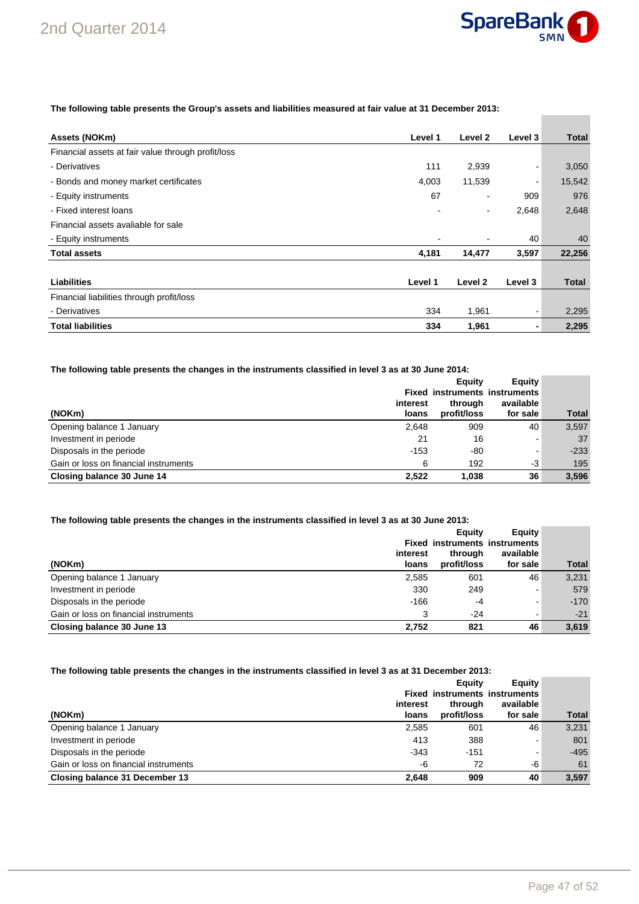

**Contract Contract** 

**The following table presents the Group's assets and liabilities measured at fair value at 31 December 2013:** 

| Assets (NOKm)                                      | Level 1 | Level 2                  | Level 3 | <b>Total</b> |
|----------------------------------------------------|---------|--------------------------|---------|--------------|
| Financial assets at fair value through profit/loss |         |                          |         |              |
| - Derivatives                                      | 111     | 2,939                    |         | 3,050        |
| - Bonds and money market certificates              | 4,003   | 11,539                   | ٠       | 15,542       |
| - Equity instruments                               | 67      | ٠                        | 909     | 976          |
| - Fixed interest loans                             |         | $\overline{\phantom{a}}$ | 2,648   | 2,648        |
| Financial assets avaliable for sale                |         |                          |         |              |
| - Equity instruments                               | ٠       |                          | 40      | 40           |
| <b>Total assets</b>                                | 4,181   | 14,477                   | 3,597   | 22,256       |
|                                                    |         |                          |         |              |
| <b>Liabilities</b>                                 | Level 1 | Level 2                  | Level 3 | Total        |
| Financial liabilities through profit/loss          |         |                          |         |              |
| - Derivatives                                      | 334     | 1,961                    | ۰       | 2,295        |
| <b>Total liabilities</b>                           | 334     | 1,961                    | ۰       | 2,295        |

#### **The following table presents the changes in the instruments classified in level 3 as at 30 June 2014:**

|                                       |          | Eauity      | Equity                               |              |
|---------------------------------------|----------|-------------|--------------------------------------|--------------|
|                                       |          |             | <b>Fixed instruments instruments</b> |              |
|                                       | interest | through     | available                            |              |
| (NOKm)                                | loans    | profit/loss | for sale                             | <b>Total</b> |
| Opening balance 1 January             | 2,648    | 909         | 40                                   | 3,597        |
| Investment in periode                 | 21       | 16          |                                      | 37           |
| Disposals in the periode              | $-153$   | -80         |                                      | $-233$       |
| Gain or loss on financial instruments | 6        | 192         | -3                                   | 195          |
| Closing balance 30 June 14            | 2,522    | 1,038       | 36                                   | 3,596        |

#### **The following table presents the changes in the instruments classified in level 3 as at 30 June 2013:**

|                                       |          | Eauity                               | Equity    |              |
|---------------------------------------|----------|--------------------------------------|-----------|--------------|
|                                       |          | <b>Fixed instruments instruments</b> |           |              |
|                                       | interest | through                              | available |              |
| (NOKm)                                | loans    | profit/loss                          | for sale  | <b>Total</b> |
| Opening balance 1 January             | 2,585    | 601                                  | 46        | 3.231        |
| Investment in periode                 | 330      | 249                                  |           | 579          |
| Disposals in the periode              | $-166$   | -4                                   | -         | $-170$       |
| Gain or loss on financial instruments | 3        | $-24$                                | -         | $-21$        |
| Closing balance 30 June 13            | 2.752    | 821                                  | 46        | 3,619        |

#### **The following table presents the changes in the instruments classified in level 3 as at 31 December 2013:**

| (NOKm)                                | interest<br>loans | Eauity<br>through<br>profit/loss | Equity<br><b>Fixed instruments instruments</b><br>available<br>for sale | <b>Total</b> |
|---------------------------------------|-------------------|----------------------------------|-------------------------------------------------------------------------|--------------|
| Opening balance 1 January             | 2,585             | 601                              | 46                                                                      | 3,231        |
| Investment in periode                 | 413               | 388                              | -                                                                       | 801          |
| Disposals in the periode              | $-343$            | $-151$                           | ۰                                                                       | $-495$       |
| Gain or loss on financial instruments | -6                | 72                               | -6                                                                      | 61           |
| Closing balance 31 December 13        | 2.648             | 909                              | 40                                                                      | 3.597        |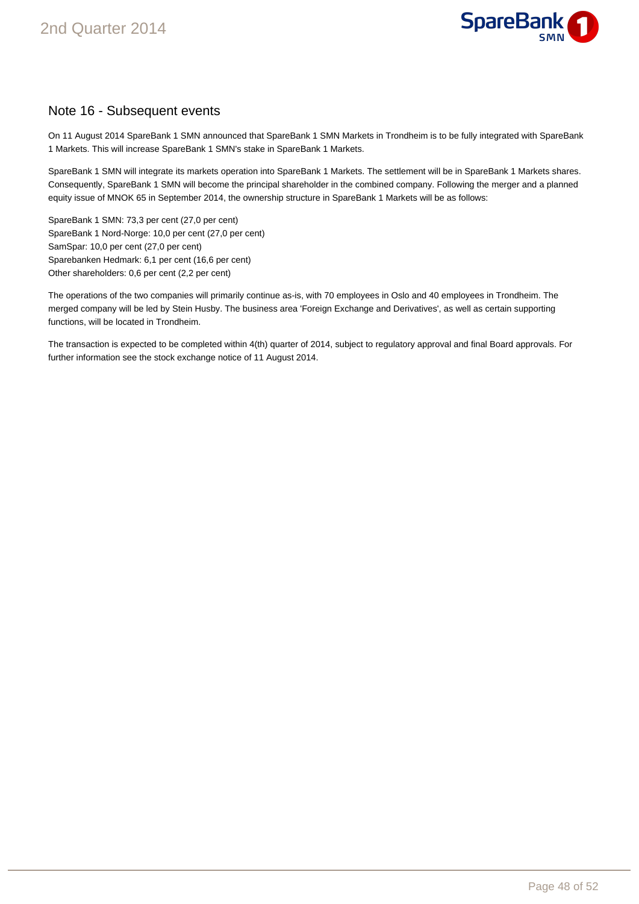

### Note 16 - Subsequent events

On 11 August 2014 SpareBank 1 SMN announced that SpareBank 1 SMN Markets in Trondheim is to be fully integrated with SpareBank 1 Markets. This will increase SpareBank 1 SMN's stake in SpareBank 1 Markets.

SpareBank 1 SMN will integrate its markets operation into SpareBank 1 Markets. The settlement will be in SpareBank 1 Markets shares. Consequently, SpareBank 1 SMN will become the principal shareholder in the combined company. Following the merger and a planned equity issue of MNOK 65 in September 2014, the ownership structure in SpareBank 1 Markets will be as follows:

SpareBank 1 SMN: 73,3 per cent (27,0 per cent) SpareBank 1 Nord-Norge: 10,0 per cent (27,0 per cent) SamSpar: 10,0 per cent (27,0 per cent) Sparebanken Hedmark: 6,1 per cent (16,6 per cent) Other shareholders: 0,6 per cent (2,2 per cent)

The operations of the two companies will primarily continue as-is, with 70 employees in Oslo and 40 employees in Trondheim. The merged company will be led by Stein Husby. The business area 'Foreign Exchange and Derivatives', as well as certain supporting functions, will be located in Trondheim.

The transaction is expected to be completed within 4(th) quarter of 2014, subject to regulatory approval and final Board approvals. For further information see the stock exchange notice of 11 August 2014.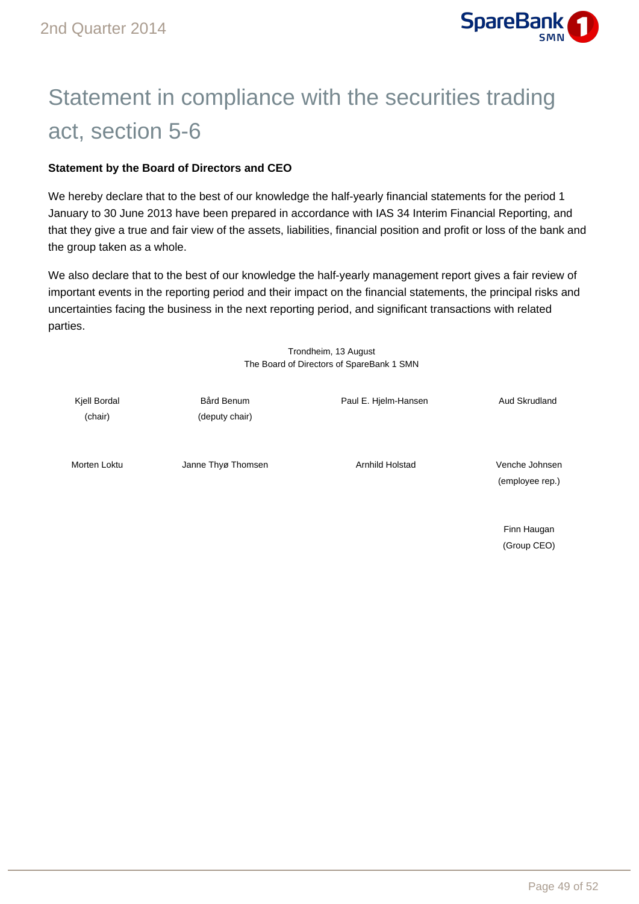

## Statement in compliance with the securities trading act, section 5-6

### **Statement by the Board of Directors and CEO**

We hereby declare that to the best of our knowledge the half-yearly financial statements for the period 1 January to 30 June 2013 have been prepared in accordance with IAS 34 Interim Financial Reporting, and that they give a true and fair view of the assets, liabilities, financial position and profit or loss of the bank and the group taken as a whole.

We also declare that to the best of our knowledge the half-yearly management report gives a fair review of important events in the reporting period and their impact on the financial statements, the principal risks and uncertainties facing the business in the next reporting period, and significant transactions with related parties.

> Trondheim, 13 August The Board of Directors of SpareBank 1 SMN

Kjell Bordal **Bård Benum** Bård Benum Paul E. Hjelm-Hansen **Aud Skrudland** (chair) (deputy chair) Morten Loktu Janne Thyø Thomsen Arnhild Holstad Venche Johnsen (employee rep.)

> Finn Haugan (Group CEO)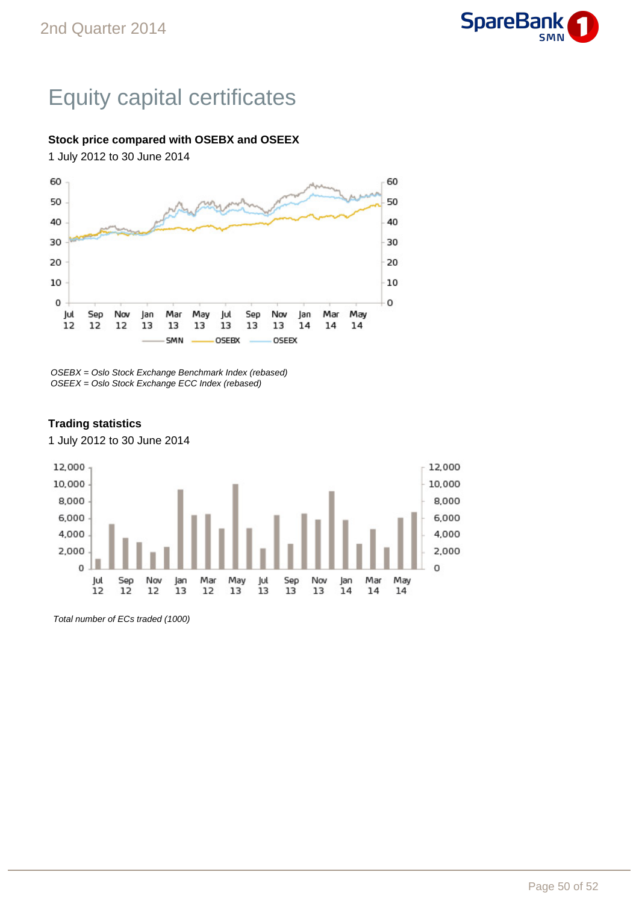

## Equity capital certificates

### **Stock price compared with OSEBX and OSEEX**

1 July 2012 to 30 June 2014



OSEBX = Oslo Stock Exchange Benchmark Index (rebased) OSEEX = Oslo Stock Exchange ECC Index (rebased)

#### 12,000 12,000 10,000 10,000 8,000 8.000 6,000 6,000 4,000 4.000 2,000 2,000  $\mathbf 0$ 0 Sep May Sep Mar May Jul Nov Jan Mar Jul Nov Jan  $12$  $12$  $12$  $13$  $12$ 13 13 13 13  $14$ 14 14

### **Trading statistics**

1 July 2012 to 30 June 2014

Total number of ECs traded (1000)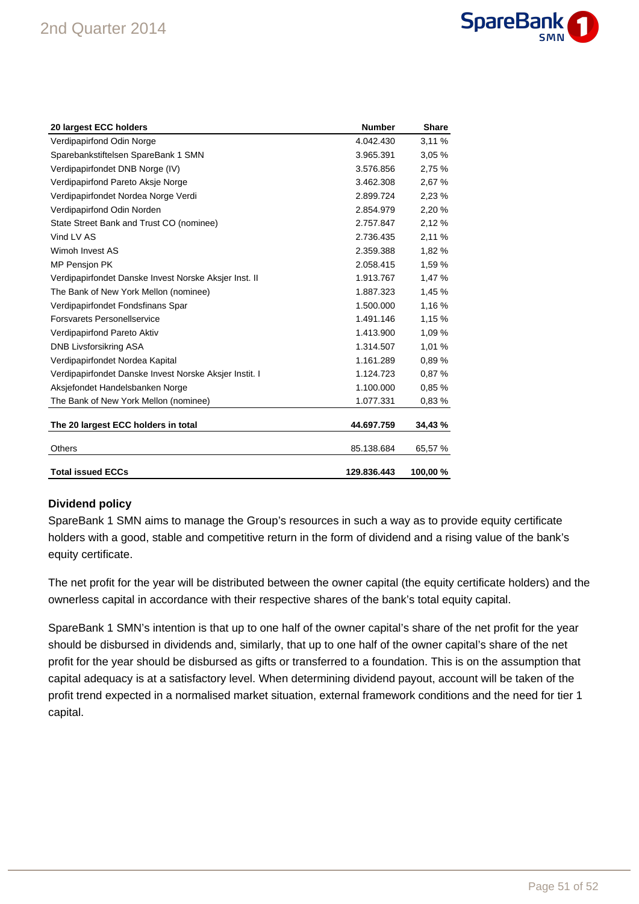

| 20 largest ECC holders                                 | <b>Number</b> | <b>Share</b> |
|--------------------------------------------------------|---------------|--------------|
| Verdipapirfond Odin Norge                              | 4.042.430     | 3,11%        |
| Sparebankstiftelsen SpareBank 1 SMN                    | 3.965.391     | 3.05%        |
| Verdipapirfondet DNB Norge (IV)                        | 3.576.856     | 2,75 %       |
| Verdipapirfond Pareto Aksje Norge                      | 3.462.308     | 2,67 %       |
| Verdipapirfondet Nordea Norge Verdi                    | 2.899.724     | 2,23%        |
| Verdipapirfond Odin Norden                             | 2.854.979     | 2.20%        |
| State Street Bank and Trust CO (nominee)               | 2.757.847     | 2,12%        |
| Vind LV AS                                             | 2.736.435     | 2,11 %       |
| Wimoh Invest AS                                        | 2.359.388     | 1,82 %       |
| <b>MP Pensjon PK</b>                                   | 2.058.415     | 1,59 %       |
| Verdipapirfondet Danske Invest Norske Aksjer Inst. II  | 1.913.767     | 1,47 %       |
| The Bank of New York Mellon (nominee)                  | 1.887.323     | 1,45 %       |
| Verdipapirfondet Fondsfinans Spar                      | 1.500.000     | 1,16 %       |
| Forsvarets Personellservice                            | 1.491.146     | 1,15 %       |
| Verdipapirfond Pareto Aktiv                            | 1.413.900     | 1.09%        |
| DNB Livsforsikring ASA                                 | 1.314.507     | 1,01 %       |
| Verdipapirfondet Nordea Kapital                        | 1.161.289     | 0.89%        |
| Verdipapirfondet Danske Invest Norske Aksjer Instit. I | 1.124.723     | 0.87%        |
| Aksjefondet Handelsbanken Norge                        | 1.100.000     | 0.85%        |
| The Bank of New York Mellon (nominee)                  | 1.077.331     | 0,83%        |
|                                                        |               |              |
| The 20 largest ECC holders in total                    | 44.697.759    | 34,43 %      |
| Others                                                 | 85.138.684    | 65,57 %      |
| <b>Total issued ECCs</b>                               | 129.836.443   | 100.00%      |

### **Dividend policy**

SpareBank 1 SMN aims to manage the Group's resources in such a way as to provide equity certificate holders with a good, stable and competitive return in the form of dividend and a rising value of the bank's equity certificate.

The net profit for the year will be distributed between the owner capital (the equity certificate holders) and the ownerless capital in accordance with their respective shares of the bank's total equity capital.

SpareBank 1 SMN's intention is that up to one half of the owner capital's share of the net profit for the year should be disbursed in dividends and, similarly, that up to one half of the owner capital's share of the net profit for the year should be disbursed as gifts or transferred to a foundation. This is on the assumption that capital adequacy is at a satisfactory level. When determining dividend payout, account will be taken of the profit trend expected in a normalised market situation, external framework conditions and the need for tier 1 capital.